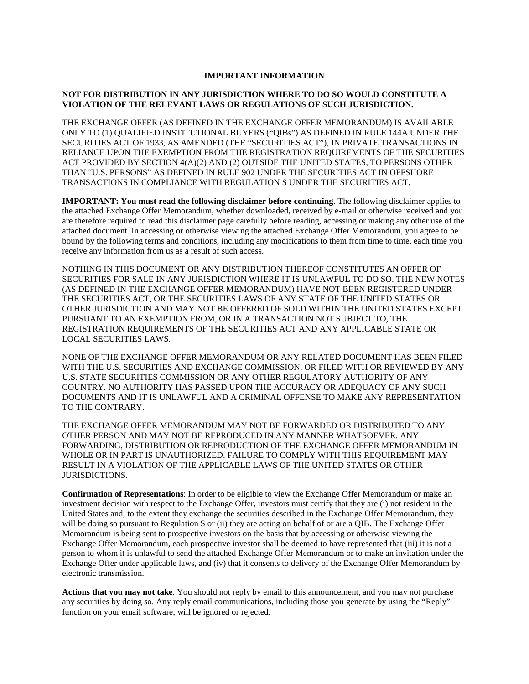# **IMPORTANT INFORMATION**

# **NOT FOR DISTRIBUTION IN ANY JURISDICTION WHERE TO DO SO WOULD CONSTITUTE A VIOLATION OF THE RELEVANT LAWS OR REGULATIONS OF SUCH JURISDICTION.**

THE EXCHANGE OFFER (AS DEFINED IN THE EXCHANGE OFFER MEMORANDUM) IS AVAILABLE ONLY TO (1) QUALIFIED INSTITUTIONAL BUYERS ("QIBs") AS DEFINED IN RULE 144A UNDER THE SECURITIES ACT OF 1933, AS AMENDED (THE "SECURITIES ACT"), IN PRIVATE TRANSACTIONS IN RELIANCE UPON THE EXEMPTION FROM THE REGISTRATION REQUIREMENTS OF THE SECURITIES ACT PROVIDED BY SECTION 4(A)(2) AND (2) OUTSIDE THE UNITED STATES, TO PERSONS OTHER THAN "U.S. PERSONS" AS DEFINED IN RULE 902 UNDER THE SECURITIES ACT IN OFFSHORE TRANSACTIONS IN COMPLIANCE WITH REGULATION S UNDER THE SECURITIES ACT.

**IMPORTANT: You must read the following disclaimer before continuing**. The following disclaimer applies to the attached Exchange Offer Memorandum, whether downloaded, received by e-mail or otherwise received and you are therefore required to read this disclaimer page carefully before reading, accessing or making any other use of the attached document. In accessing or otherwise viewing the attached Exchange Offer Memorandum, you agree to be bound by the following terms and conditions, including any modifications to them from time to time, each time you receive any information from us as a result of such access.

NOTHING IN THIS DOCUMENT OR ANY DISTRIBUTION THEREOF CONSTITUTES AN OFFER OF SECURITIES FOR SALE IN ANY JURISDICTION WHERE IT IS UNLAWFUL TO DO SO. THE NEW NOTES (AS DEFINED IN THE EXCHANGE OFFER MEMORANDUM) HAVE NOT BEEN REGISTERED UNDER THE SECURITIES ACT, OR THE SECURITIES LAWS OF ANY STATE OF THE UNITED STATES OR OTHER JURISDICTION AND MAY NOT BE OFFERED OF SOLD WITHIN THE UNITED STATES EXCEPT PURSUANT TO AN EXEMPTION FROM, OR IN A TRANSACTION NOT SUBJECT TO, THE REGISTRATION REQUIREMENTS OF THE SECURITIES ACT AND ANY APPLICABLE STATE OR LOCAL SECURITIES LAWS.

NONE OF THE EXCHANGE OFFER MEMORANDUM OR ANY RELATED DOCUMENT HAS BEEN FILED WITH THE U.S. SECURITIES AND EXCHANGE COMMISSION, OR FILED WITH OR REVIEWED BY ANY U.S. STATE SECURITIES COMMISSION OR ANY OTHER REGULATORY AUTHORITY OF ANY COUNTRY. NO AUTHORITY HAS PASSED UPON THE ACCURACY OR ADEQUACY OF ANY SUCH DOCUMENTS AND IT IS UNLAWFUL AND A CRIMINAL OFFENSE TO MAKE ANY REPRESENTATION TO THE CONTRARY.

THE EXCHANGE OFFER MEMORANDUM MAY NOT BE FORWARDED OR DISTRIBUTED TO ANY OTHER PERSON AND MAY NOT BE REPRODUCED IN ANY MANNER WHATSOEVER. ANY FORWARDING, DISTRIBUTION OR REPRODUCTION OF THE EXCHANGE OFFER MEMORANDUM IN WHOLE OR IN PART IS UNAUTHORIZED. FAILURE TO COMPLY WITH THIS REQUIREMENT MAY RESULT IN A VIOLATION OF THE APPLICABLE LAWS OF THE UNITED STATES OR OTHER JURISDICTIONS.

**Confirmation of Representations**: In order to be eligible to view the Exchange Offer Memorandum or make an investment decision with respect to the Exchange Offer, investors must certify that they are (i) not resident in the United States and, to the extent they exchange the securities described in the Exchange Offer Memorandum, they will be doing so pursuant to Regulation S or (ii) they are acting on behalf of or are a QIB. The Exchange Offer Memorandum is being sent to prospective investors on the basis that by accessing or otherwise viewing the Exchange Offer Memorandum, each prospective investor shall be deemed to have represented that (iii) it is not a person to whom it is unlawful to send the attached Exchange Offer Memorandum or to make an invitation under the Exchange Offer under applicable laws, and (iv) that it consents to delivery of the Exchange Offer Memorandum by electronic transmission.

**Actions that you may not take**. You should not reply by email to this announcement, and you may not purchase any securities by doing so. Any reply email communications, including those you generate by using the "Reply" function on your email software, will be ignored or rejected.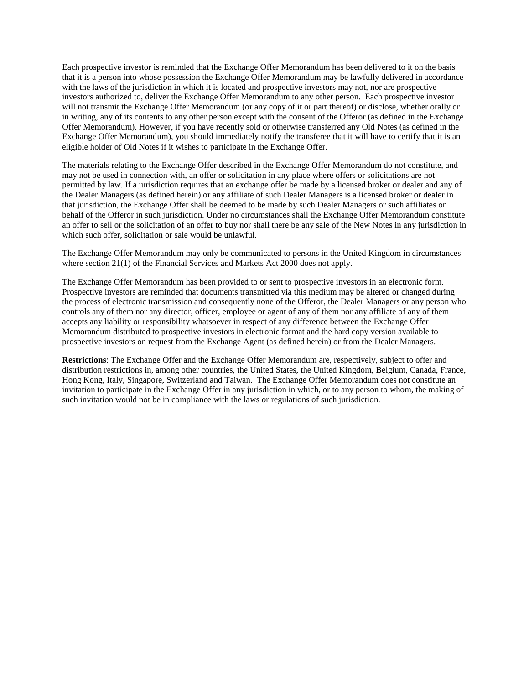Each prospective investor is reminded that the Exchange Offer Memorandum has been delivered to it on the basis that it is a person into whose possession the Exchange Offer Memorandum may be lawfully delivered in accordance with the laws of the jurisdiction in which it is located and prospective investors may not, nor are prospective investors authorized to, deliver the Exchange Offer Memorandum to any other person. Each prospective investor will not transmit the Exchange Offer Memorandum (or any copy of it or part thereof) or disclose, whether orally or in writing, any of its contents to any other person except with the consent of the Offeror (as defined in the Exchange Offer Memorandum). However, if you have recently sold or otherwise transferred any Old Notes (as defined in the Exchange Offer Memorandum), you should immediately notify the transferee that it will have to certify that it is an eligible holder of Old Notes if it wishes to participate in the Exchange Offer.

The materials relating to the Exchange Offer described in the Exchange Offer Memorandum do not constitute, and may not be used in connection with, an offer or solicitation in any place where offers or solicitations are not permitted by law. If a jurisdiction requires that an exchange offer be made by a licensed broker or dealer and any of the Dealer Managers (as defined herein) or any affiliate of such Dealer Managers is a licensed broker or dealer in that jurisdiction, the Exchange Offer shall be deemed to be made by such Dealer Managers or such affiliates on behalf of the Offeror in such jurisdiction. Under no circumstances shall the Exchange Offer Memorandum constitute an offer to sell or the solicitation of an offer to buy nor shall there be any sale of the New Notes in any jurisdiction in which such offer, solicitation or sale would be unlawful.

The Exchange Offer Memorandum may only be communicated to persons in the United Kingdom in circumstances where section 21(1) of the Financial Services and Markets Act 2000 does not apply.

The Exchange Offer Memorandum has been provided to or sent to prospective investors in an electronic form. Prospective investors are reminded that documents transmitted via this medium may be altered or changed during the process of electronic transmission and consequently none of the Offeror, the Dealer Managers or any person who controls any of them nor any director, officer, employee or agent of any of them nor any affiliate of any of them accepts any liability or responsibility whatsoever in respect of any difference between the Exchange Offer Memorandum distributed to prospective investors in electronic format and the hard copy version available to prospective investors on request from the Exchange Agent (as defined herein) or from the Dealer Managers.

**Restrictions**: The Exchange Offer and the Exchange Offer Memorandum are, respectively, subject to offer and distribution restrictions in, among other countries, the United States, the United Kingdom, Belgium, Canada, France, Hong Kong, Italy, Singapore, Switzerland and Taiwan. The Exchange Offer Memorandum does not constitute an invitation to participate in the Exchange Offer in any jurisdiction in which, or to any person to whom, the making of such invitation would not be in compliance with the laws or regulations of such jurisdiction.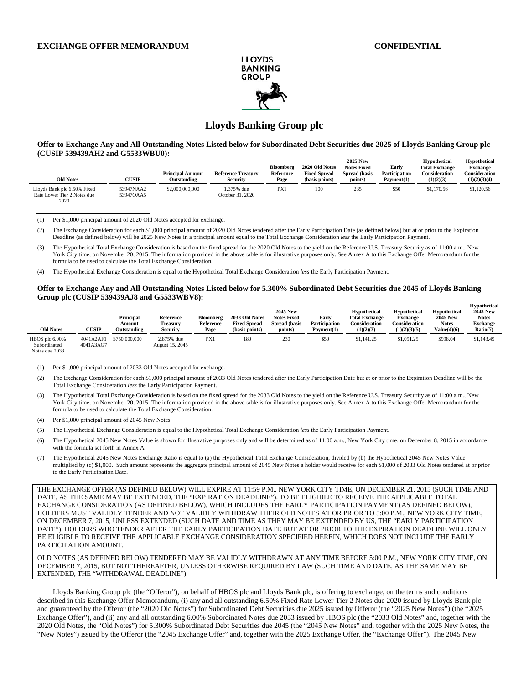**Hypothetical** 



# **Lloyds Banking Group plc**

**Offer to Exchange Any and All Outstanding Notes Listed below for Subordinated Debt Securities due 2025 of Lloyds Banking Group plc (CUSIP 539439AH2 and G5533WBU0): 2025 New Hypothetical Hypothetical** 

| <b>Old Notes</b>                                                   | <b>CUSIP</b>           | <b>Principal Amount</b><br>Outstanding | <b>Reference Treasury</b><br><b>Security</b> | <b>Bloomberg</b><br>Reference<br>Page | 2020 Old Notes<br><b>Fixed Spread</b><br>(basis points) | 2025 New<br><b>Notes Fixed</b><br>Spread (basis<br>points) | Early<br><b>Participation</b><br>Payment(1) | <b>H</b> ypothetical<br><b>Total Exchange</b><br>Consideration<br>(1)(2)(3) | <b>Hypothetical</b><br><b>Exchange</b><br>Consideration<br>(1)(2)(3)(4) |
|--------------------------------------------------------------------|------------------------|----------------------------------------|----------------------------------------------|---------------------------------------|---------------------------------------------------------|------------------------------------------------------------|---------------------------------------------|-----------------------------------------------------------------------------|-------------------------------------------------------------------------|
| Lloyds Bank plc 6.50% Fixed<br>Rate Lower Tier 2 Notes due<br>2020 | 53947NAA2<br>53947OAA5 | \$2,000,000,000                        | 1.375% due<br>October 31, 2020               | PX1                                   | 100                                                     | 235                                                        | \$50                                        | \$1,170.56                                                                  | \$1,120.56                                                              |

(1) Per \$1,000 principal amount of 2020 Old Notes accepted for exchange.

(2) The Exchange Consideration for each \$1,000 principal amount of 2020 Old Notes tendered after the Early Participation Date (as defined below) but at or prior to the Expiration Deadline (as defined below) will be 2025 New Notes in a principal amount equal to the Total Exchange Consideration *less* the Early Participation Payment.

(3) The Hypothetical Total Exchange Consideration is based on the fixed spread for the 2020 Old Notes to the yield on the Reference U.S. Treasury Security as of 11:00 a.m., New York City time, on November 20, 2015. The information provided in the above table is for illustrative purposes only. See Annex A to this Exchange Offer Memorandum for the formula to be used to calculate the Total Exchange Consideration.

(4) The Hypothetical Exchange Consideration is equal to the Hypothetical Total Exchange Consideration *less* the Early Participation Payment.

#### **Offer to Exchange Any and All Outstanding Notes Listed below for 5.300% Subordinated Debt Securities due 2045 of Lloyds Banking Group plc (CUSIP 539439AJ8 and G5533WBV8):**

| <b>Old Notes</b>                                 | <b>CUSIP</b>           | Principal<br>Amount<br>Outstanding | Reference<br>Treasurv<br><b>Security</b> | <b>Bloomberg</b><br>Reference<br>Page | 2033 Old Notes<br><b>Fixed Spread</b><br>(basis points) | <b>2045 New</b><br><b>Notes Fixed</b><br><b>Spread</b> (basis<br>points) | Early<br>Participation<br>Pavment(1) | <b>Hypothetical</b><br><b>Total Exchange</b><br>Consideration<br>(1)(2)(3) | <b>Hypothetical</b><br><b>Exchange</b><br>Consideration<br>(1)(2)(3)(5) | Hypothetical<br><b>2045 New</b><br><b>Notes</b><br>Value(4)(6) | . .<br><b>2045 New</b><br><b>Notes</b><br><b>Exchange</b><br>Ratio <sub>(7)</sub> |
|--------------------------------------------------|------------------------|------------------------------------|------------------------------------------|---------------------------------------|---------------------------------------------------------|--------------------------------------------------------------------------|--------------------------------------|----------------------------------------------------------------------------|-------------------------------------------------------------------------|----------------------------------------------------------------|-----------------------------------------------------------------------------------|
| HBOS plc 6.00%<br>Subordinated<br>Notes due 2033 | 4041A2AF1<br>4041A3AG7 | \$750,000,000                      | 2.875% due<br>August 15, 2045            | PX1                                   | 180                                                     | 230                                                                      | \$50                                 | \$1,141.25                                                                 | \$1.091.25                                                              | \$998.04                                                       | \$1,143.49                                                                        |

(1) Per \$1,000 principal amount of 2033 Old Notes accepted for exchange.

(2) The Exchange Consideration for each \$1,000 principal amount of 2033 Old Notes tendered after the Early Participation Date but at or prior to the Expiration Deadline will be the Total Exchange Consideration *less* the Early Participation Payment.

(3) The Hypothetical Total Exchange Consideration is based on the fixed spread for the 2033 Old Notes to the yield on the Reference U.S. Treasury Security as of 11:00 a.m., New York City time, on November 20, 2015. The information provided in the above table is for illustrative purposes only. See Annex A to this Exchange Offer Memorandum for the formula to be used to calculate the Total Exchange Consideration.

(4) Per \$1,000 principal amount of 2045 New Notes.

(5) The Hypothetical Exchange Consideration is equal to the Hypothetical Total Exchange Consideration *less* the Early Participation Payment.

(6) The Hypothetical 2045 New Notes Value is shown for illustrative purposes only and will be determined as of 11:00 a.m., New York City time, on December 8, 2015 in accordance with the formula set forth in Annex A.

(7) The Hypothetical 2045 New Notes Exchange Ratio is equal to (a) the Hypothetical Total Exchange Consideration, divided by (b) the Hypothetical 2045 New Notes Value multiplied by (c) \$1,000. Such amount represents the aggregate principal amount of 2045 New Notes a holder would receive for each \$1,000 of 2033 Old Notes tendered at or prior to the Early Participation Date.

THE EXCHANGE OFFER (AS DEFINED BELOW) WILL EXPIRE AT 11:59 P.M., NEW YORK CITY TIME, ON DECEMBER 21, 2015 (SUCH TIME AND DATE, AS THE SAME MAY BE EXTENDED, THE "EXPIRATION DEADLINE"). TO BE ELIGIBLE TO RECEIVE THE APPLICABLE TOTAL EXCHANGE CONSIDERATION (AS DEFINED BELOW), WHICH INCLUDES THE EARLY PARTICIPATION PAYMENT (AS DEFINED BELOW), HOLDERS MUST VALIDLY TENDER AND NOT VALIDLY WITHDRAW THEIR OLD NOTES AT OR PRIOR TO 5:00 P.M., NEW YORK CITY TIME, ON DECEMBER 7, 2015, UNLESS EXTENDED (SUCH DATE AND TIME AS THEY MAY BE EXTENDED BY US, THE "EARLY PARTICIPATION DATE"). HOLDERS WHO TENDER AFTER THE EARLY PARTICIPATION DATE BUT AT OR PRIOR TO THE EXPIRATION DEADLINE WILL ONLY BE ELIGIBLE TO RECEIVE THE APPLICABLE EXCHANGE CONSIDERATION SPECIFIED HEREIN, WHICH DOES NOT INCLUDE THE EARLY PARTICIPATION AMOUNT.

OLD NOTES (AS DEFINED BELOW) TENDERED MAY BE VALIDLY WITHDRAWN AT ANY TIME BEFORE 5:00 P.M., NEW YORK CITY TIME, ON DECEMBER 7, 2015, BUT NOT THEREAFTER, UNLESS OTHERWISE REQUIRED BY LAW (SUCH TIME AND DATE, AS THE SAME MAY BE EXTENDED, THE "WITHDRAWAL DEADLINE").

Lloyds Banking Group plc (the "Offeror"), on behalf of HBOS plc and Lloyds Bank plc, is offering to exchange, on the terms and conditions described in this Exchange Offer Memorandum, (i) any and all outstanding 6.50% Fixed Rate Lower Tier 2 Notes due 2020 issued by Lloyds Bank plc and guaranteed by the Offeror (the "2020 Old Notes") for Subordinated Debt Securities due 2025 issued by Offeror (the "2025 New Notes") (the "2025 Exchange Offer"), and (ii) any and all outstanding 6.00% Subordinated Notes due 2033 issued by HBOS plc (the "2033 Old Notes" and, together with the 2020 Old Notes, the "Old Notes") for 5.300% Subordinated Debt Securities due 2045 (the "2045 New Notes" and, together with the 2025 New Notes, the "New Notes") issued by the Offeror (the "2045 Exchange Offer" and, together with the 2025 Exchange Offer, the "Exchange Offer"). The 2045 New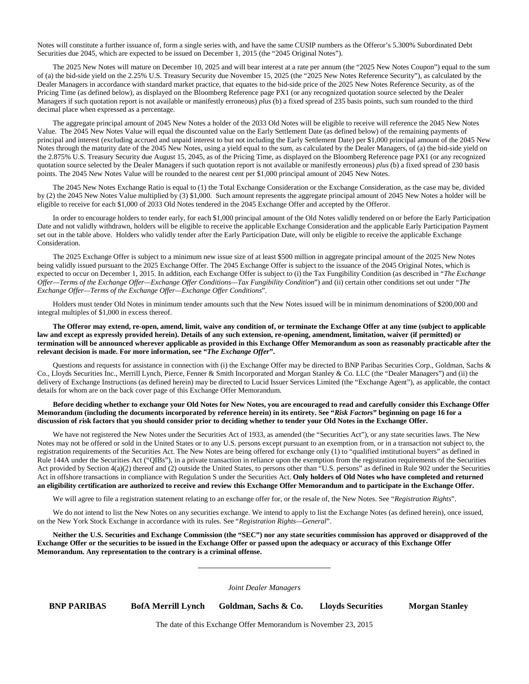Notes will constitute a further issuance of, form a single series with, and have the same CUSIP numbers as the Offeror's 5.300% Subordinated Debt Securities due 2045, which are expected to be issued on December 1, 2015 (the "2045 Original Notes").

The 2025 New Notes will mature on December 10, 2025 and will bear interest at a rate per annum (the "2025 New Notes Coupon") equal to the sum of (a) the bid-side yield on the 2.25% U.S. Treasury Security due November 15, 2025 (the "2025 New Notes Reference Security"), as calculated by the Dealer Managers in accordance with standard market practice, that equates to the bid-side price of the 2025 New Notes Reference Security, as of the Pricing Time (as defined below), as displayed on the Bloomberg Reference page PX1 (or any recognized quotation source selected by the Dealer Managers if such quotation report is not available or manifestly erroneous) *plus* (b) a fixed spread of 235 basis points, such sum rounded to the third decimal place when expressed as a percentage.

The aggregate principal amount of 2045 New Notes a holder of the 2033 Old Notes will be eligible to receive will reference the 2045 New Notes Value. The 2045 New Notes Value will equal the discounted value on the Early Settlement Date (as defined below) of the remaining payments of principal and interest (excluding accrued and unpaid interest to but not including the Early Settlement Date) per \$1,000 principal amount of the 2045 New Notes through the maturity date of the 2045 New Notes, using a yield equal to the sum, as calculated by the Dealer Managers, of (a) the bid-side yield on the 2.875% U.S. Treasury Security due August 15, 2045, as of the Pricing Time, as displayed on the Bloomberg Reference page PX1 (or any recognized quotation source selected by the Dealer Managers if such quotation report is not available or manifestly erroneous) *plus* (b) a fixed spread of 230 basis points. The 2045 New Notes Value will be rounded to the nearest cent per \$1,000 principal amount of 2045 New Notes.

The 2045 New Notes Exchange Ratio is equal to (1) the Total Exchange Consideration or the Exchange Consideration, as the case may be, divided by (2) the 2045 New Notes Value multiplied by (3) \$1,000. Such amount represents the aggregate principal amount of 2045 New Notes a holder will be eligible to receive for each \$1,000 of 2033 Old Notes tendered in the 2045 Exchange Offer and accepted by the Offeror.

In order to encourage holders to tender early, for each \$1,000 principal amount of the Old Notes validly tendered on or before the Early Participation Date and not validly withdrawn, holders will be eligible to receive the applicable Exchange Consideration and the applicable Early Participation Payment set out in the table above. Holders who validly tender after the Early Participation Date, will only be eligible to receive the applicable Exchange Consideration.

The 2025 Exchange Offer is subject to a minimum new issue size of at least \$500 million in aggregate principal amount of the 2025 New Notes being validly issued pursuant to the 2025 Exchange Offer. The 2045 Exchange Offer is subject to the issuance of the 2045 Original Notes, which is expected to occur on December 1, 2015. In addition, each Exchange Offer is subject to (i) the Tax Fungibility Condition (as described in "*The Exchange Offer—Terms of the Exchange Offer—Exchange Offer Conditions—Tax Fungibility Condition*") and (ii) certain other conditions set out under "*The Exchange Offer—Terms of the Exchange Offer—Exchange Offer Conditions*".

Holders must tender Old Notes in minimum tender amounts such that the New Notes issued will be in minimum denominations of \$200,000 and integral multiples of \$1,000 in excess thereof.

**The Offeror may extend, re-open, amend, limit, waive any condition of, or terminate the Exchange Offer at any time (subject to applicable law and except as expressly provided herein). Details of any such extension, re-opening, amendment, limitation, waiver (if permitted) or termination will be announced wherever applicable as provided in this Exchange Offer Memorandum as soon as reasonably practicable after the relevant decision is made. For more information, see "***The Exchange Offer***".**

Questions and requests for assistance in connection with (i) the Exchange Offer may be directed to BNP Paribas Securities Corp., Goldman, Sachs & Co., Lloyds Securities Inc., Merrill Lynch, Pierce, Fenner & Smith Incorporated and Morgan Stanley & Co. LLC (the "Dealer Managers") and (ii) the delivery of Exchange Instructions (as defined herein) may be directed to Lucid Issuer Services Limited (the "Exchange Agent"), as applicable, the contact details for whom are on the back cover page of this Exchange Offer Memorandum.

#### **Before deciding whether to exchange your Old Notes for New Notes, you are encouraged to read and carefully consider this Exchange Offer Memorandum (including the documents incorporated by reference herein) in its entirety. See "***Risk Factors***" beginning on pag[e 16](#page-27-0) for a discussion of risk factors that you should consider prior to deciding whether to tender your Old Notes in the Exchange Offer.**

We have not registered the New Notes under the Securities Act of 1933, as amended (the "Securities Act"), or any state securities laws. The New Notes may not be offered or sold in the United States or to any U.S. persons except pursuant to an exemption from, or in a transaction not subject to, the registration requirements of the Securities Act. The New Notes are being offered for exchange only (1) to "qualified institutional buyers" as defined in Rule 144A under the Securities Act ("QIBs"), in a private transaction in reliance upon the exemption from the registration requirements of the Securities Act provided by Section 4(a)(2) thereof and (2) outside the United States, to persons other than "U.S. persons" as defined in Rule 902 under the Securities Act in offshore transactions in compliance with Regulation S under the Securities Act. **Only holders of Old Notes who have completed and returned an eligibility certification are authorized to receive and review this Exchange Offer Memorandum and to participate in the Exchange Offer.** 

We will agree to file a registration statement relating to an exchange offer for, or the resale of, the New Notes. See "*Registration Rights*".

We do not intend to list the New Notes on any securities exchange. We intend to apply to list the Exchange Notes (as defined herein), once issued, on the New York Stock Exchange in accordance with its rules. See "*Registration Rights—General*".

**Neither the U.S. Securities and Exchange Commission (the "SEC") nor any state securities commission has approved or disapproved of the Exchange Offer or the securities to be issued in the Exchange Offer or passed upon the adequacy or accuracy of this Exchange Offer Memorandum. Any representation to the contrary is a criminal offense.**

*Joint Dealer Managers*

**BNP PARIBAS BofA Merrill Lynch Goldman, Sachs & Co. Lloyds Securities Morgan Stanley**

The date of this Exchange Offer Memorandum is November 23, 2015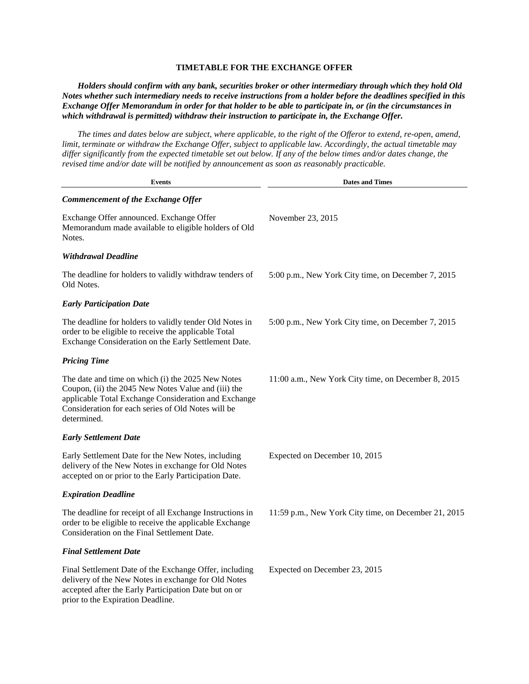# **TIMETABLE FOR THE EXCHANGE OFFER**

*Holders should confirm with any bank, securities broker or other intermediary through which they hold Old Notes whether such intermediary needs to receive instructions from a holder before the deadlines specified in this Exchange Offer Memorandum in order for that holder to be able to participate in, or (in the circumstances in which withdrawal is permitted) withdraw their instruction to participate in, the Exchange Offer.* 

*The times and dates below are subject, where applicable, to the right of the Offeror to extend, re-open, amend, limit, terminate or withdraw the Exchange Offer, subject to applicable law. Accordingly, the actual timetable may differ significantly from the expected timetable set out below. If any of the below times and/or dates change, the revised time and/or date will be notified by announcement as soon as reasonably practicable.*

| <b>Events</b>                                                                                                                                                                                                                         | <b>Dates and Times</b>                               |
|---------------------------------------------------------------------------------------------------------------------------------------------------------------------------------------------------------------------------------------|------------------------------------------------------|
| Commencement of the Exchange Offer                                                                                                                                                                                                    |                                                      |
| Exchange Offer announced. Exchange Offer<br>Memorandum made available to eligible holders of Old<br>Notes.                                                                                                                            | November 23, 2015                                    |
| <b>Withdrawal Deadline</b>                                                                                                                                                                                                            |                                                      |
| The deadline for holders to validly withdraw tenders of<br>Old Notes.                                                                                                                                                                 | 5:00 p.m., New York City time, on December 7, 2015   |
| <b>Early Participation Date</b>                                                                                                                                                                                                       |                                                      |
| The deadline for holders to validly tender Old Notes in<br>order to be eligible to receive the applicable Total<br>Exchange Consideration on the Early Settlement Date.                                                               | 5:00 p.m., New York City time, on December 7, 2015   |
| <b>Pricing Time</b>                                                                                                                                                                                                                   |                                                      |
| The date and time on which (i) the 2025 New Notes<br>Coupon, (ii) the 2045 New Notes Value and (iii) the<br>applicable Total Exchange Consideration and Exchange<br>Consideration for each series of Old Notes will be<br>determined. | 11:00 a.m., New York City time, on December 8, 2015  |
| <b>Early Settlement Date</b>                                                                                                                                                                                                          |                                                      |
| Early Settlement Date for the New Notes, including<br>delivery of the New Notes in exchange for Old Notes<br>accepted on or prior to the Early Participation Date.                                                                    | Expected on December 10, 2015                        |
| <b>Expiration Deadline</b>                                                                                                                                                                                                            |                                                      |
| The deadline for receipt of all Exchange Instructions in<br>order to be eligible to receive the applicable Exchange<br>Consideration on the Final Settlement Date.                                                                    | 11:59 p.m., New York City time, on December 21, 2015 |
| <b>Final Settlement Date</b>                                                                                                                                                                                                          |                                                      |
| Final Settlement Date of the Exchange Offer, including<br>delivery of the New Notes in exchange for Old Notes<br>accepted after the Early Participation Date but on or<br>prior to the Expiration Deadline.                           | Expected on December 23, 2015                        |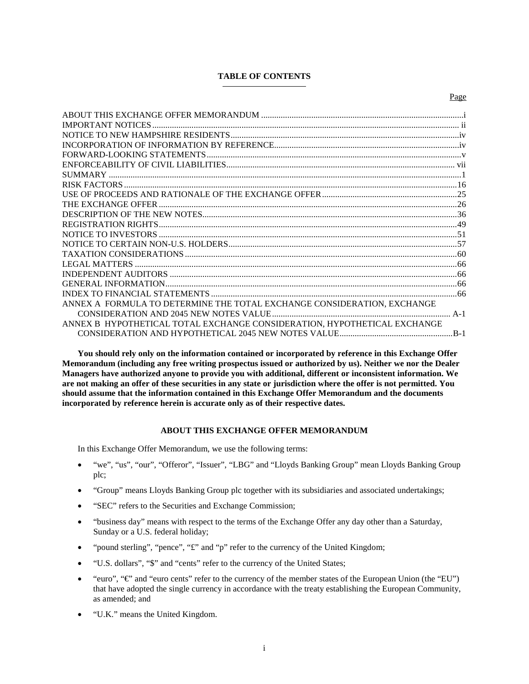# **TABLE OF CONTENTS**

Page

| ANNEX A FORMULA TO DETERMINE THE TOTAL EXCHANGE CONSIDERATION. EXCHANGE |  |
|-------------------------------------------------------------------------|--|
|                                                                         |  |

[CONSIDERATION AND HYPOTHETICAL 2045 NEW NOTES VALUE....................................................B-1](#page-79-0) **You should rely only on the information contained or incorporated by reference in this Exchange Offer Memorandum (including any free writing prospectus issued or authorized by us). Neither we nor the Dealer** 

[ANNEX B HYPOTHETICAL TOTAL EXCHANGE CONSIDERATION, HYPOTHETICAL EXCHANGE](#page-79-0) 

**Managers have authorized anyone to provide you with additional, different or inconsistent information. We are not making an offer of these securities in any state or jurisdiction where the offer is not permitted. You should assume that the information contained in this Exchange Offer Memorandum and the documents incorporated by reference herein is accurate only as of their respective dates.**

#### **ABOUT THIS EXCHANGE OFFER MEMORANDUM**

<span id="page-5-0"></span>In this Exchange Offer Memorandum, we use the following terms:

- "we", "us", "our", "Offeror", "Issuer", "LBG" and "Lloyds Banking Group" mean Lloyds Banking Group plc;
- "Group" means Lloyds Banking Group plc together with its subsidiaries and associated undertakings;
- "SEC" refers to the Securities and Exchange Commission;
- "business day" means with respect to the terms of the Exchange Offer any day other than a Saturday, Sunday or a U.S. federal holiday;
- "pound sterling", "pence", "£" and "p" refer to the currency of the United Kingdom;
- "U.S. dollars", "\$" and "cents" refer to the currency of the United States;
- "euro", "€" and "euro cents" refer to the currency of the member states of the European Union (the "EU") that have adopted the single currency in accordance with the treaty establishing the European Community, as amended; and
- "U.K." means the United Kingdom.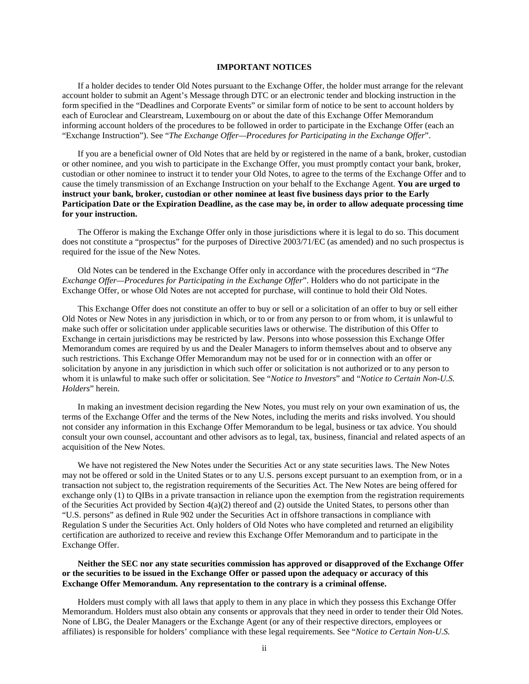### **IMPORTANT NOTICES**

<span id="page-6-0"></span>If a holder decides to tender Old Notes pursuant to the Exchange Offer, the holder must arrange for the relevant account holder to submit an Agent's Message through DTC or an electronic tender and blocking instruction in the form specified in the "Deadlines and Corporate Events" or similar form of notice to be sent to account holders by each of Euroclear and Clearstream, Luxembourg on or about the date of this Exchange Offer Memorandum informing account holders of the procedures to be followed in order to participate in the Exchange Offer (each an "Exchange Instruction"). See "*The Exchange Offer—Procedures for Participating in the Exchange Offer*".

If you are a beneficial owner of Old Notes that are held by or registered in the name of a bank, broker, custodian or other nominee, and you wish to participate in the Exchange Offer, you must promptly contact your bank, broker, custodian or other nominee to instruct it to tender your Old Notes, to agree to the terms of the Exchange Offer and to cause the timely transmission of an Exchange Instruction on your behalf to the Exchange Agent. **You are urged to instruct your bank, broker, custodian or other nominee at least five business days prior to the Early Participation Date or the Expiration Deadline, as the case may be, in order to allow adequate processing time for your instruction.**

The Offeror is making the Exchange Offer only in those jurisdictions where it is legal to do so. This document does not constitute a "prospectus" for the purposes of Directive 2003/71/EC (as amended) and no such prospectus is required for the issue of the New Notes.

Old Notes can be tendered in the Exchange Offer only in accordance with the procedures described in "*The Exchange Offer—Procedures for Participating in the Exchange Offer*". Holders who do not participate in the Exchange Offer, or whose Old Notes are not accepted for purchase, will continue to hold their Old Notes.

This Exchange Offer does not constitute an offer to buy or sell or a solicitation of an offer to buy or sell either Old Notes or New Notes in any jurisdiction in which, or to or from any person to or from whom, it is unlawful to make such offer or solicitation under applicable securities laws or otherwise. The distribution of this Offer to Exchange in certain jurisdictions may be restricted by law. Persons into whose possession this Exchange Offer Memorandum comes are required by us and the Dealer Managers to inform themselves about and to observe any such restrictions. This Exchange Offer Memorandum may not be used for or in connection with an offer or solicitation by anyone in any jurisdiction in which such offer or solicitation is not authorized or to any person to whom it is unlawful to make such offer or solicitation. See "*Notice to Investors*" and "*Notice to Certain Non-U.S. Holders*" herein.

In making an investment decision regarding the New Notes, you must rely on your own examination of us, the terms of the Exchange Offer and the terms of the New Notes, including the merits and risks involved. You should not consider any information in this Exchange Offer Memorandum to be legal, business or tax advice. You should consult your own counsel, accountant and other advisors as to legal, tax, business, financial and related aspects of an acquisition of the New Notes.

We have not registered the New Notes under the Securities Act or any state securities laws. The New Notes may not be offered or sold in the United States or to any U.S. persons except pursuant to an exemption from, or in a transaction not subject to, the registration requirements of the Securities Act. The New Notes are being offered for exchange only (1) to QIBs in a private transaction in reliance upon the exemption from the registration requirements of the Securities Act provided by Section  $4(a)(2)$  thereof and  $(2)$  outside the United States, to persons other than "U.S. persons" as defined in Rule 902 under the Securities Act in offshore transactions in compliance with Regulation S under the Securities Act. Only holders of Old Notes who have completed and returned an eligibility certification are authorized to receive and review this Exchange Offer Memorandum and to participate in the Exchange Offer.

### **Neither the SEC nor any state securities commission has approved or disapproved of the Exchange Offer or the securities to be issued in the Exchange Offer or passed upon the adequacy or accuracy of this Exchange Offer Memorandum. Any representation to the contrary is a criminal offense.**

Holders must comply with all laws that apply to them in any place in which they possess this Exchange Offer Memorandum. Holders must also obtain any consents or approvals that they need in order to tender their Old Notes. None of LBG, the Dealer Managers or the Exchange Agent (or any of their respective directors, employees or affiliates) is responsible for holders' compliance with these legal requirements. See "*Notice to Certain Non-U.S.*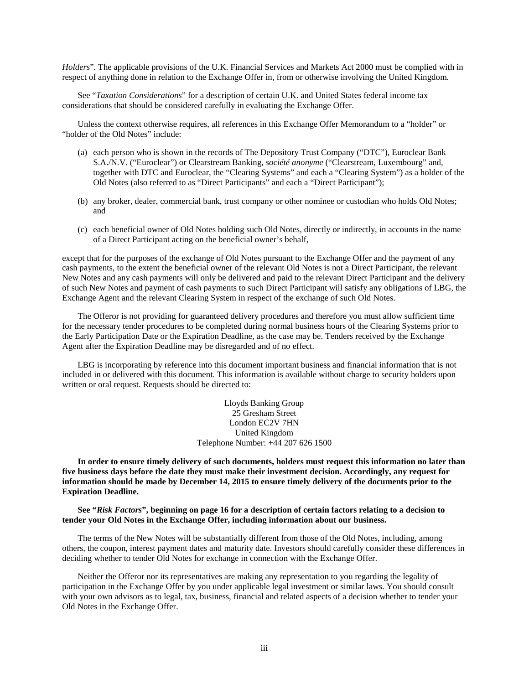*Holders*". The applicable provisions of the U.K. Financial Services and Markets Act 2000 must be complied with in respect of anything done in relation to the Exchange Offer in, from or otherwise involving the United Kingdom.

See "*Taxation Considerations*" for a description of certain U.K. and United States federal income tax considerations that should be considered carefully in evaluating the Exchange Offer.

Unless the context otherwise requires, all references in this Exchange Offer Memorandum to a "holder" or "holder of the Old Notes" include:

- (a) each person who is shown in the records of The Depository Trust Company ("DTC"), Euroclear Bank S.A./N.V. ("Euroclear") or Clearstream Banking, *société anonyme* ("Clearstream, Luxembourg" and, together with DTC and Euroclear, the "Clearing Systems" and each a "Clearing System") as a holder of the Old Notes (also referred to as "Direct Participants" and each a "Direct Participant");
- (b) any broker, dealer, commercial bank, trust company or other nominee or custodian who holds Old Notes; and
- (c) each beneficial owner of Old Notes holding such Old Notes, directly or indirectly, in accounts in the name of a Direct Participant acting on the beneficial owner's behalf,

except that for the purposes of the exchange of Old Notes pursuant to the Exchange Offer and the payment of any cash payments, to the extent the beneficial owner of the relevant Old Notes is not a Direct Participant, the relevant New Notes and any cash payments will only be delivered and paid to the relevant Direct Participant and the delivery of such New Notes and payment of cash payments to such Direct Participant will satisfy any obligations of LBG, the Exchange Agent and the relevant Clearing System in respect of the exchange of such Old Notes.

The Offeror is not providing for guaranteed delivery procedures and therefore you must allow sufficient time for the necessary tender procedures to be completed during normal business hours of the Clearing Systems prior to the Early Participation Date or the Expiration Deadline, as the case may be. Tenders received by the Exchange Agent after the Expiration Deadline may be disregarded and of no effect.

LBG is incorporating by reference into this document important business and financial information that is not included in or delivered with this document. This information is available without charge to security holders upon written or oral request. Requests should be directed to:

> Lloyds Banking Group 25 Gresham Street London EC2V 7HN United Kingdom Telephone Number: +44 207 626 1500

**In order to ensure timely delivery of such documents, holders must request this information no later than five business days before the date they must make their investment decision. Accordingly, any request for information should be made by December 14, 2015 to ensure timely delivery of the documents prior to the Expiration Deadline.**

**See "***Risk Factors***", beginning on page 16 for a description of certain factors relating to a decision to tender your Old Notes in the Exchange Offer, including information about our business.** 

The terms of the New Notes will be substantially different from those of the Old Notes, including, among others, the coupon, interest payment dates and maturity date. Investors should carefully consider these differences in deciding whether to tender Old Notes for exchange in connection with the Exchange Offer.

Neither the Offeror nor its representatives are making any representation to you regarding the legality of participation in the Exchange Offer by you under applicable legal investment or similar laws. You should consult with your own advisors as to legal, tax, business, financial and related aspects of a decision whether to tender your Old Notes in the Exchange Offer.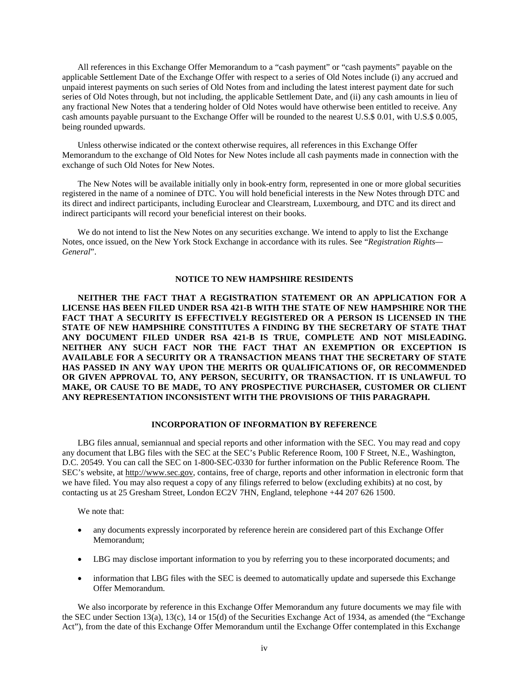All references in this Exchange Offer Memorandum to a "cash payment" or "cash payments" payable on the applicable Settlement Date of the Exchange Offer with respect to a series of Old Notes include (i) any accrued and unpaid interest payments on such series of Old Notes from and including the latest interest payment date for such series of Old Notes through, but not including, the applicable Settlement Date, and (ii) any cash amounts in lieu of any fractional New Notes that a tendering holder of Old Notes would have otherwise been entitled to receive. Any cash amounts payable pursuant to the Exchange Offer will be rounded to the nearest U.S.\$ 0.01, with U.S.\$ 0.005, being rounded upwards.

Unless otherwise indicated or the context otherwise requires, all references in this Exchange Offer Memorandum to the exchange of Old Notes for New Notes include all cash payments made in connection with the exchange of such Old Notes for New Notes.

The New Notes will be available initially only in book-entry form, represented in one or more global securities registered in the name of a nominee of DTC. You will hold beneficial interests in the New Notes through DTC and its direct and indirect participants, including Euroclear and Clearstream, Luxembourg, and DTC and its direct and indirect participants will record your beneficial interest on their books.

We do not intend to list the New Notes on any securities exchange. We intend to apply to list the Exchange Notes, once issued, on the New York Stock Exchange in accordance with its rules. See "*Registration Rights— General*".

#### **NOTICE TO NEW HAMPSHIRE RESIDENTS**

<span id="page-8-0"></span>**NEITHER THE FACT THAT A REGISTRATION STATEMENT OR AN APPLICATION FOR A LICENSE HAS BEEN FILED UNDER RSA 421-B WITH THE STATE OF NEW HAMPSHIRE NOR THE FACT THAT A SECURITY IS EFFECTIVELY REGISTERED OR A PERSON IS LICENSED IN THE STATE OF NEW HAMPSHIRE CONSTITUTES A FINDING BY THE SECRETARY OF STATE THAT ANY DOCUMENT FILED UNDER RSA 421-B IS TRUE, COMPLETE AND NOT MISLEADING. NEITHER ANY SUCH FACT NOR THE FACT THAT AN EXEMPTION OR EXCEPTION IS AVAILABLE FOR A SECURITY OR A TRANSACTION MEANS THAT THE SECRETARY OF STATE HAS PASSED IN ANY WAY UPON THE MERITS OR QUALIFICATIONS OF, OR RECOMMENDED OR GIVEN APPROVAL TO, ANY PERSON, SECURITY, OR TRANSACTION. IT IS UNLAWFUL TO MAKE, OR CAUSE TO BE MADE, TO ANY PROSPECTIVE PURCHASER, CUSTOMER OR CLIENT ANY REPRESENTATION INCONSISTENT WITH THE PROVISIONS OF THIS PARAGRAPH.**

#### **INCORPORATION OF INFORMATION BY REFERENCE**

<span id="page-8-1"></span>LBG files annual, semiannual and special reports and other information with the SEC. You may read and copy any document that LBG files with the SEC at the SEC's Public Reference Room, 100 F Street, N.E., Washington, D.C. 20549. You can call the SEC on 1-800-SEC-0330 for further information on the Public Reference Room. The SEC's website, at http://www.sec.gov, contains, free of charge, reports and other information in electronic form that we have filed. You may also request a copy of any filings referred to below (excluding exhibits) at no cost, by contacting us at 25 Gresham Street, London EC2V 7HN, England, telephone +44 207 626 1500.

We note that:

- any documents expressly incorporated by reference herein are considered part of this Exchange Offer Memorandum;
- LBG may disclose important information to you by referring you to these incorporated documents; and
- information that LBG files with the SEC is deemed to automatically update and supersede this Exchange Offer Memorandum.

We also incorporate by reference in this Exchange Offer Memorandum any future documents we may file with the SEC under Section 13(a), 13(c), 14 or 15(d) of the Securities Exchange Act of 1934, as amended (the "Exchange Act"), from the date of this Exchange Offer Memorandum until the Exchange Offer contemplated in this Exchange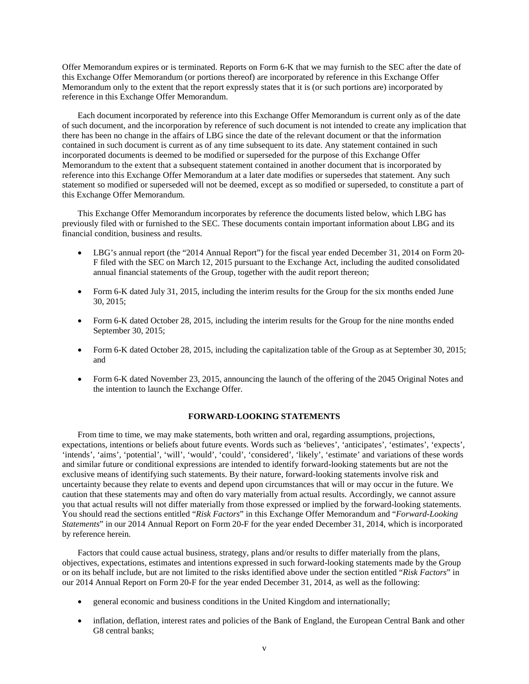Offer Memorandum expires or is terminated. Reports on Form 6-K that we may furnish to the SEC after the date of this Exchange Offer Memorandum (or portions thereof) are incorporated by reference in this Exchange Offer Memorandum only to the extent that the report expressly states that it is (or such portions are) incorporated by reference in this Exchange Offer Memorandum.

Each document incorporated by reference into this Exchange Offer Memorandum is current only as of the date of such document, and the incorporation by reference of such document is not intended to create any implication that there has been no change in the affairs of LBG since the date of the relevant document or that the information contained in such document is current as of any time subsequent to its date. Any statement contained in such incorporated documents is deemed to be modified or superseded for the purpose of this Exchange Offer Memorandum to the extent that a subsequent statement contained in another document that is incorporated by reference into this Exchange Offer Memorandum at a later date modifies or supersedes that statement. Any such statement so modified or superseded will not be deemed, except as so modified or superseded, to constitute a part of this Exchange Offer Memorandum.

This Exchange Offer Memorandum incorporates by reference the documents listed below, which LBG has previously filed with or furnished to the SEC. These documents contain important information about LBG and its financial condition, business and results.

- LBG's annual report (the "2014 Annual Report") for the fiscal year ended December 31, 2014 on Form 20- F filed with the SEC on March 12, 2015 pursuant to the Exchange Act, including the audited consolidated annual financial statements of the Group, together with the audit report thereon;
- Form 6-K dated July 31, 2015, including the interim results for the Group for the six months ended June 30, 2015;
- Form 6-K dated October 28, 2015, including the interim results for the Group for the nine months ended September 30, 2015;
- Form 6-K dated October 28, 2015, including the capitalization table of the Group as at September 30, 2015; and
- Form 6-K dated November 23, 2015, announcing the launch of the offering of the 2045 Original Notes and the intention to launch the Exchange Offer.

### **FORWARD-LOOKING STATEMENTS**

<span id="page-9-0"></span>From time to time, we may make statements, both written and oral, regarding assumptions, projections, expectations, intentions or beliefs about future events. Words such as 'believes', 'anticipates', 'estimates', 'expects', 'intends', 'aims', 'potential', 'will', 'would', 'could', 'considered', 'likely', 'estimate' and variations of these words and similar future or conditional expressions are intended to identify forward-looking statements but are not the exclusive means of identifying such statements. By their nature, forward-looking statements involve risk and uncertainty because they relate to events and depend upon circumstances that will or may occur in the future. We caution that these statements may and often do vary materially from actual results. Accordingly, we cannot assure you that actual results will not differ materially from those expressed or implied by the forward-looking statements. You should read the sections entitled "*Risk Factors*" in this Exchange Offer Memorandum and "*Forward-Looking Statements*" in our 2014 Annual Report on Form 20-F for the year ended December 31, 2014, which is incorporated by reference herein.

Factors that could cause actual business, strategy, plans and/or results to differ materially from the plans, objectives, expectations, estimates and intentions expressed in such forward-looking statements made by the Group or on its behalf include, but are not limited to the risks identified above under the section entitled "*Risk Factors*" in our 2014 Annual Report on Form 20-F for the year ended December 31, 2014, as well as the following:

- general economic and business conditions in the United Kingdom and internationally;
- inflation, deflation, interest rates and policies of the Bank of England, the European Central Bank and other G8 central banks;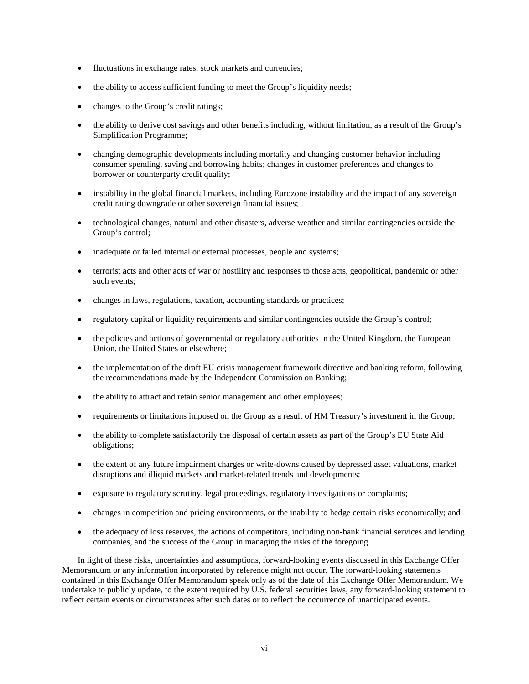- fluctuations in exchange rates, stock markets and currencies;
- the ability to access sufficient funding to meet the Group's liquidity needs;
- changes to the Group's credit ratings;
- the ability to derive cost savings and other benefits including, without limitation, as a result of the Group's Simplification Programme;
- changing demographic developments including mortality and changing customer behavior including consumer spending, saving and borrowing habits; changes in customer preferences and changes to borrower or counterparty credit quality;
- instability in the global financial markets, including Eurozone instability and the impact of any sovereign credit rating downgrade or other sovereign financial issues;
- technological changes, natural and other disasters, adverse weather and similar contingencies outside the Group's control;
- inadequate or failed internal or external processes, people and systems;
- terrorist acts and other acts of war or hostility and responses to those acts, geopolitical, pandemic or other such events;
- changes in laws, regulations, taxation, accounting standards or practices;
- regulatory capital or liquidity requirements and similar contingencies outside the Group's control;
- the policies and actions of governmental or regulatory authorities in the United Kingdom, the European Union, the United States or elsewhere;
- the implementation of the draft EU crisis management framework directive and banking reform, following the recommendations made by the Independent Commission on Banking;
- the ability to attract and retain senior management and other employees;
- requirements or limitations imposed on the Group as a result of HM Treasury's investment in the Group;
- the ability to complete satisfactorily the disposal of certain assets as part of the Group's EU State Aid obligations;
- the extent of any future impairment charges or write-downs caused by depressed asset valuations, market disruptions and illiquid markets and market-related trends and developments;
- exposure to regulatory scrutiny, legal proceedings, regulatory investigations or complaints;
- changes in competition and pricing environments, or the inability to hedge certain risks economically; and
- the adequacy of loss reserves, the actions of competitors, including non-bank financial services and lending companies, and the success of the Group in managing the risks of the foregoing.

In light of these risks, uncertainties and assumptions, forward-looking events discussed in this Exchange Offer Memorandum or any information incorporated by reference might not occur. The forward-looking statements contained in this Exchange Offer Memorandum speak only as of the date of this Exchange Offer Memorandum. We undertake to publicly update, to the extent required by U.S. federal securities laws, any forward-looking statement to reflect certain events or circumstances after such dates or to reflect the occurrence of unanticipated events.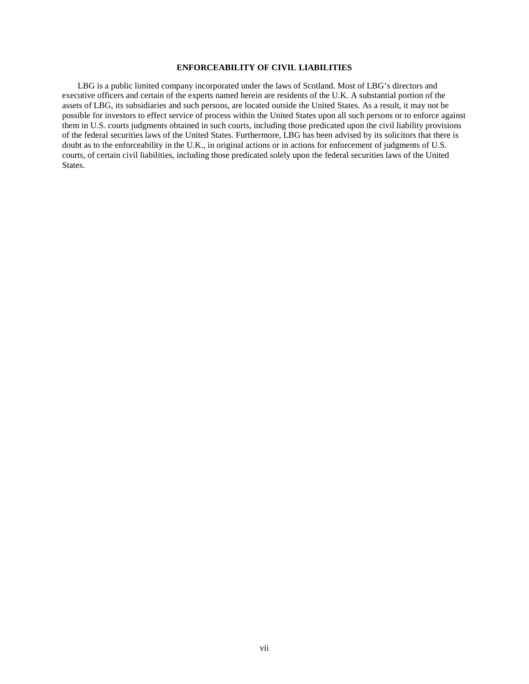# **ENFORCEABILITY OF CIVIL LIABILITIES**

<span id="page-11-0"></span>LBG is a public limited company incorporated under the laws of Scotland. Most of LBG's directors and executive officers and certain of the experts named herein are residents of the U.K. A substantial portion of the assets of LBG, its subsidiaries and such persons, are located outside the United States. As a result, it may not be possible for investors to effect service of process within the United States upon all such persons or to enforce against them in U.S. courts judgments obtained in such courts, including those predicated upon the civil liability provisions of the federal securities laws of the United States. Furthermore, LBG has been advised by its solicitors that there is doubt as to the enforceability in the U.K., in original actions or in actions for enforcement of judgments of U.S. courts, of certain civil liabilities, including those predicated solely upon the federal securities laws of the United States.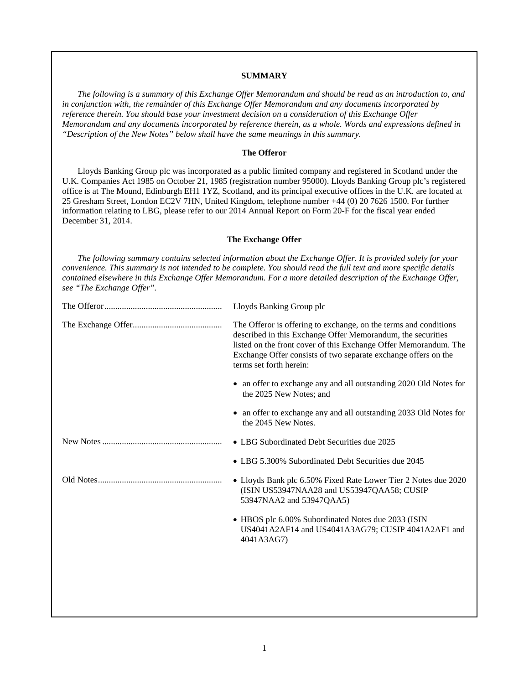### **SUMMARY**

<span id="page-12-0"></span>*The following is a summary of this Exchange Offer Memorandum and should be read as an introduction to, and in conjunction with, the remainder of this Exchange Offer Memorandum and any documents incorporated by reference therein. You should base your investment decision on a consideration of this Exchange Offer Memorandum and any documents incorporated by reference therein, as a whole. Words and expressions defined in "Description of the New Notes" below shall have the same meanings in this summary.*

### **The Offeror**

Lloyds Banking Group plc was incorporated as a public limited company and registered in Scotland under the U.K. Companies Act 1985 on October 21, 1985 (registration number 95000). Lloyds Banking Group plc's registered office is at The Mound, Edinburgh EH1 1YZ, Scotland, and its principal executive offices in the U.K. are located at 25 Gresham Street, London EC2V 7HN, United Kingdom, telephone number +44 (0) 20 7626 1500. For further information relating to LBG, please refer to our 2014 Annual Report on Form 20-F for the fiscal year ended December 31, 2014.

#### **The Exchange Offer**

*The following summary contains selected information about the Exchange Offer. It is provided solely for your convenience. This summary is not intended to be complete. You should read the full text and more specific details contained elsewhere in this Exchange Offer Memorandum. For a more detailed description of the Exchange Offer, see "The Exchange Offer".*

| Lloyds Banking Group plc                                                                                                                                                                                                                                                                         |
|--------------------------------------------------------------------------------------------------------------------------------------------------------------------------------------------------------------------------------------------------------------------------------------------------|
| The Offeror is offering to exchange, on the terms and conditions<br>described in this Exchange Offer Memorandum, the securities<br>listed on the front cover of this Exchange Offer Memorandum. The<br>Exchange Offer consists of two separate exchange offers on the<br>terms set forth herein: |
| • an offer to exchange any and all outstanding 2020 Old Notes for<br>the 2025 New Notes; and                                                                                                                                                                                                     |
| an offer to exchange any and all outstanding 2033 Old Notes for<br>$\bullet$<br>the 2045 New Notes.                                                                                                                                                                                              |
| • LBG Subordinated Debt Securities due 2025                                                                                                                                                                                                                                                      |
| • LBG 5.300% Subordinated Debt Securities due 2045                                                                                                                                                                                                                                               |
| • Lloyds Bank plc 6.50% Fixed Rate Lower Tier 2 Notes due 2020<br>(ISIN US53947NAA28 and US53947QAA58; CUSIP<br>53947NAA2 and 53947QAA5)                                                                                                                                                         |
| • HBOS plc 6.00% Subordinated Notes due 2033 (ISIN<br>US4041A2AF14 and US4041A3AG79; CUSIP 4041A2AF1 and<br>4041A3AG7)                                                                                                                                                                           |
|                                                                                                                                                                                                                                                                                                  |
|                                                                                                                                                                                                                                                                                                  |
|                                                                                                                                                                                                                                                                                                  |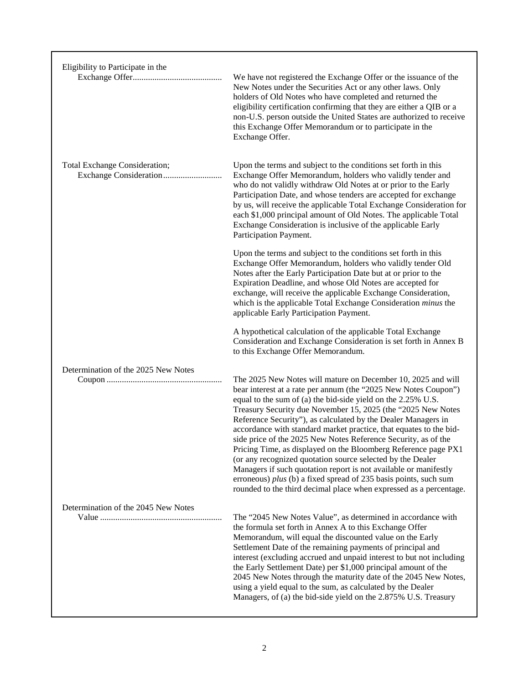| Eligibility to Participate in the   |                                                                                                                                                                                                                                                                                                                                                                                                                                                                                                                                                                                                                                                                                                                                                                                                                        |
|-------------------------------------|------------------------------------------------------------------------------------------------------------------------------------------------------------------------------------------------------------------------------------------------------------------------------------------------------------------------------------------------------------------------------------------------------------------------------------------------------------------------------------------------------------------------------------------------------------------------------------------------------------------------------------------------------------------------------------------------------------------------------------------------------------------------------------------------------------------------|
|                                     | We have not registered the Exchange Offer or the issuance of the<br>New Notes under the Securities Act or any other laws. Only<br>holders of Old Notes who have completed and returned the<br>eligibility certification confirming that they are either a QIB or a<br>non-U.S. person outside the United States are authorized to receive<br>this Exchange Offer Memorandum or to participate in the<br>Exchange Offer.                                                                                                                                                                                                                                                                                                                                                                                                |
| Total Exchange Consideration;       | Upon the terms and subject to the conditions set forth in this<br>Exchange Offer Memorandum, holders who validly tender and<br>who do not validly withdraw Old Notes at or prior to the Early<br>Participation Date, and whose tenders are accepted for exchange<br>by us, will receive the applicable Total Exchange Consideration for<br>each \$1,000 principal amount of Old Notes. The applicable Total<br>Exchange Consideration is inclusive of the applicable Early<br>Participation Payment.                                                                                                                                                                                                                                                                                                                   |
|                                     | Upon the terms and subject to the conditions set forth in this<br>Exchange Offer Memorandum, holders who validly tender Old<br>Notes after the Early Participation Date but at or prior to the<br>Expiration Deadline, and whose Old Notes are accepted for<br>exchange, will receive the applicable Exchange Consideration,<br>which is the applicable Total Exchange Consideration minus the<br>applicable Early Participation Payment.                                                                                                                                                                                                                                                                                                                                                                              |
|                                     | A hypothetical calculation of the applicable Total Exchange<br>Consideration and Exchange Consideration is set forth in Annex B<br>to this Exchange Offer Memorandum.                                                                                                                                                                                                                                                                                                                                                                                                                                                                                                                                                                                                                                                  |
| Determination of the 2025 New Notes | The 2025 New Notes will mature on December 10, 2025 and will<br>bear interest at a rate per annum (the "2025 New Notes Coupon")<br>equal to the sum of (a) the bid-side yield on the 2.25% U.S.<br>Treasury Security due November 15, 2025 (the "2025 New Notes<br>Reference Security"), as calculated by the Dealer Managers in<br>accordance with standard market practice, that equates to the bid-<br>side price of the 2025 New Notes Reference Security, as of the<br>Pricing Time, as displayed on the Bloomberg Reference page PX1<br>(or any recognized quotation source selected by the Dealer<br>Managers if such quotation report is not available or manifestly<br>erroneous) plus (b) a fixed spread of 235 basis points, such sum<br>rounded to the third decimal place when expressed as a percentage. |
| Determination of the 2045 New Notes | The "2045 New Notes Value", as determined in accordance with<br>the formula set forth in Annex A to this Exchange Offer<br>Memorandum, will equal the discounted value on the Early<br>Settlement Date of the remaining payments of principal and<br>interest (excluding accrued and unpaid interest to but not including<br>the Early Settlement Date) per \$1,000 principal amount of the<br>2045 New Notes through the maturity date of the 2045 New Notes,<br>using a yield equal to the sum, as calculated by the Dealer<br>Managers, of (a) the bid-side yield on the 2.875% U.S. Treasury                                                                                                                                                                                                                       |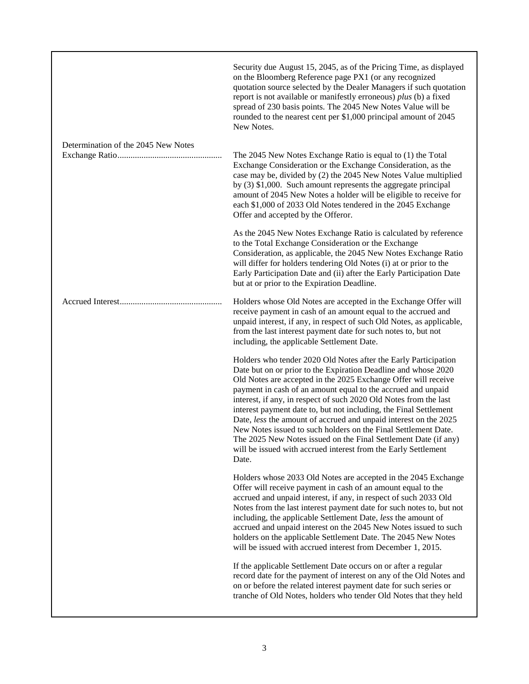|                                     | Security due August 15, 2045, as of the Pricing Time, as displayed<br>on the Bloomberg Reference page PX1 (or any recognized<br>quotation source selected by the Dealer Managers if such quotation<br>report is not available or manifestly erroneous) plus (b) a fixed<br>spread of 230 basis points. The 2045 New Notes Value will be<br>rounded to the nearest cent per \$1,000 principal amount of 2045<br>New Notes.                                                                                                                                                                                                                                                                         |
|-------------------------------------|---------------------------------------------------------------------------------------------------------------------------------------------------------------------------------------------------------------------------------------------------------------------------------------------------------------------------------------------------------------------------------------------------------------------------------------------------------------------------------------------------------------------------------------------------------------------------------------------------------------------------------------------------------------------------------------------------|
| Determination of the 2045 New Notes | The 2045 New Notes Exchange Ratio is equal to (1) the Total<br>Exchange Consideration or the Exchange Consideration, as the<br>case may be, divided by (2) the 2045 New Notes Value multiplied<br>by (3) \$1,000. Such amount represents the aggregate principal<br>amount of 2045 New Notes a holder will be eligible to receive for<br>each \$1,000 of 2033 Old Notes tendered in the 2045 Exchange<br>Offer and accepted by the Offeror.                                                                                                                                                                                                                                                       |
|                                     | As the 2045 New Notes Exchange Ratio is calculated by reference<br>to the Total Exchange Consideration or the Exchange<br>Consideration, as applicable, the 2045 New Notes Exchange Ratio<br>will differ for holders tendering Old Notes (i) at or prior to the<br>Early Participation Date and (ii) after the Early Participation Date<br>but at or prior to the Expiration Deadline.                                                                                                                                                                                                                                                                                                            |
|                                     | Holders whose Old Notes are accepted in the Exchange Offer will<br>receive payment in cash of an amount equal to the accrued and<br>unpaid interest, if any, in respect of such Old Notes, as applicable,<br>from the last interest payment date for such notes to, but not<br>including, the applicable Settlement Date.                                                                                                                                                                                                                                                                                                                                                                         |
|                                     | Holders who tender 2020 Old Notes after the Early Participation<br>Date but on or prior to the Expiration Deadline and whose 2020<br>Old Notes are accepted in the 2025 Exchange Offer will receive<br>payment in cash of an amount equal to the accrued and unpaid<br>interest, if any, in respect of such 2020 Old Notes from the last<br>interest payment date to, but not including, the Final Settlement<br>Date, less the amount of accrued and unpaid interest on the 2025<br>New Notes issued to such holders on the Final Settlement Date.<br>The 2025 New Notes issued on the Final Settlement Date (if any)<br>will be issued with accrued interest from the Early Settlement<br>Date. |
|                                     | Holders whose 2033 Old Notes are accepted in the 2045 Exchange<br>Offer will receive payment in cash of an amount equal to the<br>accrued and unpaid interest, if any, in respect of such 2033 Old<br>Notes from the last interest payment date for such notes to, but not<br>including, the applicable Settlement Date, less the amount of<br>accrued and unpaid interest on the 2045 New Notes issued to such<br>holders on the applicable Settlement Date. The 2045 New Notes<br>will be issued with accrued interest from December 1, 2015.                                                                                                                                                   |
|                                     | If the applicable Settlement Date occurs on or after a regular<br>record date for the payment of interest on any of the Old Notes and<br>on or before the related interest payment date for such series or<br>tranche of Old Notes, holders who tender Old Notes that they held                                                                                                                                                                                                                                                                                                                                                                                                                   |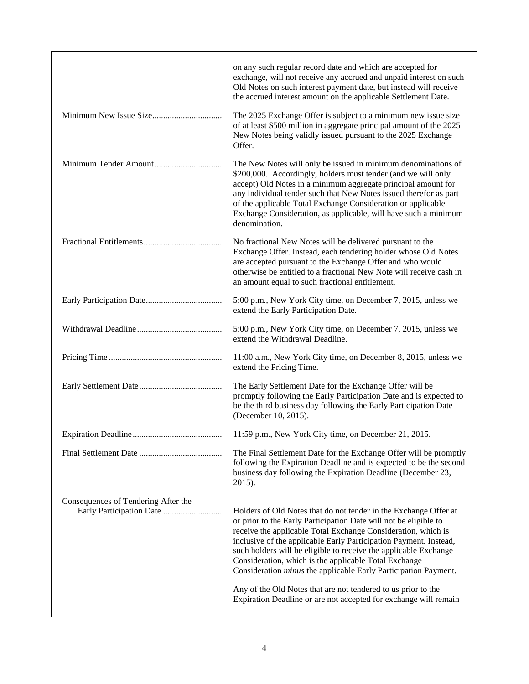| on any such regular record date and which are accepted for<br>exchange, will not receive any accrued and unpaid interest on such<br>Old Notes on such interest payment date, but instead will receive<br>the accrued interest amount on the applicable Settlement Date.                                                                                                                                                                                                                                                                                                                                                |
|------------------------------------------------------------------------------------------------------------------------------------------------------------------------------------------------------------------------------------------------------------------------------------------------------------------------------------------------------------------------------------------------------------------------------------------------------------------------------------------------------------------------------------------------------------------------------------------------------------------------|
| The 2025 Exchange Offer is subject to a minimum new issue size<br>of at least \$500 million in aggregate principal amount of the 2025<br>New Notes being validly issued pursuant to the 2025 Exchange<br>Offer.                                                                                                                                                                                                                                                                                                                                                                                                        |
| The New Notes will only be issued in minimum denominations of<br>\$200,000. Accordingly, holders must tender (and we will only<br>accept) Old Notes in a minimum aggregate principal amount for<br>any individual tender such that New Notes issued therefor as part<br>of the applicable Total Exchange Consideration or applicable<br>Exchange Consideration, as applicable, will have such a minimum<br>denomination.                                                                                                                                                                                               |
| No fractional New Notes will be delivered pursuant to the<br>Exchange Offer. Instead, each tendering holder whose Old Notes<br>are accepted pursuant to the Exchange Offer and who would<br>otherwise be entitled to a fractional New Note will receive cash in<br>an amount equal to such fractional entitlement.                                                                                                                                                                                                                                                                                                     |
| 5:00 p.m., New York City time, on December 7, 2015, unless we<br>extend the Early Participation Date.                                                                                                                                                                                                                                                                                                                                                                                                                                                                                                                  |
| 5:00 p.m., New York City time, on December 7, 2015, unless we<br>extend the Withdrawal Deadline.                                                                                                                                                                                                                                                                                                                                                                                                                                                                                                                       |
| 11:00 a.m., New York City time, on December 8, 2015, unless we<br>extend the Pricing Time.                                                                                                                                                                                                                                                                                                                                                                                                                                                                                                                             |
| The Early Settlement Date for the Exchange Offer will be<br>promptly following the Early Participation Date and is expected to<br>be the third business day following the Early Participation Date<br>(December 10, 2015).                                                                                                                                                                                                                                                                                                                                                                                             |
| 11:59 p.m., New York City time, on December 21, 2015.                                                                                                                                                                                                                                                                                                                                                                                                                                                                                                                                                                  |
| The Final Settlement Date for the Exchange Offer will be promptly<br>following the Expiration Deadline and is expected to be the second<br>business day following the Expiration Deadline (December 23,<br>2015).                                                                                                                                                                                                                                                                                                                                                                                                      |
| Holders of Old Notes that do not tender in the Exchange Offer at<br>or prior to the Early Participation Date will not be eligible to<br>receive the applicable Total Exchange Consideration, which is<br>inclusive of the applicable Early Participation Payment. Instead,<br>such holders will be eligible to receive the applicable Exchange<br>Consideration, which is the applicable Total Exchange<br>Consideration <i>minus</i> the applicable Early Participation Payment.<br>Any of the Old Notes that are not tendered to us prior to the<br>Expiration Deadline or are not accepted for exchange will remain |
|                                                                                                                                                                                                                                                                                                                                                                                                                                                                                                                                                                                                                        |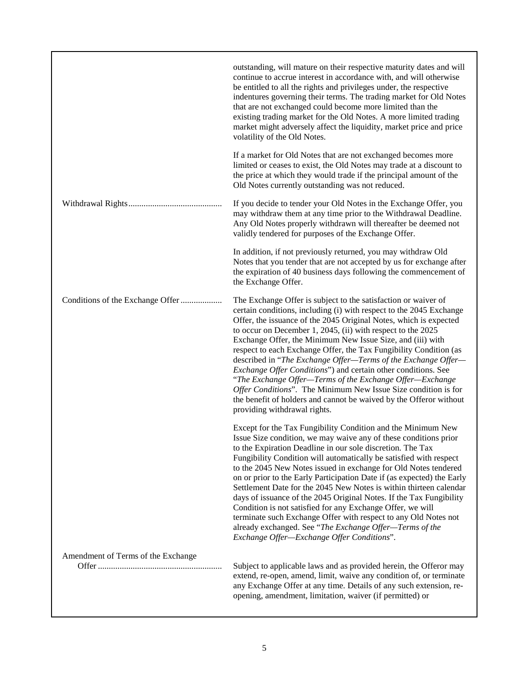|                                    | outstanding, will mature on their respective maturity dates and will<br>continue to accrue interest in accordance with, and will otherwise<br>be entitled to all the rights and privileges under, the respective<br>indentures governing their terms. The trading market for Old Notes<br>that are not exchanged could become more limited than the<br>existing trading market for the Old Notes. A more limited trading<br>market might adversely affect the liquidity, market price and price<br>volatility of the Old Notes.                                                                                                                                                                                                                                                                          |
|------------------------------------|----------------------------------------------------------------------------------------------------------------------------------------------------------------------------------------------------------------------------------------------------------------------------------------------------------------------------------------------------------------------------------------------------------------------------------------------------------------------------------------------------------------------------------------------------------------------------------------------------------------------------------------------------------------------------------------------------------------------------------------------------------------------------------------------------------|
|                                    | If a market for Old Notes that are not exchanged becomes more<br>limited or ceases to exist, the Old Notes may trade at a discount to<br>the price at which they would trade if the principal amount of the<br>Old Notes currently outstanding was not reduced.                                                                                                                                                                                                                                                                                                                                                                                                                                                                                                                                          |
|                                    | If you decide to tender your Old Notes in the Exchange Offer, you<br>may withdraw them at any time prior to the Withdrawal Deadline.<br>Any Old Notes properly withdrawn will thereafter be deemed not<br>validly tendered for purposes of the Exchange Offer.                                                                                                                                                                                                                                                                                                                                                                                                                                                                                                                                           |
|                                    | In addition, if not previously returned, you may withdraw Old<br>Notes that you tender that are not accepted by us for exchange after<br>the expiration of 40 business days following the commencement of<br>the Exchange Offer.                                                                                                                                                                                                                                                                                                                                                                                                                                                                                                                                                                         |
| Conditions of the Exchange Offer   | The Exchange Offer is subject to the satisfaction or waiver of<br>certain conditions, including (i) with respect to the 2045 Exchange<br>Offer, the issuance of the 2045 Original Notes, which is expected<br>to occur on December 1, 2045, (ii) with respect to the 2025<br>Exchange Offer, the Minimum New Issue Size, and (iii) with<br>respect to each Exchange Offer, the Tax Fungibility Condition (as<br>described in "The Exchange Offer-Terms of the Exchange Offer-<br><i>Exchange Offer Conditions</i> ") and certain other conditions. See<br>"The Exchange Offer—Terms of the Exchange Offer—Exchange<br>Offer Conditions". The Minimum New Issue Size condition is for<br>the benefit of holders and cannot be waived by the Offeror without<br>providing withdrawal rights.               |
|                                    | Except for the Tax Fungibility Condition and the Minimum New<br>Issue Size condition, we may waive any of these conditions prior<br>to the Expiration Deadline in our sole discretion. The Tax<br>Fungibility Condition will automatically be satisfied with respect<br>to the 2045 New Notes issued in exchange for Old Notes tendered<br>on or prior to the Early Participation Date if (as expected) the Early<br>Settlement Date for the 2045 New Notes is within thirteen calendar<br>days of issuance of the 2045 Original Notes. If the Tax Fungibility<br>Condition is not satisfied for any Exchange Offer, we will<br>terminate such Exchange Offer with respect to any Old Notes not<br>already exchanged. See "The Exchange Offer-Terms of the<br>Exchange Offer-Exchange Offer Conditions". |
| Amendment of Terms of the Exchange | Subject to applicable laws and as provided herein, the Offeror may<br>extend, re-open, amend, limit, waive any condition of, or terminate<br>any Exchange Offer at any time. Details of any such extension, re-<br>opening, amendment, limitation, waiver (if permitted) or                                                                                                                                                                                                                                                                                                                                                                                                                                                                                                                              |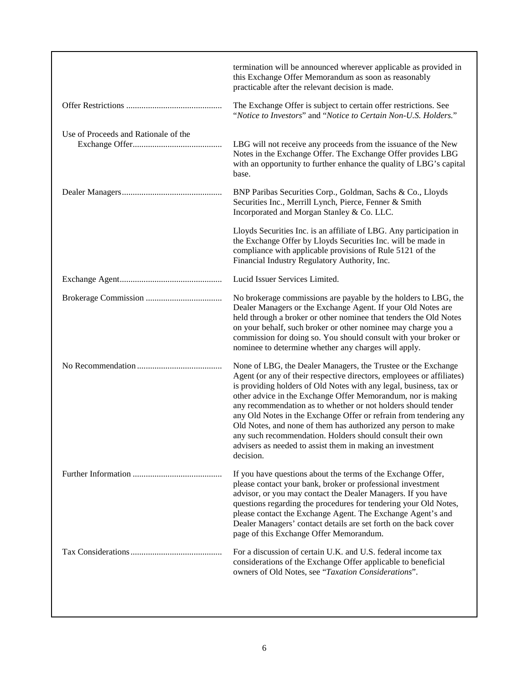|                                      | termination will be announced wherever applicable as provided in<br>this Exchange Offer Memorandum as soon as reasonably<br>practicable after the relevant decision is made.                                                                                                                                                                                                                                                                                                                                                                                                                                               |
|--------------------------------------|----------------------------------------------------------------------------------------------------------------------------------------------------------------------------------------------------------------------------------------------------------------------------------------------------------------------------------------------------------------------------------------------------------------------------------------------------------------------------------------------------------------------------------------------------------------------------------------------------------------------------|
|                                      | The Exchange Offer is subject to certain offer restrictions. See<br>"Notice to Investors" and "Notice to Certain Non-U.S. Holders."                                                                                                                                                                                                                                                                                                                                                                                                                                                                                        |
| Use of Proceeds and Rationale of the | LBG will not receive any proceeds from the issuance of the New<br>Notes in the Exchange Offer. The Exchange Offer provides LBG<br>with an opportunity to further enhance the quality of LBG's capital<br>base.                                                                                                                                                                                                                                                                                                                                                                                                             |
|                                      | BNP Paribas Securities Corp., Goldman, Sachs & Co., Lloyds<br>Securities Inc., Merrill Lynch, Pierce, Fenner & Smith<br>Incorporated and Morgan Stanley & Co. LLC.                                                                                                                                                                                                                                                                                                                                                                                                                                                         |
|                                      | Lloyds Securities Inc. is an affiliate of LBG. Any participation in<br>the Exchange Offer by Lloyds Securities Inc. will be made in<br>compliance with applicable provisions of Rule 5121 of the<br>Financial Industry Regulatory Authority, Inc.                                                                                                                                                                                                                                                                                                                                                                          |
|                                      | Lucid Issuer Services Limited.                                                                                                                                                                                                                                                                                                                                                                                                                                                                                                                                                                                             |
|                                      | No brokerage commissions are payable by the holders to LBG, the<br>Dealer Managers or the Exchange Agent. If your Old Notes are<br>held through a broker or other nominee that tenders the Old Notes<br>on your behalf, such broker or other nominee may charge you a<br>commission for doing so. You should consult with your broker or<br>nominee to determine whether any charges will apply.                                                                                                                                                                                                                           |
|                                      | None of LBG, the Dealer Managers, the Trustee or the Exchange<br>Agent (or any of their respective directors, employees or affiliates)<br>is providing holders of Old Notes with any legal, business, tax or<br>other advice in the Exchange Offer Memorandum, nor is making<br>any recommendation as to whether or not holders should tender<br>any Old Notes in the Exchange Offer or refrain from tendering any<br>Old Notes, and none of them has authorized any person to make<br>any such recommendation. Holders should consult their own<br>advisers as needed to assist them in making an investment<br>decision. |
|                                      | If you have questions about the terms of the Exchange Offer,<br>please contact your bank, broker or professional investment<br>advisor, or you may contact the Dealer Managers. If you have<br>questions regarding the procedures for tendering your Old Notes,<br>please contact the Exchange Agent. The Exchange Agent's and<br>Dealer Managers' contact details are set forth on the back cover<br>page of this Exchange Offer Memorandum.                                                                                                                                                                              |
|                                      | For a discussion of certain U.K. and U.S. federal income tax<br>considerations of the Exchange Offer applicable to beneficial<br>owners of Old Notes, see "Taxation Considerations".                                                                                                                                                                                                                                                                                                                                                                                                                                       |
|                                      |                                                                                                                                                                                                                                                                                                                                                                                                                                                                                                                                                                                                                            |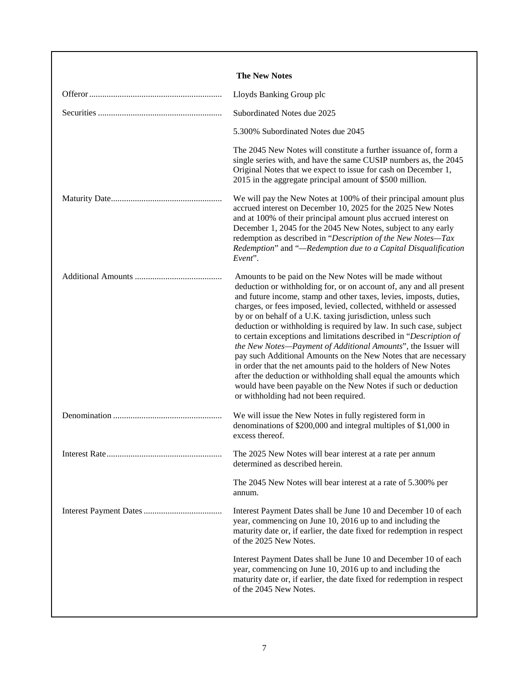| <b>The New Notes</b>                                                                                                                                                                                                                                                                                                                                                                                                                                                                                                                                                                                                                                                                                                                                                                                                                                                     |
|--------------------------------------------------------------------------------------------------------------------------------------------------------------------------------------------------------------------------------------------------------------------------------------------------------------------------------------------------------------------------------------------------------------------------------------------------------------------------------------------------------------------------------------------------------------------------------------------------------------------------------------------------------------------------------------------------------------------------------------------------------------------------------------------------------------------------------------------------------------------------|
| Lloyds Banking Group plc                                                                                                                                                                                                                                                                                                                                                                                                                                                                                                                                                                                                                                                                                                                                                                                                                                                 |
| Subordinated Notes due 2025                                                                                                                                                                                                                                                                                                                                                                                                                                                                                                                                                                                                                                                                                                                                                                                                                                              |
| 5.300% Subordinated Notes due 2045                                                                                                                                                                                                                                                                                                                                                                                                                                                                                                                                                                                                                                                                                                                                                                                                                                       |
| The 2045 New Notes will constitute a further issuance of, form a<br>single series with, and have the same CUSIP numbers as, the 2045<br>Original Notes that we expect to issue for cash on December 1,<br>2015 in the aggregate principal amount of \$500 million.                                                                                                                                                                                                                                                                                                                                                                                                                                                                                                                                                                                                       |
| We will pay the New Notes at 100% of their principal amount plus<br>accrued interest on December 10, 2025 for the 2025 New Notes<br>and at 100% of their principal amount plus accrued interest on<br>December 1, 2045 for the 2045 New Notes, subject to any early<br>redemption as described in "Description of the New Notes-Tax<br>Redemption" and "-Redemption due to a Capital Disqualification<br>Event".                                                                                                                                                                                                                                                                                                                                                                                                                                                         |
| Amounts to be paid on the New Notes will be made without<br>deduction or withholding for, or on account of, any and all present<br>and future income, stamp and other taxes, levies, imposts, duties,<br>charges, or fees imposed, levied, collected, withheld or assessed<br>by or on behalf of a U.K. taxing jurisdiction, unless such<br>deduction or withholding is required by law. In such case, subject<br>to certain exceptions and limitations described in "Description of<br>the New Notes-Payment of Additional Amounts", the Issuer will<br>pay such Additional Amounts on the New Notes that are necessary<br>in order that the net amounts paid to the holders of New Notes<br>after the deduction or withholding shall equal the amounts which<br>would have been payable on the New Notes if such or deduction<br>or withholding had not been required. |
| We will issue the New Notes in fully registered form in<br>denominations of \$200,000 and integral multiples of \$1,000 in<br>excess thereof.                                                                                                                                                                                                                                                                                                                                                                                                                                                                                                                                                                                                                                                                                                                            |
| The 2025 New Notes will bear interest at a rate per annum<br>determined as described herein.                                                                                                                                                                                                                                                                                                                                                                                                                                                                                                                                                                                                                                                                                                                                                                             |
| The 2045 New Notes will bear interest at a rate of 5.300% per<br>annum.                                                                                                                                                                                                                                                                                                                                                                                                                                                                                                                                                                                                                                                                                                                                                                                                  |
| Interest Payment Dates shall be June 10 and December 10 of each<br>year, commencing on June 10, 2016 up to and including the<br>maturity date or, if earlier, the date fixed for redemption in respect<br>of the 2025 New Notes.                                                                                                                                                                                                                                                                                                                                                                                                                                                                                                                                                                                                                                         |
| Interest Payment Dates shall be June 10 and December 10 of each<br>year, commencing on June 10, 2016 up to and including the<br>maturity date or, if earlier, the date fixed for redemption in respect<br>of the 2045 New Notes.                                                                                                                                                                                                                                                                                                                                                                                                                                                                                                                                                                                                                                         |
|                                                                                                                                                                                                                                                                                                                                                                                                                                                                                                                                                                                                                                                                                                                                                                                                                                                                          |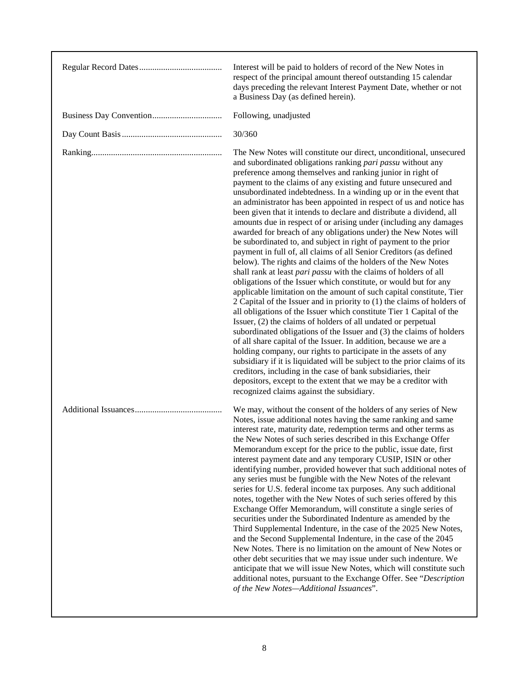| Interest will be paid to holders of record of the New Notes in<br>respect of the principal amount thereof outstanding 15 calendar<br>days preceding the relevant Interest Payment Date, whether or not<br>a Business Day (as defined herein).                                                                                                                                                                                                                                                                                                                                                                                                                                                                                                                                                                                                                                                                                                                                                                                                                                                                                                                                                                                                                                                                                                                                                                                                                                                                                                                                                                                                                                                                                                             |
|-----------------------------------------------------------------------------------------------------------------------------------------------------------------------------------------------------------------------------------------------------------------------------------------------------------------------------------------------------------------------------------------------------------------------------------------------------------------------------------------------------------------------------------------------------------------------------------------------------------------------------------------------------------------------------------------------------------------------------------------------------------------------------------------------------------------------------------------------------------------------------------------------------------------------------------------------------------------------------------------------------------------------------------------------------------------------------------------------------------------------------------------------------------------------------------------------------------------------------------------------------------------------------------------------------------------------------------------------------------------------------------------------------------------------------------------------------------------------------------------------------------------------------------------------------------------------------------------------------------------------------------------------------------------------------------------------------------------------------------------------------------|
| Following, unadjusted                                                                                                                                                                                                                                                                                                                                                                                                                                                                                                                                                                                                                                                                                                                                                                                                                                                                                                                                                                                                                                                                                                                                                                                                                                                                                                                                                                                                                                                                                                                                                                                                                                                                                                                                     |
| 30/360                                                                                                                                                                                                                                                                                                                                                                                                                                                                                                                                                                                                                                                                                                                                                                                                                                                                                                                                                                                                                                                                                                                                                                                                                                                                                                                                                                                                                                                                                                                                                                                                                                                                                                                                                    |
| The New Notes will constitute our direct, unconditional, unsecured<br>and subordinated obligations ranking pari passu without any<br>preference among themselves and ranking junior in right of<br>payment to the claims of any existing and future unsecured and<br>unsubordinated indebtedness. In a winding up or in the event that<br>an administrator has been appointed in respect of us and notice has<br>been given that it intends to declare and distribute a dividend, all<br>amounts due in respect of or arising under (including any damages<br>awarded for breach of any obligations under) the New Notes will<br>be subordinated to, and subject in right of payment to the prior<br>payment in full of, all claims of all Senior Creditors (as defined<br>below). The rights and claims of the holders of the New Notes<br>shall rank at least pari passu with the claims of holders of all<br>obligations of the Issuer which constitute, or would but for any<br>applicable limitation on the amount of such capital constitute, Tier<br>2 Capital of the Issuer and in priority to (1) the claims of holders of<br>all obligations of the Issuer which constitute Tier 1 Capital of the<br>Issuer, (2) the claims of holders of all undated or perpetual<br>subordinated obligations of the Issuer and (3) the claims of holders<br>of all share capital of the Issuer. In addition, because we are a<br>holding company, our rights to participate in the assets of any<br>subsidiary if it is liquidated will be subject to the prior claims of its<br>creditors, including in the case of bank subsidiaries, their<br>depositors, except to the extent that we may be a creditor with<br>recognized claims against the subsidiary. |
| We may, without the consent of the holders of any series of New<br>Notes, issue additional notes having the same ranking and same<br>interest rate, maturity date, redemption terms and other terms as<br>the New Notes of such series described in this Exchange Offer<br>Memorandum except for the price to the public, issue date, first<br>interest payment date and any temporary CUSIP, ISIN or other<br>identifying number, provided however that such additional notes of<br>any series must be fungible with the New Notes of the relevant<br>series for U.S. federal income tax purposes. Any such additional<br>notes, together with the New Notes of such series offered by this<br>Exchange Offer Memorandum, will constitute a single series of<br>securities under the Subordinated Indenture as amended by the<br>Third Supplemental Indenture, in the case of the 2025 New Notes,<br>and the Second Supplemental Indenture, in the case of the 2045<br>New Notes. There is no limitation on the amount of New Notes or<br>other debt securities that we may issue under such indenture. We<br>anticipate that we will issue New Notes, which will constitute such<br>additional notes, pursuant to the Exchange Offer. See "Description<br>of the New Notes-Additional Issuances".                                                                                                                                                                                                                                                                                                                                                                                                                                                       |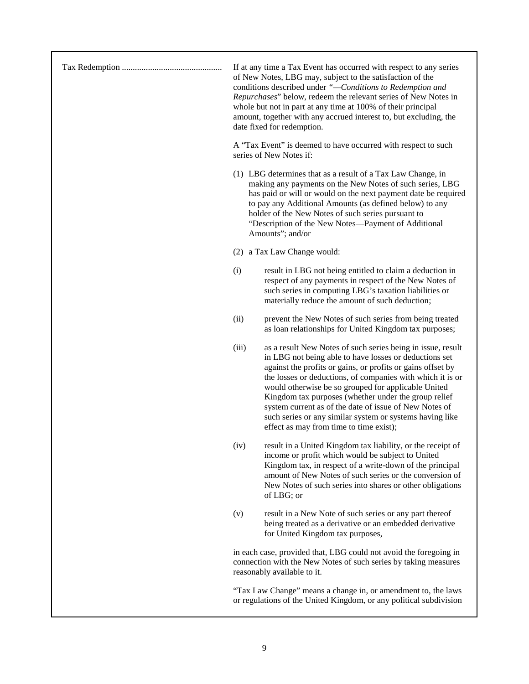|  |       | If at any time a Tax Event has occurred with respect to any series<br>of New Notes, LBG may, subject to the satisfaction of the<br>conditions described under "-Conditions to Redemption and<br>Repurchases" below, redeem the relevant series of New Notes in<br>whole but not in part at any time at 100% of their principal<br>amount, together with any accrued interest to, but excluding, the<br>date fixed for redemption.                                                                                                  |
|--|-------|------------------------------------------------------------------------------------------------------------------------------------------------------------------------------------------------------------------------------------------------------------------------------------------------------------------------------------------------------------------------------------------------------------------------------------------------------------------------------------------------------------------------------------|
|  |       | A "Tax Event" is deemed to have occurred with respect to such<br>series of New Notes if:                                                                                                                                                                                                                                                                                                                                                                                                                                           |
|  |       | (1) LBG determines that as a result of a Tax Law Change, in<br>making any payments on the New Notes of such series, LBG<br>has paid or will or would on the next payment date be required<br>to pay any Additional Amounts (as defined below) to any<br>holder of the New Notes of such series pursuant to<br>"Description of the New Notes-Payment of Additional<br>Amounts"; and/or                                                                                                                                              |
|  |       | (2) a Tax Law Change would:                                                                                                                                                                                                                                                                                                                                                                                                                                                                                                        |
|  | (i)   | result in LBG not being entitled to claim a deduction in<br>respect of any payments in respect of the New Notes of<br>such series in computing LBG's taxation liabilities or<br>materially reduce the amount of such deduction;                                                                                                                                                                                                                                                                                                    |
|  | (ii)  | prevent the New Notes of such series from being treated<br>as loan relationships for United Kingdom tax purposes;                                                                                                                                                                                                                                                                                                                                                                                                                  |
|  | (iii) | as a result New Notes of such series being in issue, result<br>in LBG not being able to have losses or deductions set<br>against the profits or gains, or profits or gains offset by<br>the losses or deductions, of companies with which it is or<br>would otherwise be so grouped for applicable United<br>Kingdom tax purposes (whether under the group relief<br>system current as of the date of issue of New Notes of<br>such series or any similar system or systems having like<br>effect as may from time to time exist); |
|  | (iv)  | result in a United Kingdom tax liability, or the receipt of<br>income or profit which would be subject to United<br>Kingdom tax, in respect of a write-down of the principal<br>amount of New Notes of such series or the conversion of<br>New Notes of such series into shares or other obligations<br>of LBG; or                                                                                                                                                                                                                 |
|  | (v)   | result in a New Note of such series or any part thereof<br>being treated as a derivative or an embedded derivative<br>for United Kingdom tax purposes,                                                                                                                                                                                                                                                                                                                                                                             |
|  |       | in each case, provided that, LBG could not avoid the foregoing in<br>connection with the New Notes of such series by taking measures<br>reasonably available to it.                                                                                                                                                                                                                                                                                                                                                                |
|  |       | "Tax Law Change" means a change in, or amendment to, the laws<br>or regulations of the United Kingdom, or any political subdivision                                                                                                                                                                                                                                                                                                                                                                                                |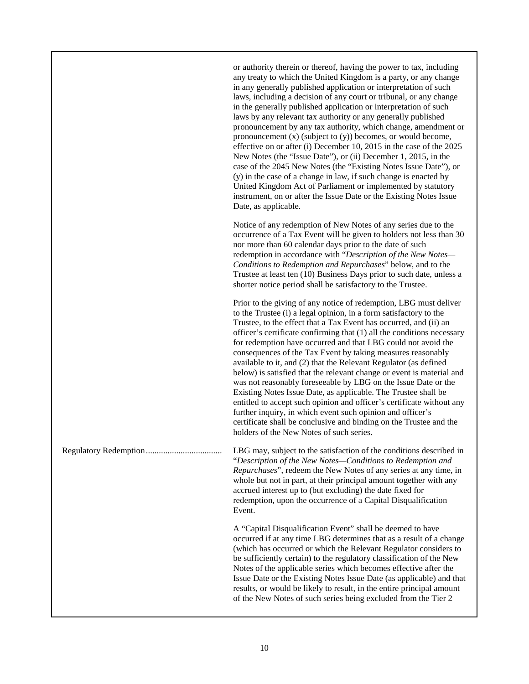Notice of any redemption of New Notes of any series due to the occurrence of a Tax Event will be given to holders not less than 30 nor more than 60 calendar days prior to the date of such redemption in accordance with "*Description of the New Notes— Conditions to Redemption and Repurchases*" below, and to the Trustee at least ten (10) Business Days prior to such date, unless a shorter notice period shall be satisfactory to the Trustee.

Prior to the giving of any notice of redemption, LBG must deliver to the Trustee (i) a legal opinion, in a form satisfactory to the Trustee, to the effect that a Tax Event has occurred, and (ii) an officer's certificate confirming that (1) all the conditions necessary for redemption have occurred and that LBG could not avoid the consequences of the Tax Event by taking measures reasonably available to it, and (2) that the Relevant Regulator (as defined below) is satisfied that the relevant change or event is material and was not reasonably foreseeable by LBG on the Issue Date or the Existing Notes Issue Date, as applicable. The Trustee shall be entitled to accept such opinion and officer's certificate without any further inquiry, in which event such opinion and officer's certificate shall be conclusive and binding on the Trustee and the holders of the New Notes of such series.

Regulatory Redemption................................... LBG may, subject to the satisfaction of the conditions described in "*Description of the New Notes—Conditions to Redemption and Repurchases*", redeem the New Notes of any series at any time, in whole but not in part, at their principal amount together with any accrued interest up to (but excluding) the date fixed for redemption, upon the occurrence of a Capital Disqualification Event.

> A "Capital Disqualification Event" shall be deemed to have occurred if at any time LBG determines that as a result of a change (which has occurred or which the Relevant Regulator considers to be sufficiently certain) to the regulatory classification of the New Notes of the applicable series which becomes effective after the Issue Date or the Existing Notes Issue Date (as applicable) and that results, or would be likely to result, in the entire principal amount of the New Notes of such series being excluded from the Tier 2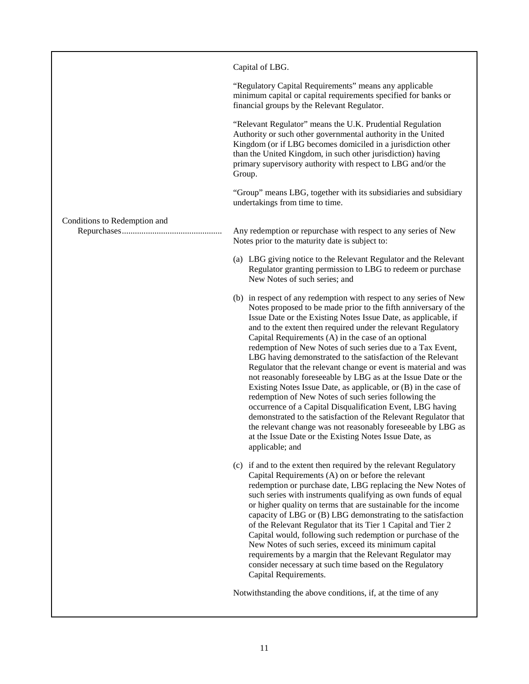|                              | Capital of LBG.                                                                                                                                                                                                                                                                                                                                                                                                                                                                                                                                                                                                                                                                                                                                                                                                                                                                                                                                                                                           |
|------------------------------|-----------------------------------------------------------------------------------------------------------------------------------------------------------------------------------------------------------------------------------------------------------------------------------------------------------------------------------------------------------------------------------------------------------------------------------------------------------------------------------------------------------------------------------------------------------------------------------------------------------------------------------------------------------------------------------------------------------------------------------------------------------------------------------------------------------------------------------------------------------------------------------------------------------------------------------------------------------------------------------------------------------|
|                              | "Regulatory Capital Requirements" means any applicable<br>minimum capital or capital requirements specified for banks or<br>financial groups by the Relevant Regulator.                                                                                                                                                                                                                                                                                                                                                                                                                                                                                                                                                                                                                                                                                                                                                                                                                                   |
|                              | "Relevant Regulator" means the U.K. Prudential Regulation<br>Authority or such other governmental authority in the United<br>Kingdom (or if LBG becomes domiciled in a jurisdiction other<br>than the United Kingdom, in such other jurisdiction) having<br>primary supervisory authority with respect to LBG and/or the<br>Group.                                                                                                                                                                                                                                                                                                                                                                                                                                                                                                                                                                                                                                                                        |
|                              | "Group" means LBG, together with its subsidiaries and subsidiary<br>undertakings from time to time.                                                                                                                                                                                                                                                                                                                                                                                                                                                                                                                                                                                                                                                                                                                                                                                                                                                                                                       |
| Conditions to Redemption and | Any redemption or repurchase with respect to any series of New<br>Notes prior to the maturity date is subject to:                                                                                                                                                                                                                                                                                                                                                                                                                                                                                                                                                                                                                                                                                                                                                                                                                                                                                         |
|                              | (a) LBG giving notice to the Relevant Regulator and the Relevant<br>Regulator granting permission to LBG to redeem or purchase<br>New Notes of such series; and                                                                                                                                                                                                                                                                                                                                                                                                                                                                                                                                                                                                                                                                                                                                                                                                                                           |
|                              | (b) in respect of any redemption with respect to any series of New<br>Notes proposed to be made prior to the fifth anniversary of the<br>Issue Date or the Existing Notes Issue Date, as applicable, if<br>and to the extent then required under the relevant Regulatory<br>Capital Requirements (A) in the case of an optional<br>redemption of New Notes of such series due to a Tax Event,<br>LBG having demonstrated to the satisfaction of the Relevant<br>Regulator that the relevant change or event is material and was<br>not reasonably foreseeable by LBG as at the Issue Date or the<br>Existing Notes Issue Date, as applicable, or (B) in the case of<br>redemption of New Notes of such series following the<br>occurrence of a Capital Disqualification Event, LBG having<br>demonstrated to the satisfaction of the Relevant Regulator that<br>the relevant change was not reasonably foreseeable by LBG as<br>at the Issue Date or the Existing Notes Issue Date, as<br>applicable; and |
|                              | (c) if and to the extent then required by the relevant Regulatory<br>Capital Requirements (A) on or before the relevant<br>redemption or purchase date, LBG replacing the New Notes of<br>such series with instruments qualifying as own funds of equal<br>or higher quality on terms that are sustainable for the income<br>capacity of LBG or (B) LBG demonstrating to the satisfaction<br>of the Relevant Regulator that its Tier 1 Capital and Tier 2<br>Capital would, following such redemption or purchase of the<br>New Notes of such series, exceed its minimum capital<br>requirements by a margin that the Relevant Regulator may<br>consider necessary at such time based on the Regulatory<br>Capital Requirements.                                                                                                                                                                                                                                                                          |
|                              | Notwithstanding the above conditions, if, at the time of any                                                                                                                                                                                                                                                                                                                                                                                                                                                                                                                                                                                                                                                                                                                                                                                                                                                                                                                                              |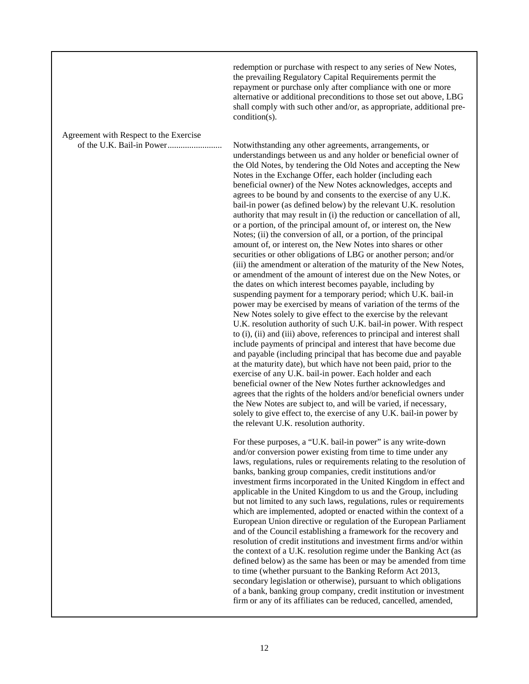redemption or purchase with respect to any series of New Notes, the prevailing Regulatory Capital Requirements permit the repayment or purchase only after compliance with one or more alternative or additional preconditions to those set out above, LBG shall comply with such other and/or, as appropriate, additional precondition(s).

Agreement with Respect to the Exercise

of the U.K. Bail-in Power......................... Notwithstanding any other agreements, arrangements, or understandings between us and any holder or beneficial owner of the Old Notes, by tendering the Old Notes and accepting the New Notes in the Exchange Offer, each holder (including each beneficial owner) of the New Notes acknowledges, accepts and agrees to be bound by and consents to the exercise of any U.K. bail-in power (as defined below) by the relevant U.K. resolution authority that may result in (i) the reduction or cancellation of all, or a portion, of the principal amount of, or interest on, the New Notes; (ii) the conversion of all, or a portion, of the principal amount of, or interest on, the New Notes into shares or other securities or other obligations of LBG or another person; and/or (iii) the amendment or alteration of the maturity of the New Notes, or amendment of the amount of interest due on the New Notes, or the dates on which interest becomes payable, including by suspending payment for a temporary period; which U.K. bail-in power may be exercised by means of variation of the terms of the New Notes solely to give effect to the exercise by the relevant U.K. resolution authority of such U.K. bail-in power. With respect to (i), (ii) and (iii) above, references to principal and interest shall include payments of principal and interest that have become due and payable (including principal that has become due and payable at the maturity date), but which have not been paid, prior to the exercise of any U.K. bail-in power. Each holder and each beneficial owner of the New Notes further acknowledges and agrees that the rights of the holders and/or beneficial owners under the New Notes are subject to, and will be varied, if necessary, solely to give effect to, the exercise of any U.K. bail-in power by the relevant U.K. resolution authority.

> For these purposes, a "U.K. bail-in power" is any write-down and/or conversion power existing from time to time under any laws, regulations, rules or requirements relating to the resolution of banks, banking group companies, credit institutions and/or investment firms incorporated in the United Kingdom in effect and applicable in the United Kingdom to us and the Group, including but not limited to any such laws, regulations, rules or requirements which are implemented, adopted or enacted within the context of a European Union directive or regulation of the European Parliament and of the Council establishing a framework for the recovery and resolution of credit institutions and investment firms and/or within the context of a U.K. resolution regime under the Banking Act (as defined below) as the same has been or may be amended from time to time (whether pursuant to the Banking Reform Act 2013, secondary legislation or otherwise), pursuant to which obligations of a bank, banking group company, credit institution or investment firm or any of its affiliates can be reduced, cancelled, amended,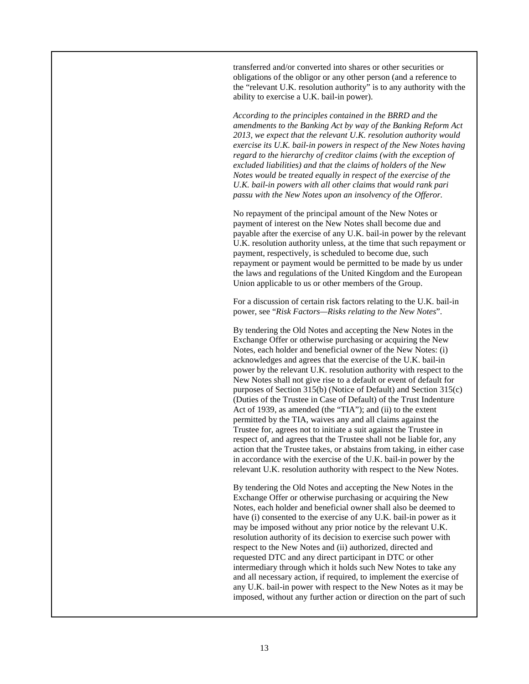transferred and/or converted into shares or other securities or obligations of the obligor or any other person (and a reference to the "relevant U.K. resolution authority" is to any authority with the ability to exercise a U.K. bail-in power).

*According to the principles contained in the BRRD and the amendments to the Banking Act by way of the Banking Reform Act 2013, we expect that the relevant U.K. resolution authority would exercise its U.K. bail-in powers in respect of the New Notes having regard to the hierarchy of creditor claims (with the exception of excluded liabilities) and that the claims of holders of the New Notes would be treated equally in respect of the exercise of the U.K. bail-in powers with all other claims that would rank pari passu with the New Notes upon an insolvency of the Offeror.*

No repayment of the principal amount of the New Notes or payment of interest on the New Notes shall become due and payable after the exercise of any U.K. bail-in power by the relevant U.K. resolution authority unless, at the time that such repayment or payment, respectively, is scheduled to become due, such repayment or payment would be permitted to be made by us under the laws and regulations of the United Kingdom and the European Union applicable to us or other members of the Group.

For a discussion of certain risk factors relating to the U.K. bail-in power, see "*Risk Factors—Risks relating to the New Notes*".

By tendering the Old Notes and accepting the New Notes in the Exchange Offer or otherwise purchasing or acquiring the New Notes, each holder and beneficial owner of the New Notes: (i) acknowledges and agrees that the exercise of the U.K. bail-in power by the relevant U.K. resolution authority with respect to the New Notes shall not give rise to a default or event of default for purposes of Section 315(b) (Notice of Default) and Section 315(c) (Duties of the Trustee in Case of Default) of the Trust Indenture Act of 1939, as amended (the "TIA"); and (ii) to the extent permitted by the TIA, waives any and all claims against the Trustee for, agrees not to initiate a suit against the Trustee in respect of, and agrees that the Trustee shall not be liable for, any action that the Trustee takes, or abstains from taking, in either case in accordance with the exercise of the U.K. bail-in power by the relevant U.K. resolution authority with respect to the New Notes.

By tendering the Old Notes and accepting the New Notes in the Exchange Offer or otherwise purchasing or acquiring the New Notes, each holder and beneficial owner shall also be deemed to have (i) consented to the exercise of any U.K. bail-in power as it may be imposed without any prior notice by the relevant U.K. resolution authority of its decision to exercise such power with respect to the New Notes and (ii) authorized, directed and requested DTC and any direct participant in DTC or other intermediary through which it holds such New Notes to take any and all necessary action, if required, to implement the exercise of any U.K. bail-in power with respect to the New Notes as it may be imposed, without any further action or direction on the part of such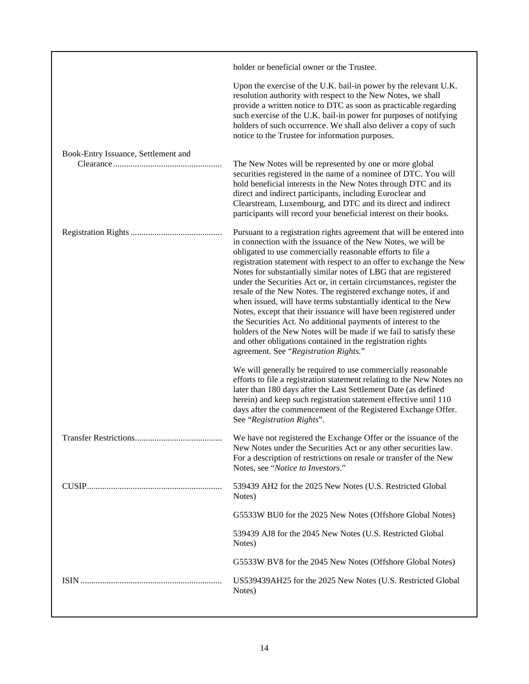|                                     | holder or beneficial owner or the Trustee.                                                                                                                                                                                                                                                                                                                                                                                                                                                                                                                                                                                                                                                                                                                                                                                                                                                                                                                                                                                                                                                                                                                                                                                   |
|-------------------------------------|------------------------------------------------------------------------------------------------------------------------------------------------------------------------------------------------------------------------------------------------------------------------------------------------------------------------------------------------------------------------------------------------------------------------------------------------------------------------------------------------------------------------------------------------------------------------------------------------------------------------------------------------------------------------------------------------------------------------------------------------------------------------------------------------------------------------------------------------------------------------------------------------------------------------------------------------------------------------------------------------------------------------------------------------------------------------------------------------------------------------------------------------------------------------------------------------------------------------------|
|                                     | Upon the exercise of the U.K. bail-in power by the relevant U.K.<br>resolution authority with respect to the New Notes, we shall<br>provide a written notice to DTC as soon as practicable regarding<br>such exercise of the U.K. bail-in power for purposes of notifying<br>holders of such occurrence. We shall also deliver a copy of such<br>notice to the Trustee for information purposes.                                                                                                                                                                                                                                                                                                                                                                                                                                                                                                                                                                                                                                                                                                                                                                                                                             |
| Book-Entry Issuance, Settlement and | The New Notes will be represented by one or more global<br>securities registered in the name of a nominee of DTC. You will<br>hold beneficial interests in the New Notes through DTC and its<br>direct and indirect participants, including Euroclear and<br>Clearstream, Luxembourg, and DTC and its direct and indirect<br>participants will record your beneficial interest on their books.                                                                                                                                                                                                                                                                                                                                                                                                                                                                                                                                                                                                                                                                                                                                                                                                                               |
|                                     | Pursuant to a registration rights agreement that will be entered into<br>in connection with the issuance of the New Notes, we will be<br>obligated to use commercially reasonable efforts to file a<br>registration statement with respect to an offer to exchange the New<br>Notes for substantially similar notes of LBG that are registered<br>under the Securities Act or, in certain circumstances, register the<br>resale of the New Notes. The registered exchange notes, if and<br>when issued, will have terms substantially identical to the New<br>Notes, except that their issuance will have been registered under<br>the Securities Act. No additional payments of interest to the<br>holders of the New Notes will be made if we fail to satisfy these<br>and other obligations contained in the registration rights<br>agreement. See "Registration Rights."<br>We will generally be required to use commercially reasonable<br>efforts to file a registration statement relating to the New Notes no<br>later than 180 days after the Last Settlement Date (as defined<br>herein) and keep such registration statement effective until 110<br>days after the commencement of the Registered Exchange Offer. |
|                                     | See "Registration Rights".<br>We have not registered the Exchange Offer or the issuance of the<br>New Notes under the Securities Act or any other securities law.<br>For a description of restrictions on resale or transfer of the New                                                                                                                                                                                                                                                                                                                                                                                                                                                                                                                                                                                                                                                                                                                                                                                                                                                                                                                                                                                      |
|                                     | Notes, see "Notice to Investors."<br>539439 AH2 for the 2025 New Notes (U.S. Restricted Global<br>Notes)                                                                                                                                                                                                                                                                                                                                                                                                                                                                                                                                                                                                                                                                                                                                                                                                                                                                                                                                                                                                                                                                                                                     |
|                                     | G5533W BU0 for the 2025 New Notes (Offshore Global Notes)                                                                                                                                                                                                                                                                                                                                                                                                                                                                                                                                                                                                                                                                                                                                                                                                                                                                                                                                                                                                                                                                                                                                                                    |
|                                     | 539439 AJ8 for the 2045 New Notes (U.S. Restricted Global<br>Notes)                                                                                                                                                                                                                                                                                                                                                                                                                                                                                                                                                                                                                                                                                                                                                                                                                                                                                                                                                                                                                                                                                                                                                          |
|                                     | G5533W BV8 for the 2045 New Notes (Offshore Global Notes)                                                                                                                                                                                                                                                                                                                                                                                                                                                                                                                                                                                                                                                                                                                                                                                                                                                                                                                                                                                                                                                                                                                                                                    |
|                                     | US539439AH25 for the 2025 New Notes (U.S. Restricted Global<br>Notes)                                                                                                                                                                                                                                                                                                                                                                                                                                                                                                                                                                                                                                                                                                                                                                                                                                                                                                                                                                                                                                                                                                                                                        |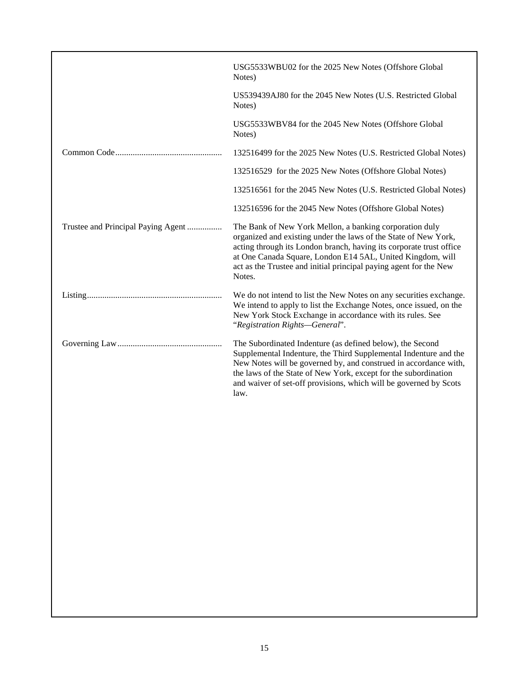|                                    | USG5533WBU02 for the 2025 New Notes (Offshore Global<br>Notes)                                                                                                                                                                                                                                                                                    |
|------------------------------------|---------------------------------------------------------------------------------------------------------------------------------------------------------------------------------------------------------------------------------------------------------------------------------------------------------------------------------------------------|
|                                    | US539439AJ80 for the 2045 New Notes (U.S. Restricted Global<br>Notes)                                                                                                                                                                                                                                                                             |
|                                    | USG5533WBV84 for the 2045 New Notes (Offshore Global<br>Notes)                                                                                                                                                                                                                                                                                    |
|                                    | 132516499 for the 2025 New Notes (U.S. Restricted Global Notes)                                                                                                                                                                                                                                                                                   |
|                                    | 132516529 for the 2025 New Notes (Offshore Global Notes)                                                                                                                                                                                                                                                                                          |
|                                    | 132516561 for the 2045 New Notes (U.S. Restricted Global Notes)                                                                                                                                                                                                                                                                                   |
|                                    | 132516596 for the 2045 New Notes (Offshore Global Notes)                                                                                                                                                                                                                                                                                          |
| Trustee and Principal Paying Agent | The Bank of New York Mellon, a banking corporation duly<br>organized and existing under the laws of the State of New York,<br>acting through its London branch, having its corporate trust office<br>at One Canada Square, London E14 5AL, United Kingdom, will<br>act as the Trustee and initial principal paying agent for the New<br>Notes.    |
|                                    | We do not intend to list the New Notes on any securities exchange.<br>We intend to apply to list the Exchange Notes, once issued, on the<br>New York Stock Exchange in accordance with its rules. See<br>"Registration Rights-General".                                                                                                           |
|                                    | The Subordinated Indenture (as defined below), the Second<br>Supplemental Indenture, the Third Supplemental Indenture and the<br>New Notes will be governed by, and construed in accordance with,<br>the laws of the State of New York, except for the subordination<br>and waiver of set-off provisions, which will be governed by Scots<br>law. |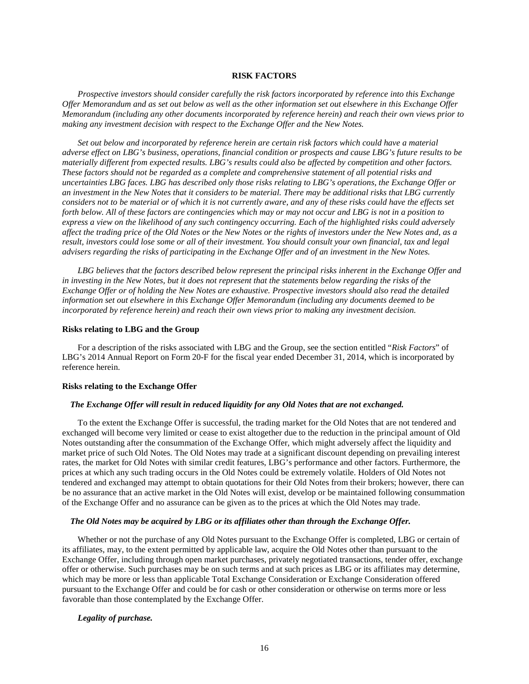### **RISK FACTORS**

<span id="page-27-0"></span>*Prospective investors should consider carefully the risk factors incorporated by reference into this Exchange Offer Memorandum and as set out below as well as the other information set out elsewhere in this Exchange Offer Memorandum (including any other documents incorporated by reference herein) and reach their own views prior to making any investment decision with respect to the Exchange Offer and the New Notes.*

*Set out below and incorporated by reference herein are certain risk factors which could have a material adverse effect on LBG's business, operations, financial condition or prospects and cause LBG's future results to be materially different from expected results. LBG's results could also be affected by competition and other factors. These factors should not be regarded as a complete and comprehensive statement of all potential risks and uncertainties LBG faces. LBG has described only those risks relating to LBG's operations, the Exchange Offer or an investment in the New Notes that it considers to be material. There may be additional risks that LBG currently considers not to be material or of which it is not currently aware, and any of these risks could have the effects set forth below. All of these factors are contingencies which may or may not occur and LBG is not in a position to express a view on the likelihood of any such contingency occurring. Each of the highlighted risks could adversely affect the trading price of the Old Notes or the New Notes or the rights of investors under the New Notes and, as a result, investors could lose some or all of their investment. You should consult your own financial, tax and legal advisers regarding the risks of participating in the Exchange Offer and of an investment in the New Notes.* 

*LBG believes that the factors described below represent the principal risks inherent in the Exchange Offer and*  in investing in the New Notes, but it does not represent that the statements below regarding the risks of the *Exchange Offer or of holding the New Notes are exhaustive. Prospective investors should also read the detailed information set out elsewhere in this Exchange Offer Memorandum (including any documents deemed to be incorporated by reference herein) and reach their own views prior to making any investment decision.*

#### **Risks relating to LBG and the Group**

For a description of the risks associated with LBG and the Group, see the section entitled "*Risk Factors*" of LBG's 2014 Annual Report on Form 20-F for the fiscal year ended December 31, 2014, which is incorporated by reference herein.

#### **Risks relating to the Exchange Offer**

### *The Exchange Offer will result in reduced liquidity for any Old Notes that are not exchanged.*

To the extent the Exchange Offer is successful, the trading market for the Old Notes that are not tendered and exchanged will become very limited or cease to exist altogether due to the reduction in the principal amount of Old Notes outstanding after the consummation of the Exchange Offer, which might adversely affect the liquidity and market price of such Old Notes. The Old Notes may trade at a significant discount depending on prevailing interest rates, the market for Old Notes with similar credit features, LBG's performance and other factors. Furthermore, the prices at which any such trading occurs in the Old Notes could be extremely volatile. Holders of Old Notes not tendered and exchanged may attempt to obtain quotations for their Old Notes from their brokers; however, there can be no assurance that an active market in the Old Notes will exist, develop or be maintained following consummation of the Exchange Offer and no assurance can be given as to the prices at which the Old Notes may trade.

#### *The Old Notes may be acquired by LBG or its affiliates other than through the Exchange Offer.*

Whether or not the purchase of any Old Notes pursuant to the Exchange Offer is completed, LBG or certain of its affiliates, may, to the extent permitted by applicable law, acquire the Old Notes other than pursuant to the Exchange Offer, including through open market purchases, privately negotiated transactions, tender offer, exchange offer or otherwise. Such purchases may be on such terms and at such prices as LBG or its affiliates may determine, which may be more or less than applicable Total Exchange Consideration or Exchange Consideration offered pursuant to the Exchange Offer and could be for cash or other consideration or otherwise on terms more or less favorable than those contemplated by the Exchange Offer.

### *Legality of purchase.*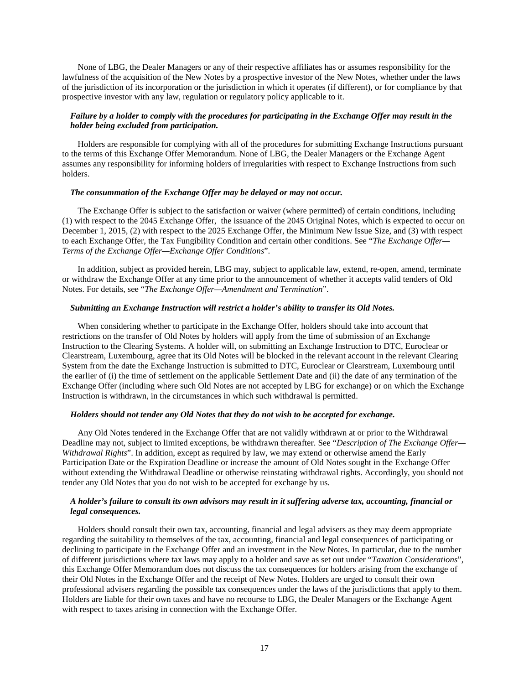None of LBG, the Dealer Managers or any of their respective affiliates has or assumes responsibility for the lawfulness of the acquisition of the New Notes by a prospective investor of the New Notes, whether under the laws of the jurisdiction of its incorporation or the jurisdiction in which it operates (if different), or for compliance by that prospective investor with any law, regulation or regulatory policy applicable to it.

### *Failure by a holder to comply with the procedures for participating in the Exchange Offer may result in the holder being excluded from participation.*

Holders are responsible for complying with all of the procedures for submitting Exchange Instructions pursuant to the terms of this Exchange Offer Memorandum. None of LBG, the Dealer Managers or the Exchange Agent assumes any responsibility for informing holders of irregularities with respect to Exchange Instructions from such holders.

#### *The consummation of the Exchange Offer may be delayed or may not occur.*

The Exchange Offer is subject to the satisfaction or waiver (where permitted) of certain conditions, including (1) with respect to the 2045 Exchange Offer, the issuance of the 2045 Original Notes, which is expected to occur on December 1, 2015, (2) with respect to the 2025 Exchange Offer, the Minimum New Issue Size, and (3) with respect to each Exchange Offer, the Tax Fungibility Condition and certain other conditions. See "*The Exchange Offer— Terms of the Exchange Offer—Exchange Offer Conditions*".

In addition, subject as provided herein, LBG may, subject to applicable law, extend, re-open, amend, terminate or withdraw the Exchange Offer at any time prior to the announcement of whether it accepts valid tenders of Old Notes. For details, see "*The Exchange Offer—Amendment and Termination*".

### *Submitting an Exchange Instruction will restrict a holder's ability to transfer its Old Notes.*

When considering whether to participate in the Exchange Offer, holders should take into account that restrictions on the transfer of Old Notes by holders will apply from the time of submission of an Exchange Instruction to the Clearing Systems. A holder will, on submitting an Exchange Instruction to DTC, Euroclear or Clearstream, Luxembourg, agree that its Old Notes will be blocked in the relevant account in the relevant Clearing System from the date the Exchange Instruction is submitted to DTC, Euroclear or Clearstream, Luxembourg until the earlier of (i) the time of settlement on the applicable Settlement Date and (ii) the date of any termination of the Exchange Offer (including where such Old Notes are not accepted by LBG for exchange) or on which the Exchange Instruction is withdrawn, in the circumstances in which such withdrawal is permitted.

#### *Holders should not tender any Old Notes that they do not wish to be accepted for exchange.*

Any Old Notes tendered in the Exchange Offer that are not validly withdrawn at or prior to the Withdrawal Deadline may not, subject to limited exceptions, be withdrawn thereafter. See "*Description of The Exchange Offer— Withdrawal Rights*". In addition, except as required by law, we may extend or otherwise amend the Early Participation Date or the Expiration Deadline or increase the amount of Old Notes sought in the Exchange Offer without extending the Withdrawal Deadline or otherwise reinstating withdrawal rights. Accordingly, you should not tender any Old Notes that you do not wish to be accepted for exchange by us.

### *A holder's failure to consult its own advisors may result in it suffering adverse tax, accounting, financial or legal consequences.*

Holders should consult their own tax, accounting, financial and legal advisers as they may deem appropriate regarding the suitability to themselves of the tax, accounting, financial and legal consequences of participating or declining to participate in the Exchange Offer and an investment in the New Notes. In particular, due to the number of different jurisdictions where tax laws may apply to a holder and save as set out under "*Taxation Considerations*", this Exchange Offer Memorandum does not discuss the tax consequences for holders arising from the exchange of their Old Notes in the Exchange Offer and the receipt of New Notes. Holders are urged to consult their own professional advisers regarding the possible tax consequences under the laws of the jurisdictions that apply to them. Holders are liable for their own taxes and have no recourse to LBG, the Dealer Managers or the Exchange Agent with respect to taxes arising in connection with the Exchange Offer.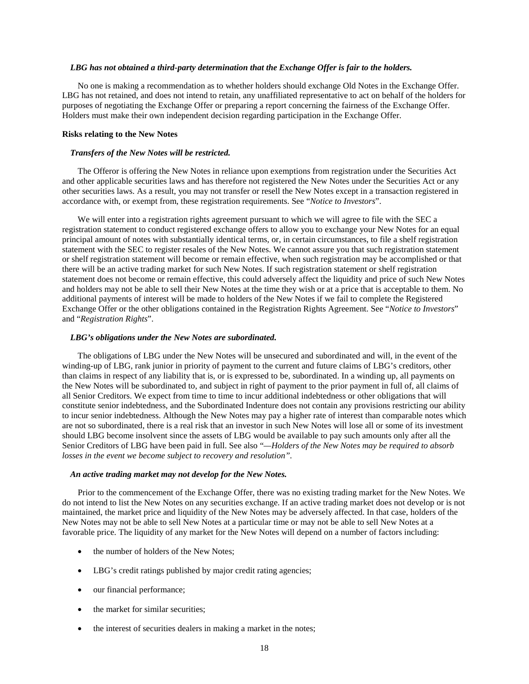#### *LBG has not obtained a third-party determination that the Exchange Offer is fair to the holders.*

No one is making a recommendation as to whether holders should exchange Old Notes in the Exchange Offer. LBG has not retained, and does not intend to retain, any unaffiliated representative to act on behalf of the holders for purposes of negotiating the Exchange Offer or preparing a report concerning the fairness of the Exchange Offer. Holders must make their own independent decision regarding participation in the Exchange Offer.

#### **Risks relating to the New Notes**

#### *Transfers of the New Notes will be restricted.*

The Offeror is offering the New Notes in reliance upon exemptions from registration under the Securities Act and other applicable securities laws and has therefore not registered the New Notes under the Securities Act or any other securities laws. As a result, you may not transfer or resell the New Notes except in a transaction registered in accordance with, or exempt from, these registration requirements. See "*Notice to Investors*".

We will enter into a registration rights agreement pursuant to which we will agree to file with the SEC a registration statement to conduct registered exchange offers to allow you to exchange your New Notes for an equal principal amount of notes with substantially identical terms, or, in certain circumstances, to file a shelf registration statement with the SEC to register resales of the New Notes. We cannot assure you that such registration statement or shelf registration statement will become or remain effective, when such registration may be accomplished or that there will be an active trading market for such New Notes. If such registration statement or shelf registration statement does not become or remain effective, this could adversely affect the liquidity and price of such New Notes and holders may not be able to sell their New Notes at the time they wish or at a price that is acceptable to them. No additional payments of interest will be made to holders of the New Notes if we fail to complete the Registered Exchange Offer or the other obligations contained in the Registration Rights Agreement. See "*Notice to Investors*" and "*Registration Rights*".

#### *LBG's obligations under the New Notes are subordinated.*

The obligations of LBG under the New Notes will be unsecured and subordinated and will, in the event of the winding-up of LBG, rank junior in priority of payment to the current and future claims of LBG's creditors, other than claims in respect of any liability that is, or is expressed to be, subordinated. In a winding up, all payments on the New Notes will be subordinated to, and subject in right of payment to the prior payment in full of, all claims of all Senior Creditors. We expect from time to time to incur additional indebtedness or other obligations that will constitute senior indebtedness, and the Subordinated Indenture does not contain any provisions restricting our ability to incur senior indebtedness. Although the New Notes may pay a higher rate of interest than comparable notes which are not so subordinated, there is a real risk that an investor in such New Notes will lose all or some of its investment should LBG become insolvent since the assets of LBG would be available to pay such amounts only after all the Senior Creditors of LBG have been paid in full. See also "*—Holders of the New Notes may be required to absorb losses in the event we become subject to recovery and resolution".*

# *An active trading market may not develop for the New Notes.*

Prior to the commencement of the Exchange Offer, there was no existing trading market for the New Notes. We do not intend to list the New Notes on any securities exchange. If an active trading market does not develop or is not maintained, the market price and liquidity of the New Notes may be adversely affected. In that case, holders of the New Notes may not be able to sell New Notes at a particular time or may not be able to sell New Notes at a favorable price. The liquidity of any market for the New Notes will depend on a number of factors including:

- the number of holders of the New Notes;
- LBG's credit ratings published by major credit rating agencies;
- our financial performance;
- the market for similar securities:
- the interest of securities dealers in making a market in the notes;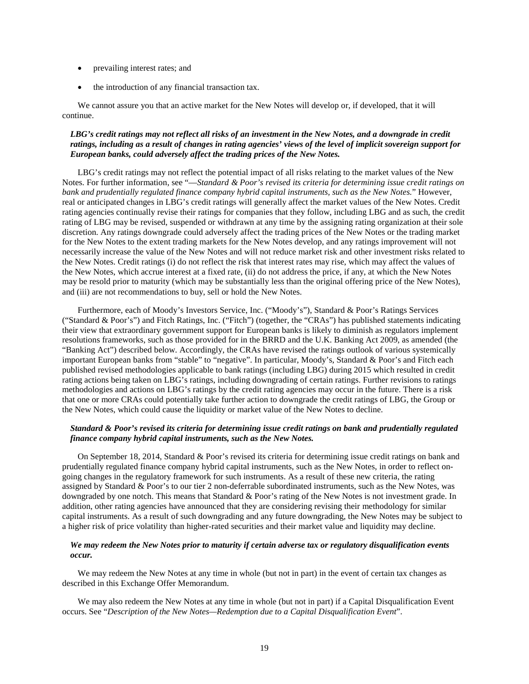- prevailing interest rates; and
- the introduction of any financial transaction tax.

We cannot assure you that an active market for the New Notes will develop or, if developed, that it will continue.

### *LBG's credit ratings may not reflect all risks of an investment in the New Notes, and a downgrade in credit ratings, including as a result of changes in rating agencies' views of the level of implicit sovereign support for European banks, could adversely affect the trading prices of the New Notes.*

LBG's credit ratings may not reflect the potential impact of all risks relating to the market values of the New Notes. For further information, see "—*Standard & Poor's revised its criteria for determining issue credit ratings on bank and prudentially regulated finance company hybrid capital instruments, such as the New Notes.*" However, real or anticipated changes in LBG's credit ratings will generally affect the market values of the New Notes. Credit rating agencies continually revise their ratings for companies that they follow, including LBG and as such, the credit rating of LBG may be revised, suspended or withdrawn at any time by the assigning rating organization at their sole discretion. Any ratings downgrade could adversely affect the trading prices of the New Notes or the trading market for the New Notes to the extent trading markets for the New Notes develop, and any ratings improvement will not necessarily increase the value of the New Notes and will not reduce market risk and other investment risks related to the New Notes. Credit ratings (i) do not reflect the risk that interest rates may rise, which may affect the values of the New Notes, which accrue interest at a fixed rate, (ii) do not address the price, if any, at which the New Notes may be resold prior to maturity (which may be substantially less than the original offering price of the New Notes), and (iii) are not recommendations to buy, sell or hold the New Notes.

Furthermore, each of Moody's Investors Service, Inc. ("Moody's"), Standard & Poor's Ratings Services ("Standard & Poor's") and Fitch Ratings, Inc. ("Fitch") (together, the "CRAs") has published statements indicating their view that extraordinary government support for European banks is likely to diminish as regulators implement resolutions frameworks, such as those provided for in the BRRD and the U.K. Banking Act 2009, as amended (the "Banking Act") described below. Accordingly, the CRAs have revised the ratings outlook of various systemically important European banks from "stable" to "negative". In particular, Moody's, Standard & Poor's and Fitch each published revised methodologies applicable to bank ratings (including LBG) during 2015 which resulted in credit rating actions being taken on LBG's ratings, including downgrading of certain ratings. Further revisions to ratings methodologies and actions on LBG's ratings by the credit rating agencies may occur in the future. There is a risk that one or more CRAs could potentially take further action to downgrade the credit ratings of LBG, the Group or the New Notes, which could cause the liquidity or market value of the New Notes to decline.

#### *Standard & Poor's revised its criteria for determining issue credit ratings on bank and prudentially regulated finance company hybrid capital instruments, such as the New Notes.*

On September 18, 2014, Standard & Poor's revised its criteria for determining issue credit ratings on bank and prudentially regulated finance company hybrid capital instruments, such as the New Notes, in order to reflect ongoing changes in the regulatory framework for such instruments. As a result of these new criteria, the rating assigned by Standard & Poor's to our tier 2 non-deferrable subordinated instruments, such as the New Notes, was downgraded by one notch. This means that Standard & Poor's rating of the New Notes is not investment grade. In addition, other rating agencies have announced that they are considering revising their methodology for similar capital instruments. As a result of such downgrading and any future downgrading, the New Notes may be subject to a higher risk of price volatility than higher-rated securities and their market value and liquidity may decline.

#### *We may redeem the New Notes prior to maturity if certain adverse tax or regulatory disqualification events occur.*

We may redeem the New Notes at any time in whole (but not in part) in the event of certain tax changes as described in this Exchange Offer Memorandum.

We may also redeem the New Notes at any time in whole (but not in part) if a Capital Disqualification Event occurs. See "*Description of the New Notes—Redemption due to a Capital Disqualification Event*".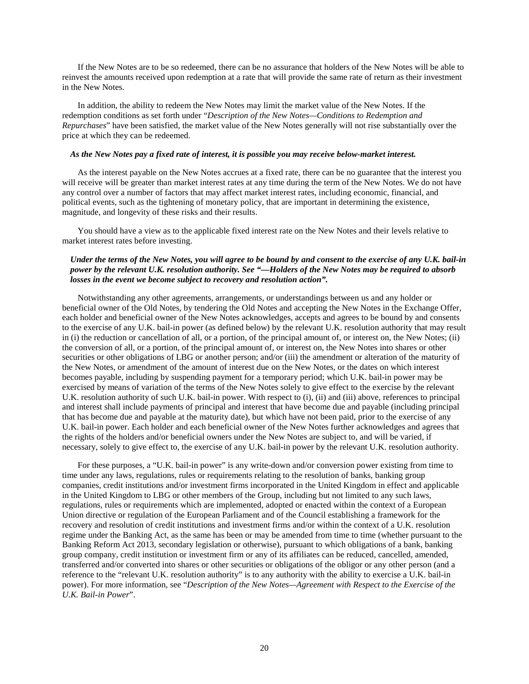If the New Notes are to be so redeemed, there can be no assurance that holders of the New Notes will be able to reinvest the amounts received upon redemption at a rate that will provide the same rate of return as their investment in the New Notes.

In addition, the ability to redeem the New Notes may limit the market value of the New Notes. If the redemption conditions as set forth under "*Description of the New Notes—Conditions to Redemption and Repurchases*" have been satisfied, the market value of the New Notes generally will not rise substantially over the price at which they can be redeemed.

#### *As the New Notes pay a fixed rate of interest, it is possible you may receive below-market interest.*

As the interest payable on the New Notes accrues at a fixed rate, there can be no guarantee that the interest you will receive will be greater than market interest rates at any time during the term of the New Notes. We do not have any control over a number of factors that may affect market interest rates, including economic, financial, and political events, such as the tightening of monetary policy, that are important in determining the existence, magnitude, and longevity of these risks and their results.

You should have a view as to the applicable fixed interest rate on the New Notes and their levels relative to market interest rates before investing.

## *Under the terms of the New Notes, you will agree to be bound by and consent to the exercise of any U.K. bail-in power by the relevant U.K. resolution authority. See "—Holders of the New Notes may be required to absorb losses in the event we become subject to recovery and resolution action".*

Notwithstanding any other agreements, arrangements, or understandings between us and any holder or beneficial owner of the Old Notes, by tendering the Old Notes and accepting the New Notes in the Exchange Offer, each holder and beneficial owner of the New Notes acknowledges, accepts and agrees to be bound by and consents to the exercise of any U.K. bail-in power (as defined below) by the relevant U.K. resolution authority that may result in (i) the reduction or cancellation of all, or a portion, of the principal amount of, or interest on, the New Notes; (ii) the conversion of all, or a portion, of the principal amount of, or interest on, the New Notes into shares or other securities or other obligations of LBG or another person; and/or (iii) the amendment or alteration of the maturity of the New Notes, or amendment of the amount of interest due on the New Notes, or the dates on which interest becomes payable, including by suspending payment for a temporary period; which U.K. bail-in power may be exercised by means of variation of the terms of the New Notes solely to give effect to the exercise by the relevant U.K. resolution authority of such U.K. bail-in power. With respect to (i), (ii) and (iii) above, references to principal and interest shall include payments of principal and interest that have become due and payable (including principal that has become due and payable at the maturity date), but which have not been paid, prior to the exercise of any U.K. bail-in power. Each holder and each beneficial owner of the New Notes further acknowledges and agrees that the rights of the holders and/or beneficial owners under the New Notes are subject to, and will be varied, if necessary, solely to give effect to, the exercise of any U.K. bail-in power by the relevant U.K. resolution authority.

For these purposes, a "U.K. bail-in power" is any write-down and/or conversion power existing from time to time under any laws, regulations, rules or requirements relating to the resolution of banks, banking group companies, credit institutions and/or investment firms incorporated in the United Kingdom in effect and applicable in the United Kingdom to LBG or other members of the Group, including but not limited to any such laws, regulations, rules or requirements which are implemented, adopted or enacted within the context of a European Union directive or regulation of the European Parliament and of the Council establishing a framework for the recovery and resolution of credit institutions and investment firms and/or within the context of a U.K. resolution regime under the Banking Act, as the same has been or may be amended from time to time (whether pursuant to the Banking Reform Act 2013, secondary legislation or otherwise), pursuant to which obligations of a bank, banking group company, credit institution or investment firm or any of its affiliates can be reduced, cancelled, amended, transferred and/or converted into shares or other securities or obligations of the obligor or any other person (and a reference to the "relevant U.K. resolution authority" is to any authority with the ability to exercise a U.K. bail-in power). For more information, see "*Description of the New Notes—Agreement with Respect to the Exercise of the U.K. Bail-in Power*".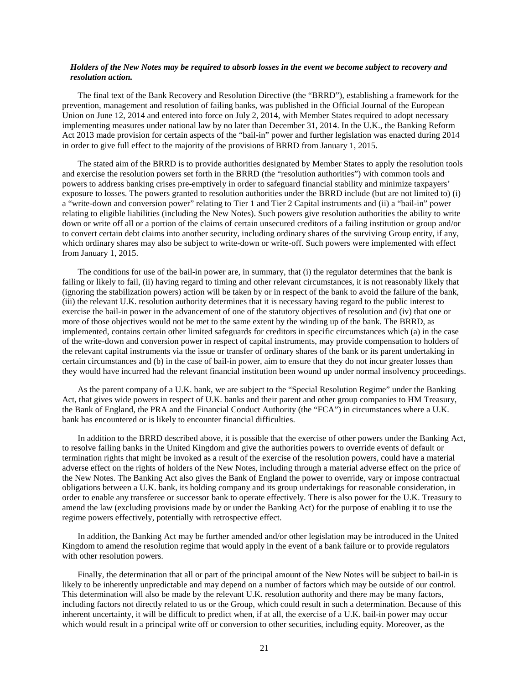#### *Holders of the New Notes may be required to absorb losses in the event we become subject to recovery and resolution action.*

The final text of the Bank Recovery and Resolution Directive (the "BRRD"), establishing a framework for the prevention, management and resolution of failing banks, was published in the Official Journal of the European Union on June 12, 2014 and entered into force on July 2, 2014, with Member States required to adopt necessary implementing measures under national law by no later than December 31, 2014. In the U.K., the Banking Reform Act 2013 made provision for certain aspects of the "bail-in" power and further legislation was enacted during 2014 in order to give full effect to the majority of the provisions of BRRD from January 1, 2015.

The stated aim of the BRRD is to provide authorities designated by Member States to apply the resolution tools and exercise the resolution powers set forth in the BRRD (the "resolution authorities") with common tools and powers to address banking crises pre-emptively in order to safeguard financial stability and minimize taxpayers' exposure to losses. The powers granted to resolution authorities under the BRRD include (but are not limited to) (i) a "write-down and conversion power" relating to Tier 1 and Tier 2 Capital instruments and (ii) a "bail-in" power relating to eligible liabilities (including the New Notes). Such powers give resolution authorities the ability to write down or write off all or a portion of the claims of certain unsecured creditors of a failing institution or group and/or to convert certain debt claims into another security, including ordinary shares of the surviving Group entity, if any, which ordinary shares may also be subject to write-down or write-off. Such powers were implemented with effect from January 1, 2015.

The conditions for use of the bail-in power are, in summary, that (i) the regulator determines that the bank is failing or likely to fail, (ii) having regard to timing and other relevant circumstances, it is not reasonably likely that (ignoring the stabilization powers) action will be taken by or in respect of the bank to avoid the failure of the bank, (iii) the relevant U.K. resolution authority determines that it is necessary having regard to the public interest to exercise the bail-in power in the advancement of one of the statutory objectives of resolution and (iv) that one or more of those objectives would not be met to the same extent by the winding up of the bank. The BRRD, as implemented, contains certain other limited safeguards for creditors in specific circumstances which (a) in the case of the write-down and conversion power in respect of capital instruments, may provide compensation to holders of the relevant capital instruments via the issue or transfer of ordinary shares of the bank or its parent undertaking in certain circumstances and (b) in the case of bail-in power, aim to ensure that they do not incur greater losses than they would have incurred had the relevant financial institution been wound up under normal insolvency proceedings.

As the parent company of a U.K. bank, we are subject to the "Special Resolution Regime" under the Banking Act, that gives wide powers in respect of U.K. banks and their parent and other group companies to HM Treasury, the Bank of England, the PRA and the Financial Conduct Authority (the "FCA") in circumstances where a U.K. bank has encountered or is likely to encounter financial difficulties.

In addition to the BRRD described above, it is possible that the exercise of other powers under the Banking Act, to resolve failing banks in the United Kingdom and give the authorities powers to override events of default or termination rights that might be invoked as a result of the exercise of the resolution powers, could have a material adverse effect on the rights of holders of the New Notes, including through a material adverse effect on the price of the New Notes. The Banking Act also gives the Bank of England the power to override, vary or impose contractual obligations between a U.K. bank, its holding company and its group undertakings for reasonable consideration, in order to enable any transferee or successor bank to operate effectively. There is also power for the U.K. Treasury to amend the law (excluding provisions made by or under the Banking Act) for the purpose of enabling it to use the regime powers effectively, potentially with retrospective effect.

In addition, the Banking Act may be further amended and/or other legislation may be introduced in the United Kingdom to amend the resolution regime that would apply in the event of a bank failure or to provide regulators with other resolution powers.

Finally, the determination that all or part of the principal amount of the New Notes will be subject to bail-in is likely to be inherently unpredictable and may depend on a number of factors which may be outside of our control. This determination will also be made by the relevant U.K. resolution authority and there may be many factors, including factors not directly related to us or the Group, which could result in such a determination. Because of this inherent uncertainty, it will be difficult to predict when, if at all, the exercise of a U.K. bail-in power may occur which would result in a principal write off or conversion to other securities, including equity. Moreover, as the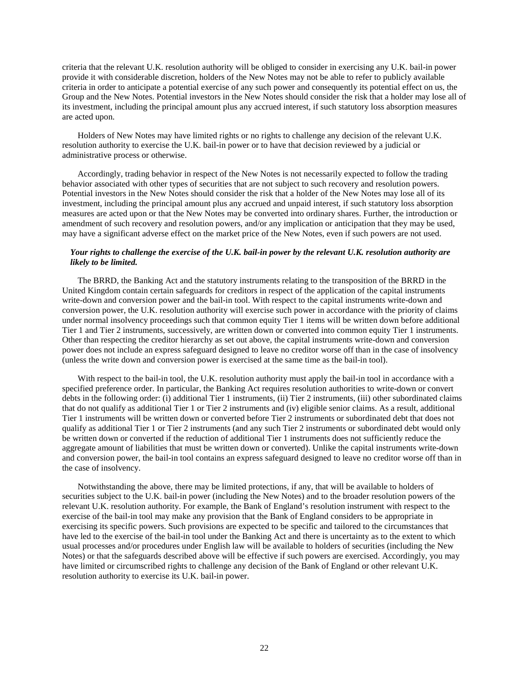criteria that the relevant U.K. resolution authority will be obliged to consider in exercising any U.K. bail-in power provide it with considerable discretion, holders of the New Notes may not be able to refer to publicly available criteria in order to anticipate a potential exercise of any such power and consequently its potential effect on us, the Group and the New Notes. Potential investors in the New Notes should consider the risk that a holder may lose all of its investment, including the principal amount plus any accrued interest, if such statutory loss absorption measures are acted upon.

Holders of New Notes may have limited rights or no rights to challenge any decision of the relevant U.K. resolution authority to exercise the U.K. bail-in power or to have that decision reviewed by a judicial or administrative process or otherwise.

Accordingly, trading behavior in respect of the New Notes is not necessarily expected to follow the trading behavior associated with other types of securities that are not subject to such recovery and resolution powers. Potential investors in the New Notes should consider the risk that a holder of the New Notes may lose all of its investment, including the principal amount plus any accrued and unpaid interest, if such statutory loss absorption measures are acted upon or that the New Notes may be converted into ordinary shares. Further, the introduction or amendment of such recovery and resolution powers, and/or any implication or anticipation that they may be used, may have a significant adverse effect on the market price of the New Notes, even if such powers are not used.

# *Your rights to challenge the exercise of the U.K. bail-in power by the relevant U.K. resolution authority are likely to be limited.*

The BRRD, the Banking Act and the statutory instruments relating to the transposition of the BRRD in the United Kingdom contain certain safeguards for creditors in respect of the application of the capital instruments write-down and conversion power and the bail-in tool. With respect to the capital instruments write-down and conversion power, the U.K. resolution authority will exercise such power in accordance with the priority of claims under normal insolvency proceedings such that common equity Tier 1 items will be written down before additional Tier 1 and Tier 2 instruments, successively, are written down or converted into common equity Tier 1 instruments. Other than respecting the creditor hierarchy as set out above, the capital instruments write-down and conversion power does not include an express safeguard designed to leave no creditor worse off than in the case of insolvency (unless the write down and conversion power is exercised at the same time as the bail-in tool).

With respect to the bail-in tool, the U.K. resolution authority must apply the bail-in tool in accordance with a specified preference order. In particular, the Banking Act requires resolution authorities to write-down or convert debts in the following order: (i) additional Tier 1 instruments, (ii) Tier 2 instruments, (iii) other subordinated claims that do not qualify as additional Tier 1 or Tier 2 instruments and (iv) eligible senior claims. As a result, additional Tier 1 instruments will be written down or converted before Tier 2 instruments or subordinated debt that does not qualify as additional Tier 1 or Tier 2 instruments (and any such Tier 2 instruments or subordinated debt would only be written down or converted if the reduction of additional Tier 1 instruments does not sufficiently reduce the aggregate amount of liabilities that must be written down or converted). Unlike the capital instruments write-down and conversion power, the bail-in tool contains an express safeguard designed to leave no creditor worse off than in the case of insolvency.

Notwithstanding the above, there may be limited protections, if any, that will be available to holders of securities subject to the U.K. bail-in power (including the New Notes) and to the broader resolution powers of the relevant U.K. resolution authority. For example, the Bank of England's resolution instrument with respect to the exercise of the bail-in tool may make any provision that the Bank of England considers to be appropriate in exercising its specific powers. Such provisions are expected to be specific and tailored to the circumstances that have led to the exercise of the bail-in tool under the Banking Act and there is uncertainty as to the extent to which usual processes and/or procedures under English law will be available to holders of securities (including the New Notes) or that the safeguards described above will be effective if such powers are exercised. Accordingly, you may have limited or circumscribed rights to challenge any decision of the Bank of England or other relevant U.K. resolution authority to exercise its U.K. bail-in power.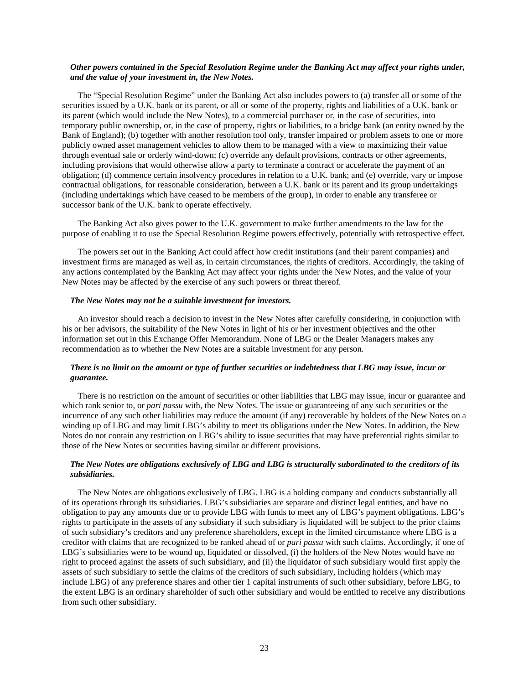# *Other powers contained in the Special Resolution Regime under the Banking Act may affect your rights under, and the value of your investment in, the New Notes.*

The "Special Resolution Regime" under the Banking Act also includes powers to (a) transfer all or some of the securities issued by a U.K. bank or its parent, or all or some of the property, rights and liabilities of a U.K. bank or its parent (which would include the New Notes), to a commercial purchaser or, in the case of securities, into temporary public ownership, or, in the case of property, rights or liabilities, to a bridge bank (an entity owned by the Bank of England); (b) together with another resolution tool only, transfer impaired or problem assets to one or more publicly owned asset management vehicles to allow them to be managed with a view to maximizing their value through eventual sale or orderly wind-down; (c) override any default provisions, contracts or other agreements, including provisions that would otherwise allow a party to terminate a contract or accelerate the payment of an obligation; (d) commence certain insolvency procedures in relation to a U.K. bank; and (e) override, vary or impose contractual obligations, for reasonable consideration, between a U.K. bank or its parent and its group undertakings (including undertakings which have ceased to be members of the group), in order to enable any transferee or successor bank of the U.K. bank to operate effectively.

The Banking Act also gives power to the U.K. government to make further amendments to the law for the purpose of enabling it to use the Special Resolution Regime powers effectively, potentially with retrospective effect.

The powers set out in the Banking Act could affect how credit institutions (and their parent companies) and investment firms are managed as well as, in certain circumstances, the rights of creditors. Accordingly, the taking of any actions contemplated by the Banking Act may affect your rights under the New Notes, and the value of your New Notes may be affected by the exercise of any such powers or threat thereof.

#### *The New Notes may not be a suitable investment for investors.*

An investor should reach a decision to invest in the New Notes after carefully considering, in conjunction with his or her advisors, the suitability of the New Notes in light of his or her investment objectives and the other information set out in this Exchange Offer Memorandum. None of LBG or the Dealer Managers makes any recommendation as to whether the New Notes are a suitable investment for any person.

# *There is no limit on the amount or type of further securities or indebtedness that LBG may issue, incur or guarantee.*

There is no restriction on the amount of securities or other liabilities that LBG may issue, incur or guarantee and which rank senior to, or *pari passu* with, the New Notes. The issue or guaranteeing of any such securities or the incurrence of any such other liabilities may reduce the amount (if any) recoverable by holders of the New Notes on a winding up of LBG and may limit LBG's ability to meet its obligations under the New Notes. In addition, the New Notes do not contain any restriction on LBG's ability to issue securities that may have preferential rights similar to those of the New Notes or securities having similar or different provisions.

### *The New Notes are obligations exclusively of LBG and LBG is structurally subordinated to the creditors of its subsidiaries.*

The New Notes are obligations exclusively of LBG. LBG is a holding company and conducts substantially all of its operations through its subsidiaries. LBG's subsidiaries are separate and distinct legal entities, and have no obligation to pay any amounts due or to provide LBG with funds to meet any of LBG's payment obligations. LBG's rights to participate in the assets of any subsidiary if such subsidiary is liquidated will be subject to the prior claims of such subsidiary's creditors and any preference shareholders, except in the limited circumstance where LBG is a creditor with claims that are recognized to be ranked ahead of or *pari passu* with such claims. Accordingly, if one of LBG's subsidiaries were to be wound up, liquidated or dissolved, (i) the holders of the New Notes would have no right to proceed against the assets of such subsidiary, and (ii) the liquidator of such subsidiary would first apply the assets of such subsidiary to settle the claims of the creditors of such subsidiary, including holders (which may include LBG) of any preference shares and other tier 1 capital instruments of such other subsidiary, before LBG, to the extent LBG is an ordinary shareholder of such other subsidiary and would be entitled to receive any distributions from such other subsidiary.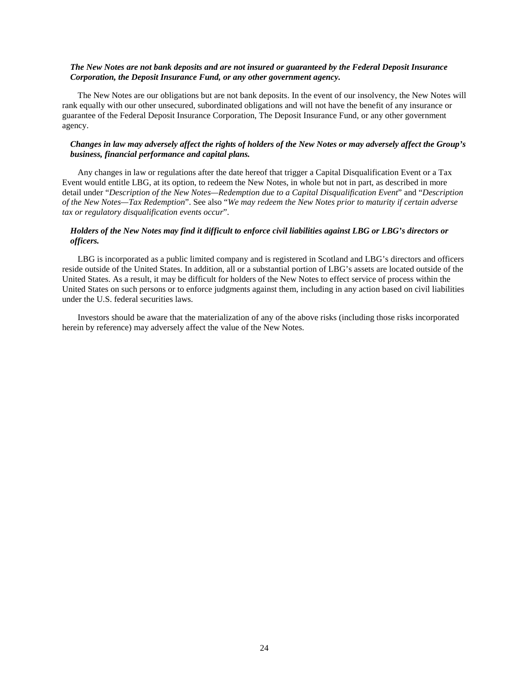# *The New Notes are not bank deposits and are not insured or guaranteed by the Federal Deposit Insurance Corporation, the Deposit Insurance Fund, or any other government agency.*

The New Notes are our obligations but are not bank deposits. In the event of our insolvency, the New Notes will rank equally with our other unsecured, subordinated obligations and will not have the benefit of any insurance or guarantee of the Federal Deposit Insurance Corporation, The Deposit Insurance Fund, or any other government agency.

### *Changes in law may adversely affect the rights of holders of the New Notes or may adversely affect the Group's business, financial performance and capital plans.*

Any changes in law or regulations after the date hereof that trigger a Capital Disqualification Event or a Tax Event would entitle LBG, at its option, to redeem the New Notes, in whole but not in part, as described in more detail under "*Description of the New Notes—Redemption due to a Capital Disqualification Event*" and "*Description of the New Notes—Tax Redemption*". See also "*We may redeem the New Notes prior to maturity if certain adverse tax or regulatory disqualification events occur*".

# *Holders of the New Notes may find it difficult to enforce civil liabilities against LBG or LBG's directors or officers.*

LBG is incorporated as a public limited company and is registered in Scotland and LBG's directors and officers reside outside of the United States. In addition, all or a substantial portion of LBG's assets are located outside of the United States. As a result, it may be difficult for holders of the New Notes to effect service of process within the United States on such persons or to enforce judgments against them, including in any action based on civil liabilities under the U.S. federal securities laws.

Investors should be aware that the materialization of any of the above risks (including those risks incorporated herein by reference) may adversely affect the value of the New Notes.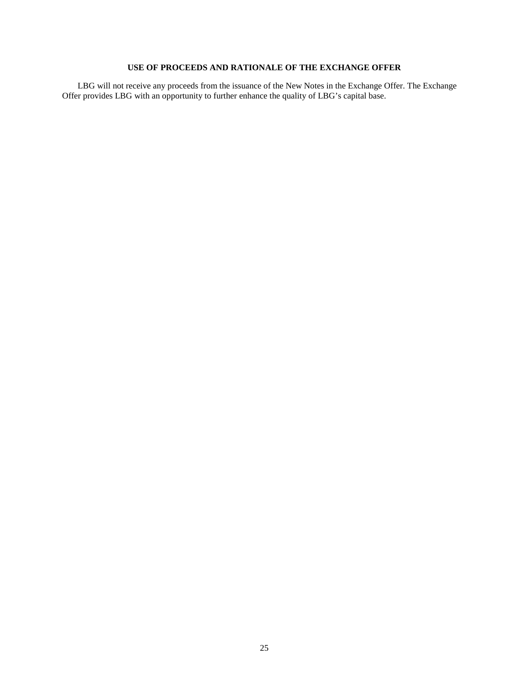# **USE OF PROCEEDS AND RATIONALE OF THE EXCHANGE OFFER**

LBG will not receive any proceeds from the issuance of the New Notes in the Exchange Offer. The Exchange Offer provides LBG with an opportunity to further enhance the quality of LBG's capital base.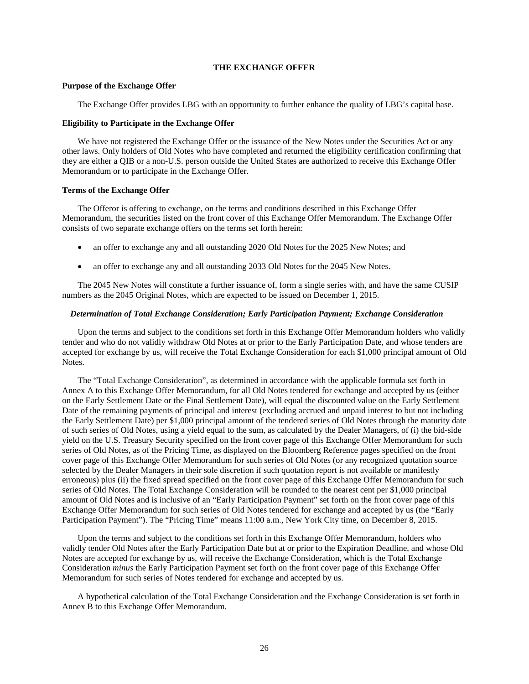# **THE EXCHANGE OFFER**

### **Purpose of the Exchange Offer**

The Exchange Offer provides LBG with an opportunity to further enhance the quality of LBG's capital base.

### **Eligibility to Participate in the Exchange Offer**

We have not registered the Exchange Offer or the issuance of the New Notes under the Securities Act or any other laws. Only holders of Old Notes who have completed and returned the eligibility certification confirming that they are either a QIB or a non-U.S. person outside the United States are authorized to receive this Exchange Offer Memorandum or to participate in the Exchange Offer.

# **Terms of the Exchange Offer**

The Offeror is offering to exchange, on the terms and conditions described in this Exchange Offer Memorandum, the securities listed on the front cover of this Exchange Offer Memorandum. The Exchange Offer consists of two separate exchange offers on the terms set forth herein:

- an offer to exchange any and all outstanding 2020 Old Notes for the 2025 New Notes; and
- an offer to exchange any and all outstanding 2033 Old Notes for the 2045 New Notes.

The 2045 New Notes will constitute a further issuance of, form a single series with, and have the same CUSIP numbers as the 2045 Original Notes, which are expected to be issued on December 1, 2015.

# *Determination of Total Exchange Consideration; Early Participation Payment; Exchange Consideration*

Upon the terms and subject to the conditions set forth in this Exchange Offer Memorandum holders who validly tender and who do not validly withdraw Old Notes at or prior to the Early Participation Date, and whose tenders are accepted for exchange by us, will receive the Total Exchange Consideration for each \$1,000 principal amount of Old Notes.

The "Total Exchange Consideration", as determined in accordance with the applicable formula set forth in Annex A to this Exchange Offer Memorandum, for all Old Notes tendered for exchange and accepted by us (either on the Early Settlement Date or the Final Settlement Date), will equal the discounted value on the Early Settlement Date of the remaining payments of principal and interest (excluding accrued and unpaid interest to but not including the Early Settlement Date) per \$1,000 principal amount of the tendered series of Old Notes through the maturity date of such series of Old Notes, using a yield equal to the sum, as calculated by the Dealer Managers, of (i) the bid-side yield on the U.S. Treasury Security specified on the front cover page of this Exchange Offer Memorandum for such series of Old Notes, as of the Pricing Time, as displayed on the Bloomberg Reference pages specified on the front cover page of this Exchange Offer Memorandum for such series of Old Notes (or any recognized quotation source selected by the Dealer Managers in their sole discretion if such quotation report is not available or manifestly erroneous) plus (ii) the fixed spread specified on the front cover page of this Exchange Offer Memorandum for such series of Old Notes. The Total Exchange Consideration will be rounded to the nearest cent per \$1,000 principal amount of Old Notes and is inclusive of an "Early Participation Payment" set forth on the front cover page of this Exchange Offer Memorandum for such series of Old Notes tendered for exchange and accepted by us (the "Early Participation Payment"). The "Pricing Time" means 11:00 a.m., New York City time, on December 8, 2015.

Upon the terms and subject to the conditions set forth in this Exchange Offer Memorandum, holders who validly tender Old Notes after the Early Participation Date but at or prior to the Expiration Deadline, and whose Old Notes are accepted for exchange by us, will receive the Exchange Consideration, which is the Total Exchange Consideration *minus* the Early Participation Payment set forth on the front cover page of this Exchange Offer Memorandum for such series of Notes tendered for exchange and accepted by us.

A hypothetical calculation of the Total Exchange Consideration and the Exchange Consideration is set forth in Annex B to this Exchange Offer Memorandum.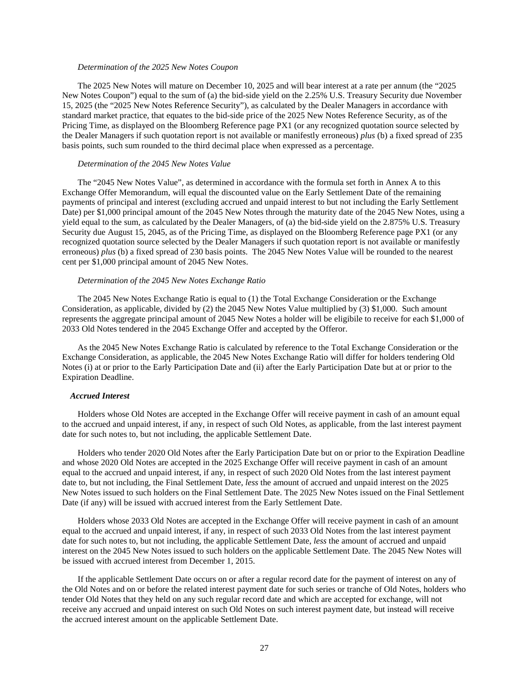### *Determination of the 2025 New Notes Coupon*

The 2025 New Notes will mature on December 10, 2025 and will bear interest at a rate per annum (the "2025 New Notes Coupon") equal to the sum of (a) the bid-side yield on the 2.25% U.S. Treasury Security due November 15, 2025 (the "2025 New Notes Reference Security"), as calculated by the Dealer Managers in accordance with standard market practice, that equates to the bid-side price of the 2025 New Notes Reference Security, as of the Pricing Time, as displayed on the Bloomberg Reference page PX1 (or any recognized quotation source selected by the Dealer Managers if such quotation report is not available or manifestly erroneous) *plus* (b) a fixed spread of 235 basis points, such sum rounded to the third decimal place when expressed as a percentage.

### *Determination of the 2045 New Notes Value*

The "2045 New Notes Value", as determined in accordance with the formula set forth in Annex A to this Exchange Offer Memorandum, will equal the discounted value on the Early Settlement Date of the remaining payments of principal and interest (excluding accrued and unpaid interest to but not including the Early Settlement Date) per \$1,000 principal amount of the 2045 New Notes through the maturity date of the 2045 New Notes, using a yield equal to the sum, as calculated by the Dealer Managers, of (a) the bid-side yield on the 2.875% U.S. Treasury Security due August 15, 2045, as of the Pricing Time, as displayed on the Bloomberg Reference page PX1 (or any recognized quotation source selected by the Dealer Managers if such quotation report is not available or manifestly erroneous) *plus* (b) a fixed spread of 230 basis points. The 2045 New Notes Value will be rounded to the nearest cent per \$1,000 principal amount of 2045 New Notes.

# *Determination of the 2045 New Notes Exchange Ratio*

The 2045 New Notes Exchange Ratio is equal to (1) the Total Exchange Consideration or the Exchange Consideration, as applicable, divided by (2) the 2045 New Notes Value multiplied by (3) \$1,000. Such amount represents the aggregate principal amount of 2045 New Notes a holder will be eligibile to receive for each \$1,000 of 2033 Old Notes tendered in the 2045 Exchange Offer and accepted by the Offeror.

As the 2045 New Notes Exchange Ratio is calculated by reference to the Total Exchange Consideration or the Exchange Consideration, as applicable, the 2045 New Notes Exchange Ratio will differ for holders tendering Old Notes (i) at or prior to the Early Participation Date and (ii) after the Early Participation Date but at or prior to the Expiration Deadline.

#### *Accrued Interest*

Holders whose Old Notes are accepted in the Exchange Offer will receive payment in cash of an amount equal to the accrued and unpaid interest, if any, in respect of such Old Notes, as applicable, from the last interest payment date for such notes to, but not including, the applicable Settlement Date.

Holders who tender 2020 Old Notes after the Early Participation Date but on or prior to the Expiration Deadline and whose 2020 Old Notes are accepted in the 2025 Exchange Offer will receive payment in cash of an amount equal to the accrued and unpaid interest, if any, in respect of such 2020 Old Notes from the last interest payment date to, but not including, the Final Settlement Date, *less* the amount of accrued and unpaid interest on the 2025 New Notes issued to such holders on the Final Settlement Date. The 2025 New Notes issued on the Final Settlement Date (if any) will be issued with accrued interest from the Early Settlement Date.

Holders whose 2033 Old Notes are accepted in the Exchange Offer will receive payment in cash of an amount equal to the accrued and unpaid interest, if any, in respect of such 2033 Old Notes from the last interest payment date for such notes to, but not including, the applicable Settlement Date, *less* the amount of accrued and unpaid interest on the 2045 New Notes issued to such holders on the applicable Settlement Date. The 2045 New Notes will be issued with accrued interest from December 1, 2015.

If the applicable Settlement Date occurs on or after a regular record date for the payment of interest on any of the Old Notes and on or before the related interest payment date for such series or tranche of Old Notes, holders who tender Old Notes that they held on any such regular record date and which are accepted for exchange, will not receive any accrued and unpaid interest on such Old Notes on such interest payment date, but instead will receive the accrued interest amount on the applicable Settlement Date.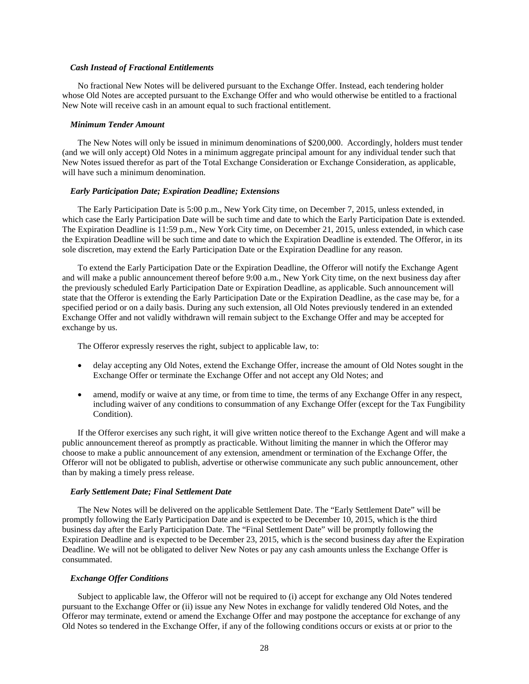#### *Cash Instead of Fractional Entitlements*

No fractional New Notes will be delivered pursuant to the Exchange Offer. Instead, each tendering holder whose Old Notes are accepted pursuant to the Exchange Offer and who would otherwise be entitled to a fractional New Note will receive cash in an amount equal to such fractional entitlement.

#### *Minimum Tender Amount*

The New Notes will only be issued in minimum denominations of \$200,000. Accordingly, holders must tender (and we will only accept) Old Notes in a minimum aggregate principal amount for any individual tender such that New Notes issued therefor as part of the Total Exchange Consideration or Exchange Consideration, as applicable, will have such a minimum denomination.

#### *Early Participation Date; Expiration Deadline; Extensions*

The Early Participation Date is 5:00 p.m., New York City time, on December 7, 2015, unless extended, in which case the Early Participation Date will be such time and date to which the Early Participation Date is extended. The Expiration Deadline is 11:59 p.m., New York City time, on December 21, 2015, unless extended, in which case the Expiration Deadline will be such time and date to which the Expiration Deadline is extended. The Offeror, in its sole discretion, may extend the Early Participation Date or the Expiration Deadline for any reason.

To extend the Early Participation Date or the Expiration Deadline, the Offeror will notify the Exchange Agent and will make a public announcement thereof before 9:00 a.m., New York City time, on the next business day after the previously scheduled Early Participation Date or Expiration Deadline, as applicable. Such announcement will state that the Offeror is extending the Early Participation Date or the Expiration Deadline, as the case may be, for a specified period or on a daily basis. During any such extension, all Old Notes previously tendered in an extended Exchange Offer and not validly withdrawn will remain subject to the Exchange Offer and may be accepted for exchange by us.

The Offeror expressly reserves the right, subject to applicable law, to:

- delay accepting any Old Notes, extend the Exchange Offer, increase the amount of Old Notes sought in the Exchange Offer or terminate the Exchange Offer and not accept any Old Notes; and
- amend, modify or waive at any time, or from time to time, the terms of any Exchange Offer in any respect, including waiver of any conditions to consummation of any Exchange Offer (except for the Tax Fungibility Condition).

If the Offeror exercises any such right, it will give written notice thereof to the Exchange Agent and will make a public announcement thereof as promptly as practicable. Without limiting the manner in which the Offeror may choose to make a public announcement of any extension, amendment or termination of the Exchange Offer, the Offeror will not be obligated to publish, advertise or otherwise communicate any such public announcement, other than by making a timely press release.

#### *Early Settlement Date; Final Settlement Date*

The New Notes will be delivered on the applicable Settlement Date. The "Early Settlement Date" will be promptly following the Early Participation Date and is expected to be December 10, 2015, which is the third business day after the Early Participation Date. The "Final Settlement Date" will be promptly following the Expiration Deadline and is expected to be December 23, 2015, which is the second business day after the Expiration Deadline. We will not be obligated to deliver New Notes or pay any cash amounts unless the Exchange Offer is consummated.

#### *Exchange Offer Conditions*

Subject to applicable law, the Offeror will not be required to (i) accept for exchange any Old Notes tendered pursuant to the Exchange Offer or (ii) issue any New Notes in exchange for validly tendered Old Notes, and the Offeror may terminate, extend or amend the Exchange Offer and may postpone the acceptance for exchange of any Old Notes so tendered in the Exchange Offer, if any of the following conditions occurs or exists at or prior to the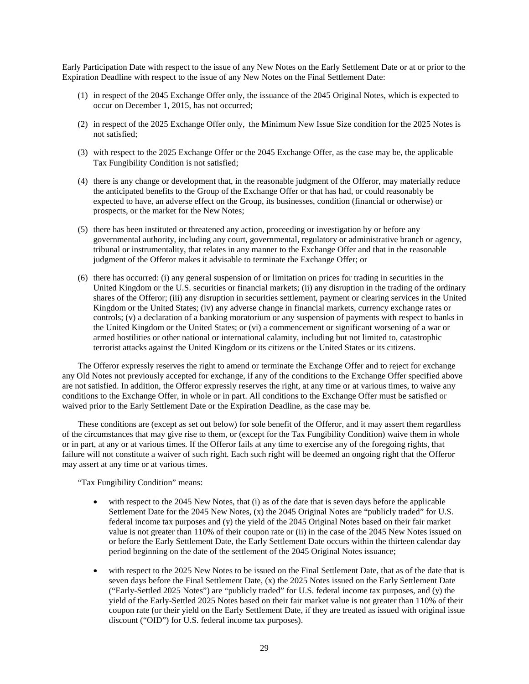Early Participation Date with respect to the issue of any New Notes on the Early Settlement Date or at or prior to the Expiration Deadline with respect to the issue of any New Notes on the Final Settlement Date:

- (1) in respect of the 2045 Exchange Offer only, the issuance of the 2045 Original Notes, which is expected to occur on December 1, 2015, has not occurred;
- (2) in respect of the 2025 Exchange Offer only, the Minimum New Issue Size condition for the 2025 Notes is not satisfied;
- (3) with respect to the 2025 Exchange Offer or the 2045 Exchange Offer, as the case may be, the applicable Tax Fungibility Condition is not satisfied;
- (4) there is any change or development that, in the reasonable judgment of the Offeror, may materially reduce the anticipated benefits to the Group of the Exchange Offer or that has had, or could reasonably be expected to have, an adverse effect on the Group, its businesses, condition (financial or otherwise) or prospects, or the market for the New Notes;
- (5) there has been instituted or threatened any action, proceeding or investigation by or before any governmental authority, including any court, governmental, regulatory or administrative branch or agency, tribunal or instrumentality, that relates in any manner to the Exchange Offer and that in the reasonable judgment of the Offeror makes it advisable to terminate the Exchange Offer; or
- (6) there has occurred: (i) any general suspension of or limitation on prices for trading in securities in the United Kingdom or the U.S. securities or financial markets; (ii) any disruption in the trading of the ordinary shares of the Offeror; (iii) any disruption in securities settlement, payment or clearing services in the United Kingdom or the United States; (iv) any adverse change in financial markets, currency exchange rates or controls; (v) a declaration of a banking moratorium or any suspension of payments with respect to banks in the United Kingdom or the United States; or (vi) a commencement or significant worsening of a war or armed hostilities or other national or international calamity, including but not limited to, catastrophic terrorist attacks against the United Kingdom or its citizens or the United States or its citizens.

The Offeror expressly reserves the right to amend or terminate the Exchange Offer and to reject for exchange any Old Notes not previously accepted for exchange, if any of the conditions to the Exchange Offer specified above are not satisfied. In addition, the Offeror expressly reserves the right, at any time or at various times, to waive any conditions to the Exchange Offer, in whole or in part. All conditions to the Exchange Offer must be satisfied or waived prior to the Early Settlement Date or the Expiration Deadline, as the case may be.

These conditions are (except as set out below) for sole benefit of the Offeror, and it may assert them regardless of the circumstances that may give rise to them, or (except for the Tax Fungibility Condition) waive them in whole or in part, at any or at various times. If the Offeror fails at any time to exercise any of the foregoing rights, that failure will not constitute a waiver of such right. Each such right will be deemed an ongoing right that the Offeror may assert at any time or at various times.

"Tax Fungibility Condition" means:

- with respect to the 2045 New Notes, that (i) as of the date that is seven days before the applicable Settlement Date for the 2045 New Notes, (x) the 2045 Original Notes are "publicly traded" for U.S. federal income tax purposes and (y) the yield of the 2045 Original Notes based on their fair market value is not greater than 110% of their coupon rate or (ii) in the case of the 2045 New Notes issued on or before the Early Settlement Date, the Early Settlement Date occurs within the thirteen calendar day period beginning on the date of the settlement of the 2045 Original Notes issuance;
- with respect to the 2025 New Notes to be issued on the Final Settlement Date, that as of the date that is seven days before the Final Settlement Date, (x) the 2025 Notes issued on the Early Settlement Date ("Early-Settled 2025 Notes") are "publicly traded" for U.S. federal income tax purposes, and (y) the yield of the Early-Settled 2025 Notes based on their fair market value is not greater than 110% of their coupon rate (or their yield on the Early Settlement Date, if they are treated as issued with original issue discount ("OID") for U.S. federal income tax purposes).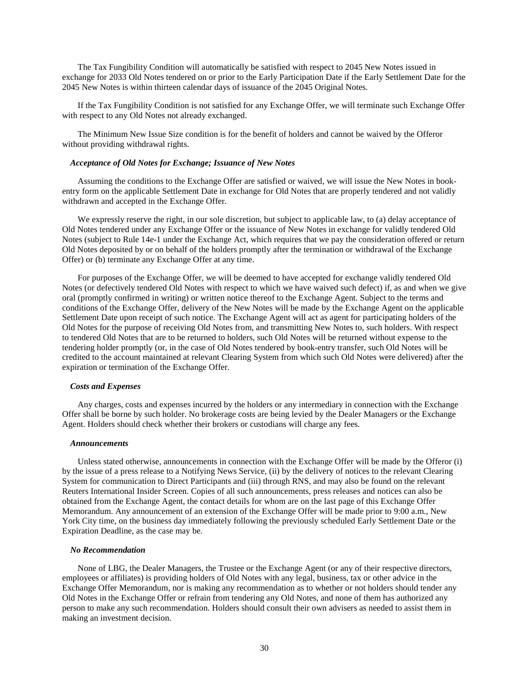The Tax Fungibility Condition will automatically be satisfied with respect to 2045 New Notes issued in exchange for 2033 Old Notes tendered on or prior to the Early Participation Date if the Early Settlement Date for the 2045 New Notes is within thirteen calendar days of issuance of the 2045 Original Notes.

If the Tax Fungibility Condition is not satisfied for any Exchange Offer, we will terminate such Exchange Offer with respect to any Old Notes not already exchanged.

The Minimum New Issue Size condition is for the benefit of holders and cannot be waived by the Offeror without providing withdrawal rights.

# *Acceptance of Old Notes for Exchange; Issuance of New Notes*

Assuming the conditions to the Exchange Offer are satisfied or waived, we will issue the New Notes in bookentry form on the applicable Settlement Date in exchange for Old Notes that are properly tendered and not validly withdrawn and accepted in the Exchange Offer.

We expressly reserve the right, in our sole discretion, but subject to applicable law, to (a) delay acceptance of Old Notes tendered under any Exchange Offer or the issuance of New Notes in exchange for validly tendered Old Notes (subject to Rule 14e-1 under the Exchange Act, which requires that we pay the consideration offered or return Old Notes deposited by or on behalf of the holders promptly after the termination or withdrawal of the Exchange Offer) or (b) terminate any Exchange Offer at any time.

For purposes of the Exchange Offer, we will be deemed to have accepted for exchange validly tendered Old Notes (or defectively tendered Old Notes with respect to which we have waived such defect) if, as and when we give oral (promptly confirmed in writing) or written notice thereof to the Exchange Agent. Subject to the terms and conditions of the Exchange Offer, delivery of the New Notes will be made by the Exchange Agent on the applicable Settlement Date upon receipt of such notice. The Exchange Agent will act as agent for participating holders of the Old Notes for the purpose of receiving Old Notes from, and transmitting New Notes to, such holders. With respect to tendered Old Notes that are to be returned to holders, such Old Notes will be returned without expense to the tendering holder promptly (or, in the case of Old Notes tendered by book-entry transfer, such Old Notes will be credited to the account maintained at relevant Clearing System from which such Old Notes were delivered) after the expiration or termination of the Exchange Offer.

### *Costs and Expenses*

Any charges, costs and expenses incurred by the holders or any intermediary in connection with the Exchange Offer shall be borne by such holder. No brokerage costs are being levied by the Dealer Managers or the Exchange Agent. Holders should check whether their brokers or custodians will charge any fees.

#### *Announcements*

Unless stated otherwise, announcements in connection with the Exchange Offer will be made by the Offeror (i) by the issue of a press release to a Notifying News Service, (ii) by the delivery of notices to the relevant Clearing System for communication to Direct Participants and (iii) through RNS, and may also be found on the relevant Reuters International Insider Screen. Copies of all such announcements, press releases and notices can also be obtained from the Exchange Agent, the contact details for whom are on the last page of this Exchange Offer Memorandum. Any announcement of an extension of the Exchange Offer will be made prior to 9:00 a.m., New York City time, on the business day immediately following the previously scheduled Early Settlement Date or the Expiration Deadline, as the case may be.

#### *No Recommendation*

None of LBG, the Dealer Managers, the Trustee or the Exchange Agent (or any of their respective directors, employees or affiliates) is providing holders of Old Notes with any legal, business, tax or other advice in the Exchange Offer Memorandum, nor is making any recommendation as to whether or not holders should tender any Old Notes in the Exchange Offer or refrain from tendering any Old Notes, and none of them has authorized any person to make any such recommendation. Holders should consult their own advisers as needed to assist them in making an investment decision.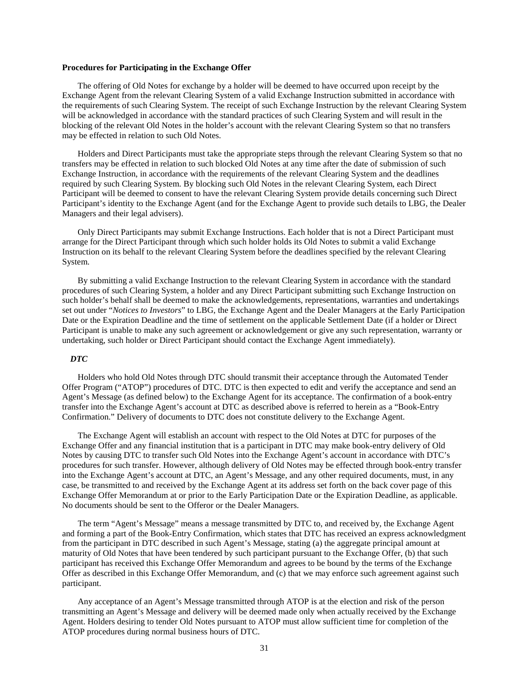### **Procedures for Participating in the Exchange Offer**

The offering of Old Notes for exchange by a holder will be deemed to have occurred upon receipt by the Exchange Agent from the relevant Clearing System of a valid Exchange Instruction submitted in accordance with the requirements of such Clearing System. The receipt of such Exchange Instruction by the relevant Clearing System will be acknowledged in accordance with the standard practices of such Clearing System and will result in the blocking of the relevant Old Notes in the holder's account with the relevant Clearing System so that no transfers may be effected in relation to such Old Notes.

Holders and Direct Participants must take the appropriate steps through the relevant Clearing System so that no transfers may be effected in relation to such blocked Old Notes at any time after the date of submission of such Exchange Instruction, in accordance with the requirements of the relevant Clearing System and the deadlines required by such Clearing System. By blocking such Old Notes in the relevant Clearing System, each Direct Participant will be deemed to consent to have the relevant Clearing System provide details concerning such Direct Participant's identity to the Exchange Agent (and for the Exchange Agent to provide such details to LBG, the Dealer Managers and their legal advisers).

Only Direct Participants may submit Exchange Instructions. Each holder that is not a Direct Participant must arrange for the Direct Participant through which such holder holds its Old Notes to submit a valid Exchange Instruction on its behalf to the relevant Clearing System before the deadlines specified by the relevant Clearing System.

By submitting a valid Exchange Instruction to the relevant Clearing System in accordance with the standard procedures of such Clearing System, a holder and any Direct Participant submitting such Exchange Instruction on such holder's behalf shall be deemed to make the acknowledgements, representations, warranties and undertakings set out under "*Notices to Investors*" to LBG, the Exchange Agent and the Dealer Managers at the Early Participation Date or the Expiration Deadline and the time of settlement on the applicable Settlement Date (if a holder or Direct Participant is unable to make any such agreement or acknowledgement or give any such representation, warranty or undertaking, such holder or Direct Participant should contact the Exchange Agent immediately).

# *DTC*

Holders who hold Old Notes through DTC should transmit their acceptance through the Automated Tender Offer Program ("ATOP") procedures of DTC. DTC is then expected to edit and verify the acceptance and send an Agent's Message (as defined below) to the Exchange Agent for its acceptance. The confirmation of a book-entry transfer into the Exchange Agent's account at DTC as described above is referred to herein as a "Book-Entry Confirmation." Delivery of documents to DTC does not constitute delivery to the Exchange Agent.

The Exchange Agent will establish an account with respect to the Old Notes at DTC for purposes of the Exchange Offer and any financial institution that is a participant in DTC may make book-entry delivery of Old Notes by causing DTC to transfer such Old Notes into the Exchange Agent's account in accordance with DTC's procedures for such transfer. However, although delivery of Old Notes may be effected through book-entry transfer into the Exchange Agent's account at DTC, an Agent's Message, and any other required documents, must, in any case, be transmitted to and received by the Exchange Agent at its address set forth on the back cover page of this Exchange Offer Memorandum at or prior to the Early Participation Date or the Expiration Deadline, as applicable. No documents should be sent to the Offeror or the Dealer Managers.

The term "Agent's Message" means a message transmitted by DTC to, and received by, the Exchange Agent and forming a part of the Book-Entry Confirmation, which states that DTC has received an express acknowledgment from the participant in DTC described in such Agent's Message, stating (a) the aggregate principal amount at maturity of Old Notes that have been tendered by such participant pursuant to the Exchange Offer, (b) that such participant has received this Exchange Offer Memorandum and agrees to be bound by the terms of the Exchange Offer as described in this Exchange Offer Memorandum, and (c) that we may enforce such agreement against such participant.

Any acceptance of an Agent's Message transmitted through ATOP is at the election and risk of the person transmitting an Agent's Message and delivery will be deemed made only when actually received by the Exchange Agent. Holders desiring to tender Old Notes pursuant to ATOP must allow sufficient time for completion of the ATOP procedures during normal business hours of DTC.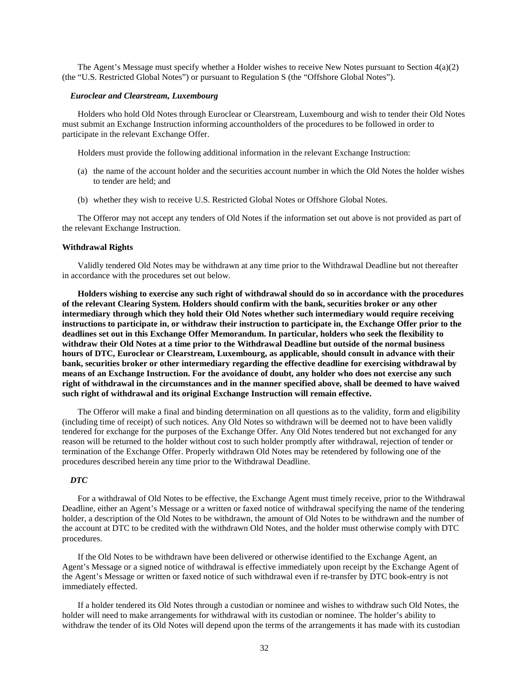The Agent's Message must specify whether a Holder wishes to receive New Notes pursuant to Section 4(a)(2) (the "U.S. Restricted Global Notes") or pursuant to Regulation S (the "Offshore Global Notes").

### *Euroclear and Clearstream, Luxembourg*

Holders who hold Old Notes through Euroclear or Clearstream, Luxembourg and wish to tender their Old Notes must submit an Exchange Instruction informing accountholders of the procedures to be followed in order to participate in the relevant Exchange Offer.

Holders must provide the following additional information in the relevant Exchange Instruction:

- (a) the name of the account holder and the securities account number in which the Old Notes the holder wishes to tender are held; and
- (b) whether they wish to receive U.S. Restricted Global Notes or Offshore Global Notes.

The Offeror may not accept any tenders of Old Notes if the information set out above is not provided as part of the relevant Exchange Instruction.

# **Withdrawal Rights**

Validly tendered Old Notes may be withdrawn at any time prior to the Withdrawal Deadline but not thereafter in accordance with the procedures set out below.

**Holders wishing to exercise any such right of withdrawal should do so in accordance with the procedures of the relevant Clearing System. Holders should confirm with the bank, securities broker or any other intermediary through which they hold their Old Notes whether such intermediary would require receiving instructions to participate in, or withdraw their instruction to participate in, the Exchange Offer prior to the deadlines set out in this Exchange Offer Memorandum. In particular, holders who seek the flexibility to withdraw their Old Notes at a time prior to the Withdrawal Deadline but outside of the normal business hours of DTC, Euroclear or Clearstream, Luxembourg, as applicable, should consult in advance with their bank, securities broker or other intermediary regarding the effective deadline for exercising withdrawal by means of an Exchange Instruction. For the avoidance of doubt, any holder who does not exercise any such right of withdrawal in the circumstances and in the manner specified above, shall be deemed to have waived such right of withdrawal and its original Exchange Instruction will remain effective.**

The Offeror will make a final and binding determination on all questions as to the validity, form and eligibility (including time of receipt) of such notices. Any Old Notes so withdrawn will be deemed not to have been validly tendered for exchange for the purposes of the Exchange Offer. Any Old Notes tendered but not exchanged for any reason will be returned to the holder without cost to such holder promptly after withdrawal, rejection of tender or termination of the Exchange Offer. Properly withdrawn Old Notes may be retendered by following one of the procedures described herein any time prior to the Withdrawal Deadline.

# *DTC*

For a withdrawal of Old Notes to be effective, the Exchange Agent must timely receive, prior to the Withdrawal Deadline, either an Agent's Message or a written or faxed notice of withdrawal specifying the name of the tendering holder, a description of the Old Notes to be withdrawn, the amount of Old Notes to be withdrawn and the number of the account at DTC to be credited with the withdrawn Old Notes, and the holder must otherwise comply with DTC procedures.

If the Old Notes to be withdrawn have been delivered or otherwise identified to the Exchange Agent, an Agent's Message or a signed notice of withdrawal is effective immediately upon receipt by the Exchange Agent of the Agent's Message or written or faxed notice of such withdrawal even if re-transfer by DTC book-entry is not immediately effected.

If a holder tendered its Old Notes through a custodian or nominee and wishes to withdraw such Old Notes, the holder will need to make arrangements for withdrawal with its custodian or nominee. The holder's ability to withdraw the tender of its Old Notes will depend upon the terms of the arrangements it has made with its custodian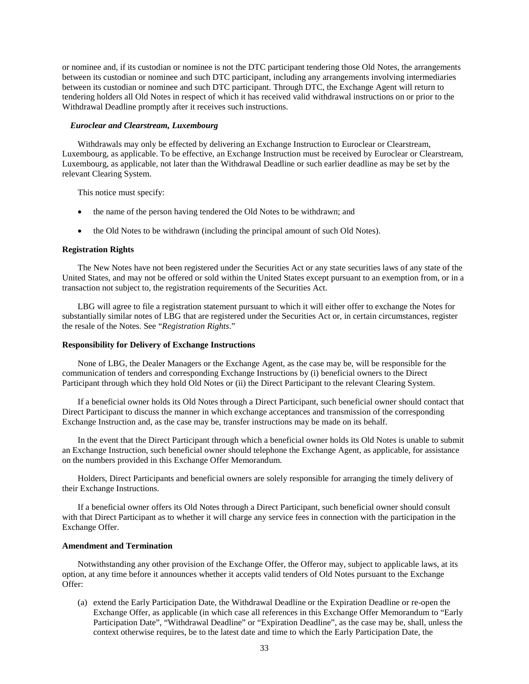or nominee and, if its custodian or nominee is not the DTC participant tendering those Old Notes, the arrangements between its custodian or nominee and such DTC participant, including any arrangements involving intermediaries between its custodian or nominee and such DTC participant. Through DTC, the Exchange Agent will return to tendering holders all Old Notes in respect of which it has received valid withdrawal instructions on or prior to the Withdrawal Deadline promptly after it receives such instructions.

### *Euroclear and Clearstream, Luxembourg*

Withdrawals may only be effected by delivering an Exchange Instruction to Euroclear or Clearstream, Luxembourg, as applicable. To be effective, an Exchange Instruction must be received by Euroclear or Clearstream, Luxembourg, as applicable, not later than the Withdrawal Deadline or such earlier deadline as may be set by the relevant Clearing System.

This notice must specify:

- the name of the person having tendered the Old Notes to be withdrawn; and
- the Old Notes to be withdrawn (including the principal amount of such Old Notes).

# **Registration Rights**

The New Notes have not been registered under the Securities Act or any state securities laws of any state of the United States, and may not be offered or sold within the United States except pursuant to an exemption from, or in a transaction not subject to, the registration requirements of the Securities Act.

LBG will agree to file a registration statement pursuant to which it will either offer to exchange the Notes for substantially similar notes of LBG that are registered under the Securities Act or, in certain circumstances, register the resale of the Notes. See "*Registration Rights*."

# **Responsibility for Delivery of Exchange Instructions**

None of LBG, the Dealer Managers or the Exchange Agent, as the case may be, will be responsible for the communication of tenders and corresponding Exchange Instructions by (i) beneficial owners to the Direct Participant through which they hold Old Notes or (ii) the Direct Participant to the relevant Clearing System.

If a beneficial owner holds its Old Notes through a Direct Participant, such beneficial owner should contact that Direct Participant to discuss the manner in which exchange acceptances and transmission of the corresponding Exchange Instruction and, as the case may be, transfer instructions may be made on its behalf.

In the event that the Direct Participant through which a beneficial owner holds its Old Notes is unable to submit an Exchange Instruction, such beneficial owner should telephone the Exchange Agent, as applicable, for assistance on the numbers provided in this Exchange Offer Memorandum.

Holders, Direct Participants and beneficial owners are solely responsible for arranging the timely delivery of their Exchange Instructions.

If a beneficial owner offers its Old Notes through a Direct Participant, such beneficial owner should consult with that Direct Participant as to whether it will charge any service fees in connection with the participation in the Exchange Offer.

# **Amendment and Termination**

Notwithstanding any other provision of the Exchange Offer, the Offeror may, subject to applicable laws, at its option, at any time before it announces whether it accepts valid tenders of Old Notes pursuant to the Exchange Offer:

(a) extend the Early Participation Date, the Withdrawal Deadline or the Expiration Deadline or re-open the Exchange Offer, as applicable (in which case all references in this Exchange Offer Memorandum to "Early Participation Date", "Withdrawal Deadline" or "Expiration Deadline", as the case may be, shall, unless the context otherwise requires, be to the latest date and time to which the Early Participation Date, the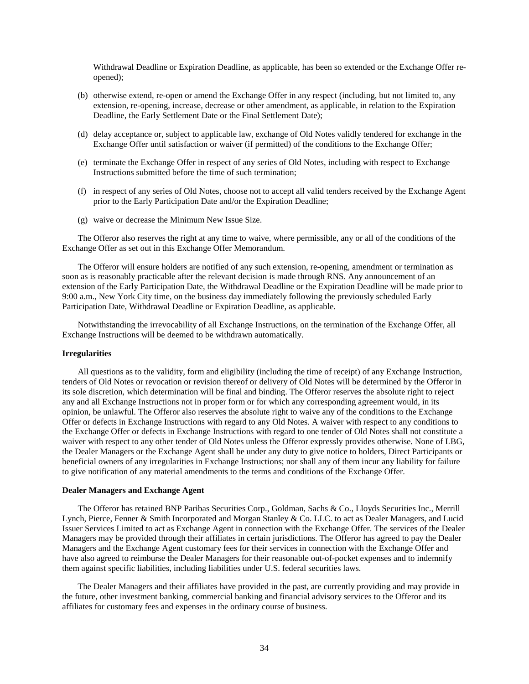Withdrawal Deadline or Expiration Deadline, as applicable, has been so extended or the Exchange Offer reopened);

- (b) otherwise extend, re-open or amend the Exchange Offer in any respect (including, but not limited to, any extension, re-opening, increase, decrease or other amendment, as applicable, in relation to the Expiration Deadline, the Early Settlement Date or the Final Settlement Date);
- (d) delay acceptance or, subject to applicable law, exchange of Old Notes validly tendered for exchange in the Exchange Offer until satisfaction or waiver (if permitted) of the conditions to the Exchange Offer;
- (e) terminate the Exchange Offer in respect of any series of Old Notes, including with respect to Exchange Instructions submitted before the time of such termination;
- (f) in respect of any series of Old Notes, choose not to accept all valid tenders received by the Exchange Agent prior to the Early Participation Date and/or the Expiration Deadline;
- (g) waive or decrease the Minimum New Issue Size.

The Offeror also reserves the right at any time to waive, where permissible, any or all of the conditions of the Exchange Offer as set out in this Exchange Offer Memorandum.

The Offeror will ensure holders are notified of any such extension, re-opening, amendment or termination as soon as is reasonably practicable after the relevant decision is made through RNS. Any announcement of an extension of the Early Participation Date, the Withdrawal Deadline or the Expiration Deadline will be made prior to 9:00 a.m., New York City time, on the business day immediately following the previously scheduled Early Participation Date, Withdrawal Deadline or Expiration Deadline, as applicable.

Notwithstanding the irrevocability of all Exchange Instructions, on the termination of the Exchange Offer, all Exchange Instructions will be deemed to be withdrawn automatically.

### **Irregularities**

All questions as to the validity, form and eligibility (including the time of receipt) of any Exchange Instruction, tenders of Old Notes or revocation or revision thereof or delivery of Old Notes will be determined by the Offeror in its sole discretion, which determination will be final and binding. The Offeror reserves the absolute right to reject any and all Exchange Instructions not in proper form or for which any corresponding agreement would, in its opinion, be unlawful. The Offeror also reserves the absolute right to waive any of the conditions to the Exchange Offer or defects in Exchange Instructions with regard to any Old Notes. A waiver with respect to any conditions to the Exchange Offer or defects in Exchange Instructions with regard to one tender of Old Notes shall not constitute a waiver with respect to any other tender of Old Notes unless the Offeror expressly provides otherwise. None of LBG, the Dealer Managers or the Exchange Agent shall be under any duty to give notice to holders, Direct Participants or beneficial owners of any irregularities in Exchange Instructions; nor shall any of them incur any liability for failure to give notification of any material amendments to the terms and conditions of the Exchange Offer.

#### **Dealer Managers and Exchange Agent**

The Offeror has retained BNP Paribas Securities Corp., Goldman, Sachs & Co., Lloyds Securities Inc., Merrill Lynch, Pierce, Fenner & Smith Incorporated and Morgan Stanley & Co. LLC. to act as Dealer Managers, and Lucid Issuer Services Limited to act as Exchange Agent in connection with the Exchange Offer. The services of the Dealer Managers may be provided through their affiliates in certain jurisdictions. The Offeror has agreed to pay the Dealer Managers and the Exchange Agent customary fees for their services in connection with the Exchange Offer and have also agreed to reimburse the Dealer Managers for their reasonable out-of-pocket expenses and to indemnify them against specific liabilities, including liabilities under U.S. federal securities laws.

The Dealer Managers and their affiliates have provided in the past, are currently providing and may provide in the future, other investment banking, commercial banking and financial advisory services to the Offeror and its affiliates for customary fees and expenses in the ordinary course of business.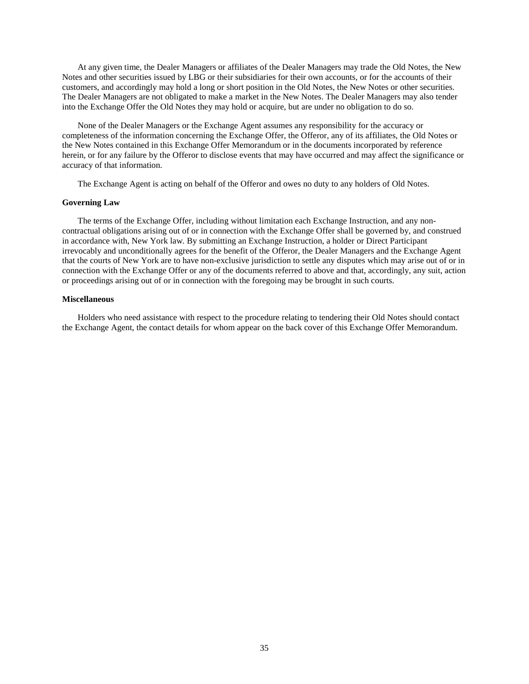At any given time, the Dealer Managers or affiliates of the Dealer Managers may trade the Old Notes, the New Notes and other securities issued by LBG or their subsidiaries for their own accounts, or for the accounts of their customers, and accordingly may hold a long or short position in the Old Notes, the New Notes or other securities. The Dealer Managers are not obligated to make a market in the New Notes. The Dealer Managers may also tender into the Exchange Offer the Old Notes they may hold or acquire, but are under no obligation to do so.

None of the Dealer Managers or the Exchange Agent assumes any responsibility for the accuracy or completeness of the information concerning the Exchange Offer, the Offeror, any of its affiliates, the Old Notes or the New Notes contained in this Exchange Offer Memorandum or in the documents incorporated by reference herein, or for any failure by the Offeror to disclose events that may have occurred and may affect the significance or accuracy of that information.

The Exchange Agent is acting on behalf of the Offeror and owes no duty to any holders of Old Notes.

#### **Governing Law**

The terms of the Exchange Offer, including without limitation each Exchange Instruction, and any noncontractual obligations arising out of or in connection with the Exchange Offer shall be governed by, and construed in accordance with, New York law. By submitting an Exchange Instruction, a holder or Direct Participant irrevocably and unconditionally agrees for the benefit of the Offeror, the Dealer Managers and the Exchange Agent that the courts of New York are to have non-exclusive jurisdiction to settle any disputes which may arise out of or in connection with the Exchange Offer or any of the documents referred to above and that, accordingly, any suit, action or proceedings arising out of or in connection with the foregoing may be brought in such courts.

### **Miscellaneous**

Holders who need assistance with respect to the procedure relating to tendering their Old Notes should contact the Exchange Agent, the contact details for whom appear on the back cover of this Exchange Offer Memorandum.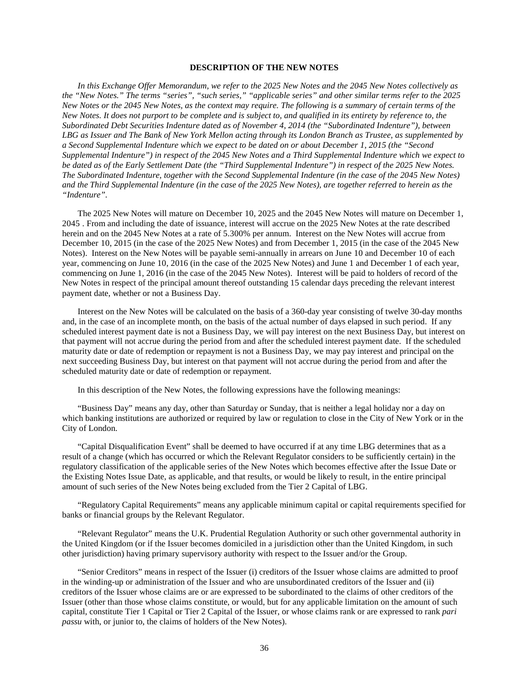# **DESCRIPTION OF THE NEW NOTES**

*In this Exchange Offer Memorandum, we refer to the 2025 New Notes and the 2045 New Notes collectively as the "New Notes." The terms "series", "such series," "applicable series" and other similar terms refer to the 2025 New Notes or the 2045 New Notes, as the context may require. The following is a summary of certain terms of the New Notes. It does not purport to be complete and is subject to, and qualified in its entirety by reference to, the Subordinated Debt Securities Indenture dated as of November 4, 2014 (the "Subordinated Indenture"), between LBG as Issuer and The Bank of New York Mellon acting through its London Branch as Trustee, as supplemented by a Second Supplemental Indenture which we expect to be dated on or about December 1, 2015 (the "Second Supplemental Indenture") in respect of the 2045 New Notes and a Third Supplemental Indenture which we expect to be dated as of the Early Settlement Date (the "Third Supplemental Indenture") in respect of the 2025 New Notes. The Subordinated Indenture, together with the Second Supplemental Indenture (in the case of the 2045 New Notes) and the Third Supplemental Indenture (in the case of the 2025 New Notes), are together referred to herein as the "Indenture".*

The 2025 New Notes will mature on December 10, 2025 and the 2045 New Notes will mature on December 1, 2045 . From and including the date of issuance, interest will accrue on the 2025 New Notes at the rate described herein and on the 2045 New Notes at a rate of 5.300% per annum. Interest on the New Notes will accrue from December 10, 2015 (in the case of the 2025 New Notes) and from December 1, 2015 (in the case of the 2045 New Notes). Interest on the New Notes will be payable semi-annually in arrears on June 10 and December 10 of each year, commencing on June 10, 2016 (in the case of the 2025 New Notes) and June 1 and December 1 of each year, commencing on June 1, 2016 (in the case of the 2045 New Notes). Interest will be paid to holders of record of the New Notes in respect of the principal amount thereof outstanding 15 calendar days preceding the relevant interest payment date, whether or not a Business Day.

Interest on the New Notes will be calculated on the basis of a 360-day year consisting of twelve 30-day months and, in the case of an incomplete month, on the basis of the actual number of days elapsed in such period. If any scheduled interest payment date is not a Business Day, we will pay interest on the next Business Day, but interest on that payment will not accrue during the period from and after the scheduled interest payment date. If the scheduled maturity date or date of redemption or repayment is not a Business Day, we may pay interest and principal on the next succeeding Business Day, but interest on that payment will not accrue during the period from and after the scheduled maturity date or date of redemption or repayment.

In this description of the New Notes, the following expressions have the following meanings:

"Business Day" means any day, other than Saturday or Sunday, that is neither a legal holiday nor a day on which banking institutions are authorized or required by law or regulation to close in the City of New York or in the City of London.

"Capital Disqualification Event" shall be deemed to have occurred if at any time LBG determines that as a result of a change (which has occurred or which the Relevant Regulator considers to be sufficiently certain) in the regulatory classification of the applicable series of the New Notes which becomes effective after the Issue Date or the Existing Notes Issue Date, as applicable, and that results, or would be likely to result, in the entire principal amount of such series of the New Notes being excluded from the Tier 2 Capital of LBG.

"Regulatory Capital Requirements" means any applicable minimum capital or capital requirements specified for banks or financial groups by the Relevant Regulator.

"Relevant Regulator" means the U.K. Prudential Regulation Authority or such other governmental authority in the United Kingdom (or if the Issuer becomes domiciled in a jurisdiction other than the United Kingdom, in such other jurisdiction) having primary supervisory authority with respect to the Issuer and/or the Group.

"Senior Creditors" means in respect of the Issuer (i) creditors of the Issuer whose claims are admitted to proof in the winding-up or administration of the Issuer and who are unsubordinated creditors of the Issuer and (ii) creditors of the Issuer whose claims are or are expressed to be subordinated to the claims of other creditors of the Issuer (other than those whose claims constitute, or would, but for any applicable limitation on the amount of such capital, constitute Tier 1 Capital or Tier 2 Capital of the Issuer, or whose claims rank or are expressed to rank *pari passu* with, or junior to, the claims of holders of the New Notes).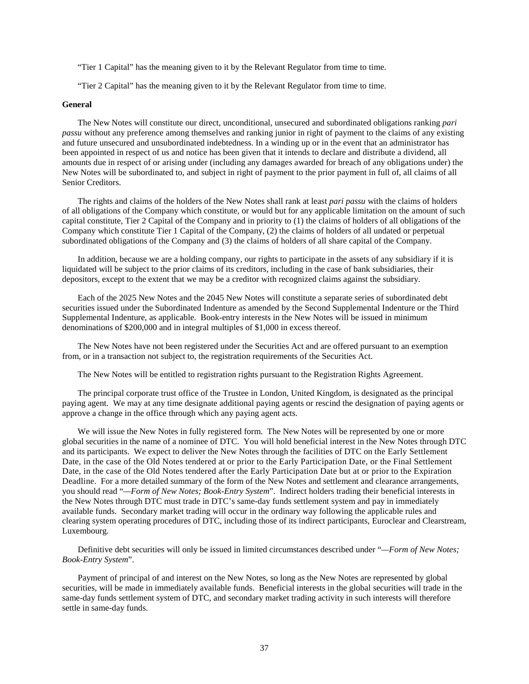"Tier 1 Capital" has the meaning given to it by the Relevant Regulator from time to time.

"Tier 2 Capital" has the meaning given to it by the Relevant Regulator from time to time.

# **General**

The New Notes will constitute our direct, unconditional, unsecured and subordinated obligations ranking *pari passu* without any preference among themselves and ranking junior in right of payment to the claims of any existing and future unsecured and unsubordinated indebtedness. In a winding up or in the event that an administrator has been appointed in respect of us and notice has been given that it intends to declare and distribute a dividend, all amounts due in respect of or arising under (including any damages awarded for breach of any obligations under) the New Notes will be subordinated to, and subject in right of payment to the prior payment in full of, all claims of all Senior Creditors.

The rights and claims of the holders of the New Notes shall rank at least *pari passu* with the claims of holders of all obligations of the Company which constitute, or would but for any applicable limitation on the amount of such capital constitute, Tier 2 Capital of the Company and in priority to (1) the claims of holders of all obligations of the Company which constitute Tier 1 Capital of the Company, (2) the claims of holders of all undated or perpetual subordinated obligations of the Company and (3) the claims of holders of all share capital of the Company.

In addition, because we are a holding company, our rights to participate in the assets of any subsidiary if it is liquidated will be subject to the prior claims of its creditors, including in the case of bank subsidiaries, their depositors, except to the extent that we may be a creditor with recognized claims against the subsidiary.

Each of the 2025 New Notes and the 2045 New Notes will constitute a separate series of subordinated debt securities issued under the Subordinated Indenture as amended by the Second Supplemental Indenture or the Third Supplemental Indenture, as applicable. Book-entry interests in the New Notes will be issued in minimum denominations of \$200,000 and in integral multiples of \$1,000 in excess thereof.

The New Notes have not been registered under the Securities Act and are offered pursuant to an exemption from, or in a transaction not subject to, the registration requirements of the Securities Act.

The New Notes will be entitled to registration rights pursuant to the Registration Rights Agreement.

The principal corporate trust office of the Trustee in London, United Kingdom, is designated as the principal paying agent. We may at any time designate additional paying agents or rescind the designation of paying agents or approve a change in the office through which any paying agent acts.

We will issue the New Notes in fully registered form. The New Notes will be represented by one or more global securities in the name of a nominee of DTC. You will hold beneficial interest in the New Notes through DTC and its participants. We expect to deliver the New Notes through the facilities of DTC on the Early Settlement Date, in the case of the Old Notes tendered at or prior to the Early Participation Date, or the Final Settlement Date, in the case of the Old Notes tendered after the Early Participation Date but at or prior to the Expiration Deadline. For a more detailed summary of the form of the New Notes and settlement and clearance arrangements, you should read "*—Form of New Notes; Book-Entry System*". Indirect holders trading their beneficial interests in the New Notes through DTC must trade in DTC's same-day funds settlement system and pay in immediately available funds. Secondary market trading will occur in the ordinary way following the applicable rules and clearing system operating procedures of DTC, including those of its indirect participants, Euroclear and Clearstream, Luxembourg.

Definitive debt securities will only be issued in limited circumstances described under "*—Form of New Notes; Book-Entry System*".

Payment of principal of and interest on the New Notes, so long as the New Notes are represented by global securities, will be made in immediately available funds. Beneficial interests in the global securities will trade in the same-day funds settlement system of DTC, and secondary market trading activity in such interests will therefore settle in same-day funds.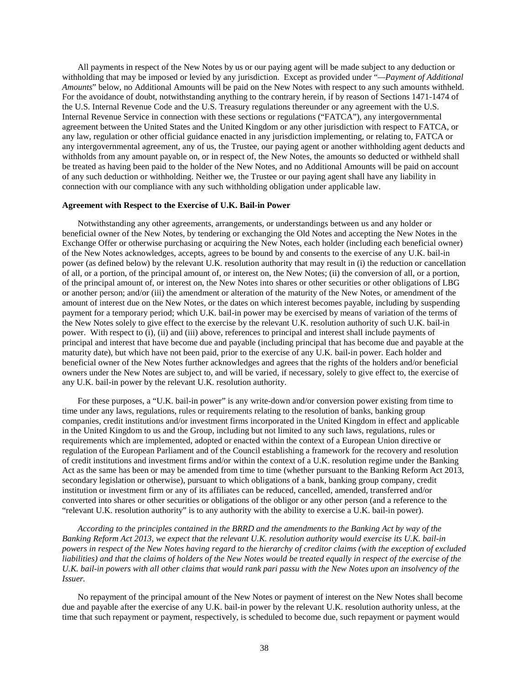All payments in respect of the New Notes by us or our paying agent will be made subject to any deduction or withholding that may be imposed or levied by any jurisdiction. Except as provided under "*—Payment of Additional Amounts*" below, no Additional Amounts will be paid on the New Notes with respect to any such amounts withheld. For the avoidance of doubt, notwithstanding anything to the contrary herein, if by reason of Sections 1471-1474 of the U.S. Internal Revenue Code and the U.S. Treasury regulations thereunder or any agreement with the U.S. Internal Revenue Service in connection with these sections or regulations ("FATCA"), any intergovernmental agreement between the United States and the United Kingdom or any other jurisdiction with respect to FATCA, or any law, regulation or other official guidance enacted in any jurisdiction implementing, or relating to, FATCA or any intergovernmental agreement, any of us, the Trustee, our paying agent or another withholding agent deducts and withholds from any amount payable on, or in respect of, the New Notes, the amounts so deducted or withheld shall be treated as having been paid to the holder of the New Notes, and no Additional Amounts will be paid on account of any such deduction or withholding. Neither we, the Trustee or our paying agent shall have any liability in connection with our compliance with any such withholding obligation under applicable law.

### **Agreement with Respect to the Exercise of U.K. Bail-in Power**

Notwithstanding any other agreements, arrangements, or understandings between us and any holder or beneficial owner of the New Notes, by tendering or exchanging the Old Notes and accepting the New Notes in the Exchange Offer or otherwise purchasing or acquiring the New Notes, each holder (including each beneficial owner) of the New Notes acknowledges, accepts, agrees to be bound by and consents to the exercise of any U.K. bail-in power (as defined below) by the relevant U.K. resolution authority that may result in (i) the reduction or cancellation of all, or a portion, of the principal amount of, or interest on, the New Notes; (ii) the conversion of all, or a portion, of the principal amount of, or interest on, the New Notes into shares or other securities or other obligations of LBG or another person; and/or (iii) the amendment or alteration of the maturity of the New Notes, or amendment of the amount of interest due on the New Notes, or the dates on which interest becomes payable, including by suspending payment for a temporary period; which U.K. bail-in power may be exercised by means of variation of the terms of the New Notes solely to give effect to the exercise by the relevant U.K. resolution authority of such U.K. bail-in power. With respect to (i), (ii) and (iii) above, references to principal and interest shall include payments of principal and interest that have become due and payable (including principal that has become due and payable at the maturity date), but which have not been paid, prior to the exercise of any U.K. bail-in power. Each holder and beneficial owner of the New Notes further acknowledges and agrees that the rights of the holders and/or beneficial owners under the New Notes are subject to, and will be varied, if necessary, solely to give effect to, the exercise of any U.K. bail-in power by the relevant U.K. resolution authority.

For these purposes, a "U.K. bail-in power" is any write-down and/or conversion power existing from time to time under any laws, regulations, rules or requirements relating to the resolution of banks, banking group companies, credit institutions and/or investment firms incorporated in the United Kingdom in effect and applicable in the United Kingdom to us and the Group, including but not limited to any such laws, regulations, rules or requirements which are implemented, adopted or enacted within the context of a European Union directive or regulation of the European Parliament and of the Council establishing a framework for the recovery and resolution of credit institutions and investment firms and/or within the context of a U.K. resolution regime under the Banking Act as the same has been or may be amended from time to time (whether pursuant to the Banking Reform Act 2013, secondary legislation or otherwise), pursuant to which obligations of a bank, banking group company, credit institution or investment firm or any of its affiliates can be reduced, cancelled, amended, transferred and/or converted into shares or other securities or obligations of the obligor or any other person (and a reference to the "relevant U.K. resolution authority" is to any authority with the ability to exercise a U.K. bail-in power).

*According to the principles contained in the BRRD and the amendments to the Banking Act by way of the Banking Reform Act 2013, we expect that the relevant U.K. resolution authority would exercise its U.K. bail-in powers in respect of the New Notes having regard to the hierarchy of creditor claims (with the exception of excluded liabilities) and that the claims of holders of the New Notes would be treated equally in respect of the exercise of the U.K. bail-in powers with all other claims that would rank pari passu with the New Notes upon an insolvency of the Issuer.* 

No repayment of the principal amount of the New Notes or payment of interest on the New Notes shall become due and payable after the exercise of any U.K. bail-in power by the relevant U.K. resolution authority unless, at the time that such repayment or payment, respectively, is scheduled to become due, such repayment or payment would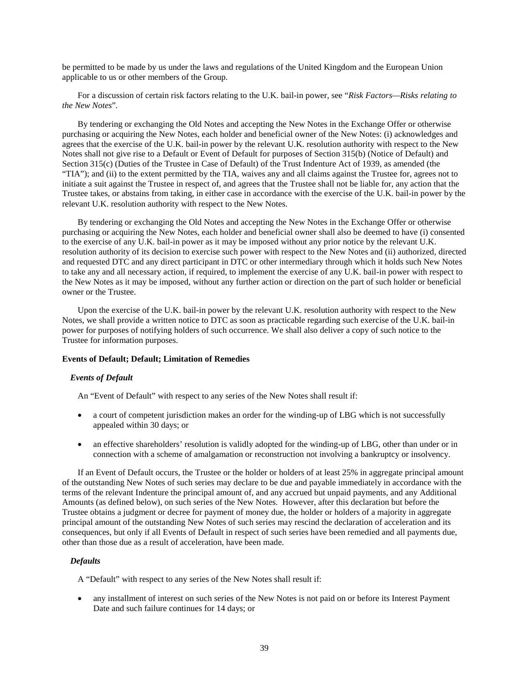be permitted to be made by us under the laws and regulations of the United Kingdom and the European Union applicable to us or other members of the Group.

For a discussion of certain risk factors relating to the U.K. bail-in power, see "*Risk Factors—Risks relating to the New Notes*"*.*

By tendering or exchanging the Old Notes and accepting the New Notes in the Exchange Offer or otherwise purchasing or acquiring the New Notes, each holder and beneficial owner of the New Notes: (i) acknowledges and agrees that the exercise of the U.K. bail-in power by the relevant U.K. resolution authority with respect to the New Notes shall not give rise to a Default or Event of Default for purposes of Section 315(b) (Notice of Default) and Section 315(c) (Duties of the Trustee in Case of Default) of the Trust Indenture Act of 1939, as amended (the "TIA"); and (ii) to the extent permitted by the TIA, waives any and all claims against the Trustee for, agrees not to initiate a suit against the Trustee in respect of, and agrees that the Trustee shall not be liable for, any action that the Trustee takes, or abstains from taking, in either case in accordance with the exercise of the U.K. bail-in power by the relevant U.K. resolution authority with respect to the New Notes.

By tendering or exchanging the Old Notes and accepting the New Notes in the Exchange Offer or otherwise purchasing or acquiring the New Notes, each holder and beneficial owner shall also be deemed to have (i) consented to the exercise of any U.K. bail-in power as it may be imposed without any prior notice by the relevant U.K. resolution authority of its decision to exercise such power with respect to the New Notes and (ii) authorized, directed and requested DTC and any direct participant in DTC or other intermediary through which it holds such New Notes to take any and all necessary action, if required, to implement the exercise of any U.K. bail-in power with respect to the New Notes as it may be imposed, without any further action or direction on the part of such holder or beneficial owner or the Trustee.

Upon the exercise of the U.K. bail-in power by the relevant U.K. resolution authority with respect to the New Notes, we shall provide a written notice to DTC as soon as practicable regarding such exercise of the U.K. bail-in power for purposes of notifying holders of such occurrence. We shall also deliver a copy of such notice to the Trustee for information purposes.

### **Events of Default; Default; Limitation of Remedies**

# *Events of Default*

An "Event of Default" with respect to any series of the New Notes shall result if:

- a court of competent jurisdiction makes an order for the winding-up of LBG which is not successfully appealed within 30 days; or
- an effective shareholders' resolution is validly adopted for the winding-up of LBG, other than under or in connection with a scheme of amalgamation or reconstruction not involving a bankruptcy or insolvency.

If an Event of Default occurs, the Trustee or the holder or holders of at least 25% in aggregate principal amount of the outstanding New Notes of such series may declare to be due and payable immediately in accordance with the terms of the relevant Indenture the principal amount of, and any accrued but unpaid payments, and any Additional Amounts (as defined below), on such series of the New Notes. However, after this declaration but before the Trustee obtains a judgment or decree for payment of money due, the holder or holders of a majority in aggregate principal amount of the outstanding New Notes of such series may rescind the declaration of acceleration and its consequences, but only if all Events of Default in respect of such series have been remedied and all payments due, other than those due as a result of acceleration, have been made.

### *Defaults*

A "Default" with respect to any series of the New Notes shall result if:

• any installment of interest on such series of the New Notes is not paid on or before its Interest Payment Date and such failure continues for 14 days; or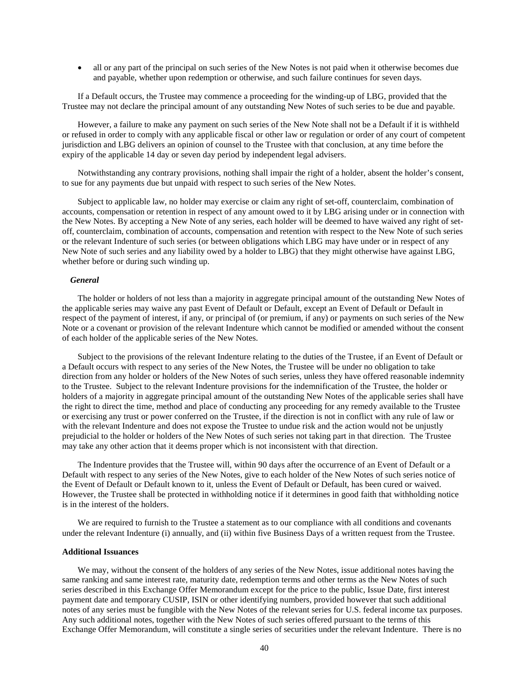• all or any part of the principal on such series of the New Notes is not paid when it otherwise becomes due and payable, whether upon redemption or otherwise, and such failure continues for seven days.

If a Default occurs, the Trustee may commence a proceeding for the winding-up of LBG, provided that the Trustee may not declare the principal amount of any outstanding New Notes of such series to be due and payable.

However, a failure to make any payment on such series of the New Note shall not be a Default if it is withheld or refused in order to comply with any applicable fiscal or other law or regulation or order of any court of competent jurisdiction and LBG delivers an opinion of counsel to the Trustee with that conclusion, at any time before the expiry of the applicable 14 day or seven day period by independent legal advisers.

Notwithstanding any contrary provisions, nothing shall impair the right of a holder, absent the holder's consent, to sue for any payments due but unpaid with respect to such series of the New Notes.

Subject to applicable law, no holder may exercise or claim any right of set-off, counterclaim, combination of accounts, compensation or retention in respect of any amount owed to it by LBG arising under or in connection with the New Notes. By accepting a New Note of any series, each holder will be deemed to have waived any right of setoff, counterclaim, combination of accounts, compensation and retention with respect to the New Note of such series or the relevant Indenture of such series (or between obligations which LBG may have under or in respect of any New Note of such series and any liability owed by a holder to LBG) that they might otherwise have against LBG, whether before or during such winding up.

### *General*

The holder or holders of not less than a majority in aggregate principal amount of the outstanding New Notes of the applicable series may waive any past Event of Default or Default, except an Event of Default or Default in respect of the payment of interest, if any, or principal of (or premium, if any) or payments on such series of the New Note or a covenant or provision of the relevant Indenture which cannot be modified or amended without the consent of each holder of the applicable series of the New Notes.

Subject to the provisions of the relevant Indenture relating to the duties of the Trustee, if an Event of Default or a Default occurs with respect to any series of the New Notes, the Trustee will be under no obligation to take direction from any holder or holders of the New Notes of such series, unless they have offered reasonable indemnity to the Trustee. Subject to the relevant Indenture provisions for the indemnification of the Trustee, the holder or holders of a majority in aggregate principal amount of the outstanding New Notes of the applicable series shall have the right to direct the time, method and place of conducting any proceeding for any remedy available to the Trustee or exercising any trust or power conferred on the Trustee, if the direction is not in conflict with any rule of law or with the relevant Indenture and does not expose the Trustee to undue risk and the action would not be unjustly prejudicial to the holder or holders of the New Notes of such series not taking part in that direction. The Trustee may take any other action that it deems proper which is not inconsistent with that direction.

The Indenture provides that the Trustee will, within 90 days after the occurrence of an Event of Default or a Default with respect to any series of the New Notes, give to each holder of the New Notes of such series notice of the Event of Default or Default known to it, unless the Event of Default or Default, has been cured or waived. However, the Trustee shall be protected in withholding notice if it determines in good faith that withholding notice is in the interest of the holders.

We are required to furnish to the Trustee a statement as to our compliance with all conditions and covenants under the relevant Indenture (i) annually, and (ii) within five Business Days of a written request from the Trustee.

#### **Additional Issuances**

We may, without the consent of the holders of any series of the New Notes, issue additional notes having the same ranking and same interest rate, maturity date, redemption terms and other terms as the New Notes of such series described in this Exchange Offer Memorandum except for the price to the public, Issue Date, first interest payment date and temporary CUSIP, ISIN or other identifying numbers, provided however that such additional notes of any series must be fungible with the New Notes of the relevant series for U.S. federal income tax purposes. Any such additional notes, together with the New Notes of such series offered pursuant to the terms of this Exchange Offer Memorandum, will constitute a single series of securities under the relevant Indenture. There is no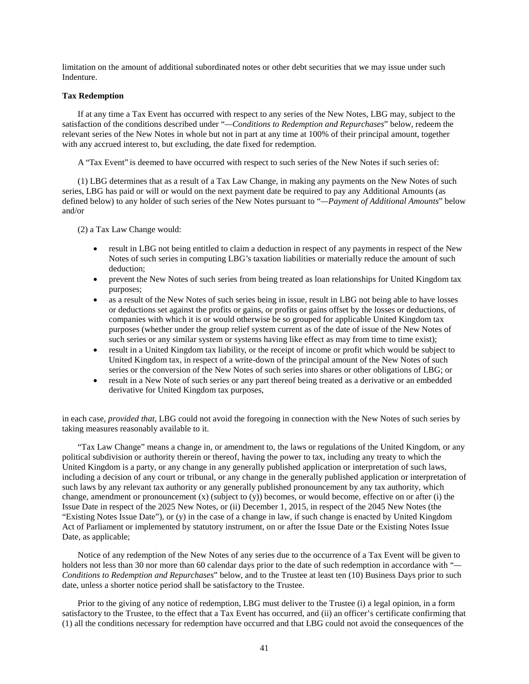limitation on the amount of additional subordinated notes or other debt securities that we may issue under such Indenture.

### **Tax Redemption**

If at any time a Tax Event has occurred with respect to any series of the New Notes, LBG may, subject to the satisfaction of the conditions described under "*—Conditions to Redemption and Repurchases*" below, redeem the relevant series of the New Notes in whole but not in part at any time at 100% of their principal amount, together with any accrued interest to, but excluding, the date fixed for redemption.

A "Tax Event" is deemed to have occurred with respect to such series of the New Notes if such series of:

(1) LBG determines that as a result of a Tax Law Change, in making any payments on the New Notes of such series, LBG has paid or will or would on the next payment date be required to pay any Additional Amounts (as defined below) to any holder of such series of the New Notes pursuant to "*—Payment of Additional Amounts*" below and/or

(2) a Tax Law Change would:

- result in LBG not being entitled to claim a deduction in respect of any payments in respect of the New Notes of such series in computing LBG's taxation liabilities or materially reduce the amount of such deduction;
- prevent the New Notes of such series from being treated as loan relationships for United Kingdom tax purposes;
- as a result of the New Notes of such series being in issue, result in LBG not being able to have losses or deductions set against the profits or gains, or profits or gains offset by the losses or deductions, of companies with which it is or would otherwise be so grouped for applicable United Kingdom tax purposes (whether under the group relief system current as of the date of issue of the New Notes of such series or any similar system or systems having like effect as may from time to time exist);
- result in a United Kingdom tax liability, or the receipt of income or profit which would be subject to United Kingdom tax, in respect of a write-down of the principal amount of the New Notes of such series or the conversion of the New Notes of such series into shares or other obligations of LBG; or
- result in a New Note of such series or any part thereof being treated as a derivative or an embedded derivative for United Kingdom tax purposes,

in each case, *provided that*, LBG could not avoid the foregoing in connection with the New Notes of such series by taking measures reasonably available to it.

"Tax Law Change" means a change in, or amendment to, the laws or regulations of the United Kingdom, or any political subdivision or authority therein or thereof, having the power to tax, including any treaty to which the United Kingdom is a party, or any change in any generally published application or interpretation of such laws, including a decision of any court or tribunal, or any change in the generally published application or interpretation of such laws by any relevant tax authority or any generally published pronouncement by any tax authority, which change, amendment or pronouncement  $(x)$  (subject to  $(y)$ ) becomes, or would become, effective on or after (i) the Issue Date in respect of the 2025 New Notes, or (ii) December 1, 2015, in respect of the 2045 New Notes (the "Existing Notes Issue Date"), or (y) in the case of a change in law, if such change is enacted by United Kingdom Act of Parliament or implemented by statutory instrument, on or after the Issue Date or the Existing Notes Issue Date, as applicable;

Notice of any redemption of the New Notes of any series due to the occurrence of a Tax Event will be given to holders not less than 30 nor more than 60 calendar days prior to the date of such redemption in accordance with "*— Conditions to Redemption and Repurchases*" below, and to the Trustee at least ten (10) Business Days prior to such date, unless a shorter notice period shall be satisfactory to the Trustee.

Prior to the giving of any notice of redemption, LBG must deliver to the Trustee (i) a legal opinion, in a form satisfactory to the Trustee, to the effect that a Tax Event has occurred, and (ii) an officer's certificate confirming that (1) all the conditions necessary for redemption have occurred and that LBG could not avoid the consequences of the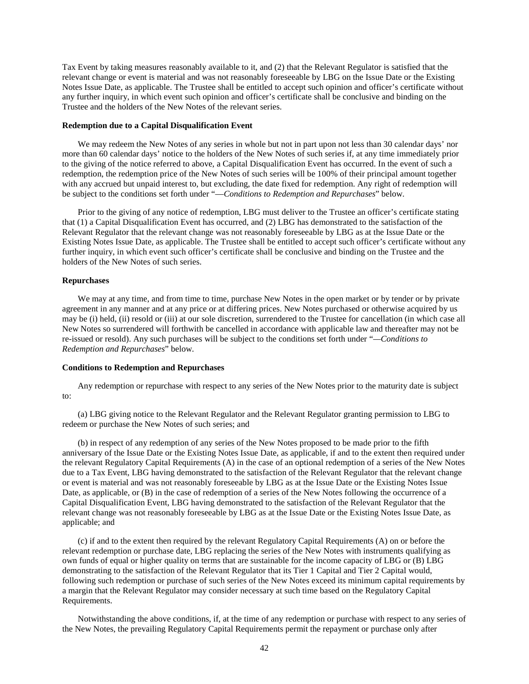Tax Event by taking measures reasonably available to it, and (2) that the Relevant Regulator is satisfied that the relevant change or event is material and was not reasonably foreseeable by LBG on the Issue Date or the Existing Notes Issue Date, as applicable. The Trustee shall be entitled to accept such opinion and officer's certificate without any further inquiry, in which event such opinion and officer's certificate shall be conclusive and binding on the Trustee and the holders of the New Notes of the relevant series.

#### **Redemption due to a Capital Disqualification Event**

We may redeem the New Notes of any series in whole but not in part upon not less than 30 calendar days' nor more than 60 calendar days' notice to the holders of the New Notes of such series if, at any time immediately prior to the giving of the notice referred to above, a Capital Disqualification Event has occurred. In the event of such a redemption, the redemption price of the New Notes of such series will be 100% of their principal amount together with any accrued but unpaid interest to, but excluding, the date fixed for redemption. Any right of redemption will be subject to the conditions set forth under "—*Conditions to Redemption and Repurchases*" below.

Prior to the giving of any notice of redemption, LBG must deliver to the Trustee an officer's certificate stating that (1) a Capital Disqualification Event has occurred, and (2) LBG has demonstrated to the satisfaction of the Relevant Regulator that the relevant change was not reasonably foreseeable by LBG as at the Issue Date or the Existing Notes Issue Date, as applicable. The Trustee shall be entitled to accept such officer's certificate without any further inquiry, in which event such officer's certificate shall be conclusive and binding on the Trustee and the holders of the New Notes of such series.

### **Repurchases**

We may at any time, and from time to time, purchase New Notes in the open market or by tender or by private agreement in any manner and at any price or at differing prices. New Notes purchased or otherwise acquired by us may be (i) held, (ii) resold or (iii) at our sole discretion, surrendered to the Trustee for cancellation (in which case all New Notes so surrendered will forthwith be cancelled in accordance with applicable law and thereafter may not be re-issued or resold). Any such purchases will be subject to the conditions set forth under "*—Conditions to Redemption and Repurchases*" below.

### **Conditions to Redemption and Repurchases**

Any redemption or repurchase with respect to any series of the New Notes prior to the maturity date is subject to:

(a) LBG giving notice to the Relevant Regulator and the Relevant Regulator granting permission to LBG to redeem or purchase the New Notes of such series; and

(b) in respect of any redemption of any series of the New Notes proposed to be made prior to the fifth anniversary of the Issue Date or the Existing Notes Issue Date, as applicable, if and to the extent then required under the relevant Regulatory Capital Requirements (A) in the case of an optional redemption of a series of the New Notes due to a Tax Event, LBG having demonstrated to the satisfaction of the Relevant Regulator that the relevant change or event is material and was not reasonably foreseeable by LBG as at the Issue Date or the Existing Notes Issue Date, as applicable, or (B) in the case of redemption of a series of the New Notes following the occurrence of a Capital Disqualification Event, LBG having demonstrated to the satisfaction of the Relevant Regulator that the relevant change was not reasonably foreseeable by LBG as at the Issue Date or the Existing Notes Issue Date, as applicable; and

(c) if and to the extent then required by the relevant Regulatory Capital Requirements (A) on or before the relevant redemption or purchase date, LBG replacing the series of the New Notes with instruments qualifying as own funds of equal or higher quality on terms that are sustainable for the income capacity of LBG or (B) LBG demonstrating to the satisfaction of the Relevant Regulator that its Tier 1 Capital and Tier 2 Capital would, following such redemption or purchase of such series of the New Notes exceed its minimum capital requirements by a margin that the Relevant Regulator may consider necessary at such time based on the Regulatory Capital Requirements.

Notwithstanding the above conditions, if, at the time of any redemption or purchase with respect to any series of the New Notes, the prevailing Regulatory Capital Requirements permit the repayment or purchase only after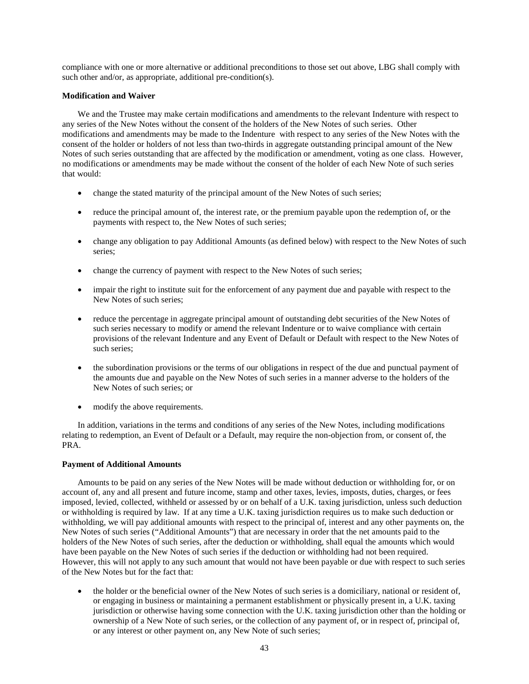compliance with one or more alternative or additional preconditions to those set out above, LBG shall comply with such other and/or, as appropriate, additional pre-condition(s).

# **Modification and Waiver**

We and the Trustee may make certain modifications and amendments to the relevant Indenture with respect to any series of the New Notes without the consent of the holders of the New Notes of such series. Other modifications and amendments may be made to the Indenture with respect to any series of the New Notes with the consent of the holder or holders of not less than two-thirds in aggregate outstanding principal amount of the New Notes of such series outstanding that are affected by the modification or amendment, voting as one class. However, no modifications or amendments may be made without the consent of the holder of each New Note of such series that would:

- change the stated maturity of the principal amount of the New Notes of such series;
- reduce the principal amount of, the interest rate, or the premium payable upon the redemption of, or the payments with respect to, the New Notes of such series;
- change any obligation to pay Additional Amounts (as defined below) with respect to the New Notes of such series;
- change the currency of payment with respect to the New Notes of such series;
- impair the right to institute suit for the enforcement of any payment due and payable with respect to the New Notes of such series;
- reduce the percentage in aggregate principal amount of outstanding debt securities of the New Notes of such series necessary to modify or amend the relevant Indenture or to waive compliance with certain provisions of the relevant Indenture and any Event of Default or Default with respect to the New Notes of such series;
- the subordination provisions or the terms of our obligations in respect of the due and punctual payment of the amounts due and payable on the New Notes of such series in a manner adverse to the holders of the New Notes of such series; or
- modify the above requirements.

In addition, variations in the terms and conditions of any series of the New Notes, including modifications relating to redemption, an Event of Default or a Default, may require the non-objection from, or consent of, the PRA.

# **Payment of Additional Amounts**

Amounts to be paid on any series of the New Notes will be made without deduction or withholding for, or on account of, any and all present and future income, stamp and other taxes, levies, imposts, duties, charges, or fees imposed, levied, collected, withheld or assessed by or on behalf of a U.K. taxing jurisdiction, unless such deduction or withholding is required by law. If at any time a U.K. taxing jurisdiction requires us to make such deduction or withholding, we will pay additional amounts with respect to the principal of, interest and any other payments on, the New Notes of such series ("Additional Amounts") that are necessary in order that the net amounts paid to the holders of the New Notes of such series, after the deduction or withholding, shall equal the amounts which would have been payable on the New Notes of such series if the deduction or withholding had not been required. However, this will not apply to any such amount that would not have been payable or due with respect to such series of the New Notes but for the fact that:

• the holder or the beneficial owner of the New Notes of such series is a domiciliary, national or resident of, or engaging in business or maintaining a permanent establishment or physically present in, a U.K. taxing jurisdiction or otherwise having some connection with the U.K. taxing jurisdiction other than the holding or ownership of a New Note of such series, or the collection of any payment of, or in respect of, principal of, or any interest or other payment on, any New Note of such series;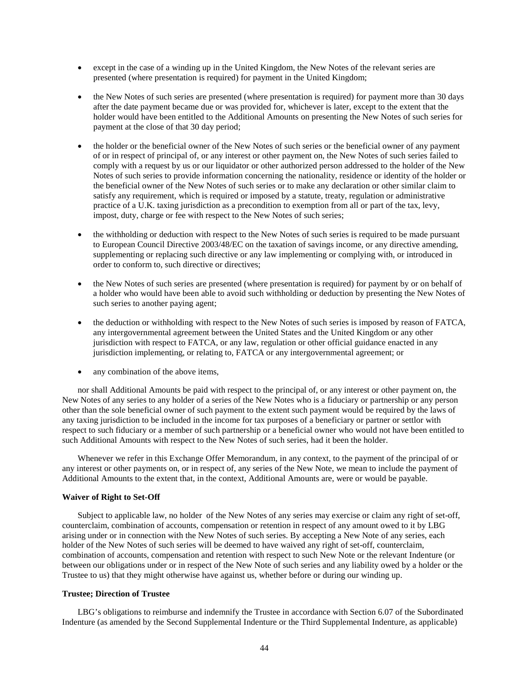- except in the case of a winding up in the United Kingdom, the New Notes of the relevant series are presented (where presentation is required) for payment in the United Kingdom;
- the New Notes of such series are presented (where presentation is required) for payment more than 30 days after the date payment became due or was provided for, whichever is later, except to the extent that the holder would have been entitled to the Additional Amounts on presenting the New Notes of such series for payment at the close of that 30 day period;
- the holder or the beneficial owner of the New Notes of such series or the beneficial owner of any payment of or in respect of principal of, or any interest or other payment on, the New Notes of such series failed to comply with a request by us or our liquidator or other authorized person addressed to the holder of the New Notes of such series to provide information concerning the nationality, residence or identity of the holder or the beneficial owner of the New Notes of such series or to make any declaration or other similar claim to satisfy any requirement, which is required or imposed by a statute, treaty, regulation or administrative practice of a U.K. taxing jurisdiction as a precondition to exemption from all or part of the tax, levy, impost, duty, charge or fee with respect to the New Notes of such series;
- the withholding or deduction with respect to the New Notes of such series is required to be made pursuant to European Council Directive 2003/48/EC on the taxation of savings income, or any directive amending, supplementing or replacing such directive or any law implementing or complying with, or introduced in order to conform to, such directive or directives;
- the New Notes of such series are presented (where presentation is required) for payment by or on behalf of a holder who would have been able to avoid such withholding or deduction by presenting the New Notes of such series to another paying agent;
- the deduction or withholding with respect to the New Notes of such series is imposed by reason of FATCA, any intergovernmental agreement between the United States and the United Kingdom or any other jurisdiction with respect to FATCA, or any law, regulation or other official guidance enacted in any jurisdiction implementing, or relating to, FATCA or any intergovernmental agreement; or
- any combination of the above items,

nor shall Additional Amounts be paid with respect to the principal of, or any interest or other payment on, the New Notes of any series to any holder of a series of the New Notes who is a fiduciary or partnership or any person other than the sole beneficial owner of such payment to the extent such payment would be required by the laws of any taxing jurisdiction to be included in the income for tax purposes of a beneficiary or partner or settlor with respect to such fiduciary or a member of such partnership or a beneficial owner who would not have been entitled to such Additional Amounts with respect to the New Notes of such series, had it been the holder.

Whenever we refer in this Exchange Offer Memorandum, in any context, to the payment of the principal of or any interest or other payments on, or in respect of, any series of the New Note, we mean to include the payment of Additional Amounts to the extent that, in the context, Additional Amounts are, were or would be payable.

### **Waiver of Right to Set-Off**

Subject to applicable law, no holder of the New Notes of any series may exercise or claim any right of set-off, counterclaim, combination of accounts, compensation or retention in respect of any amount owed to it by LBG arising under or in connection with the New Notes of such series. By accepting a New Note of any series, each holder of the New Notes of such series will be deemed to have waived any right of set-off, counterclaim, combination of accounts, compensation and retention with respect to such New Note or the relevant Indenture (or between our obligations under or in respect of the New Note of such series and any liability owed by a holder or the Trustee to us) that they might otherwise have against us, whether before or during our winding up.

# **Trustee; Direction of Trustee**

LBG's obligations to reimburse and indemnify the Trustee in accordance with Section 6.07 of the Subordinated Indenture (as amended by the Second Supplemental Indenture or the Third Supplemental Indenture, as applicable)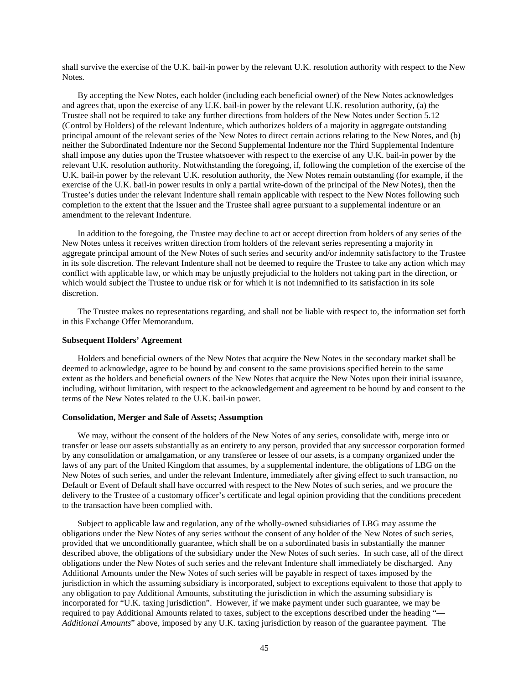shall survive the exercise of the U.K. bail-in power by the relevant U.K. resolution authority with respect to the New Notes.

By accepting the New Notes, each holder (including each beneficial owner) of the New Notes acknowledges and agrees that, upon the exercise of any U.K. bail-in power by the relevant U.K. resolution authority, (a) the Trustee shall not be required to take any further directions from holders of the New Notes under Section 5.12 (Control by Holders) of the relevant Indenture, which authorizes holders of a majority in aggregate outstanding principal amount of the relevant series of the New Notes to direct certain actions relating to the New Notes, and (b) neither the Subordinated Indenture nor the Second Supplemental Indenture nor the Third Supplemental Indenture shall impose any duties upon the Trustee whatsoever with respect to the exercise of any U.K. bail-in power by the relevant U.K. resolution authority. Notwithstanding the foregoing, if, following the completion of the exercise of the U.K. bail-in power by the relevant U.K. resolution authority, the New Notes remain outstanding (for example, if the exercise of the U.K. bail-in power results in only a partial write-down of the principal of the New Notes), then the Trustee's duties under the relevant Indenture shall remain applicable with respect to the New Notes following such completion to the extent that the Issuer and the Trustee shall agree pursuant to a supplemental indenture or an amendment to the relevant Indenture.

In addition to the foregoing, the Trustee may decline to act or accept direction from holders of any series of the New Notes unless it receives written direction from holders of the relevant series representing a majority in aggregate principal amount of the New Notes of such series and security and/or indemnity satisfactory to the Trustee in its sole discretion. The relevant Indenture shall not be deemed to require the Trustee to take any action which may conflict with applicable law, or which may be unjustly prejudicial to the holders not taking part in the direction, or which would subject the Trustee to undue risk or for which it is not indemnified to its satisfaction in its sole discretion.

The Trustee makes no representations regarding, and shall not be liable with respect to, the information set forth in this Exchange Offer Memorandum.

### **Subsequent Holders' Agreement**

Holders and beneficial owners of the New Notes that acquire the New Notes in the secondary market shall be deemed to acknowledge, agree to be bound by and consent to the same provisions specified herein to the same extent as the holders and beneficial owners of the New Notes that acquire the New Notes upon their initial issuance, including, without limitation, with respect to the acknowledgement and agreement to be bound by and consent to the terms of the New Notes related to the U.K. bail-in power.

### **Consolidation, Merger and Sale of Assets; Assumption**

We may, without the consent of the holders of the New Notes of any series, consolidate with, merge into or transfer or lease our assets substantially as an entirety to any person, provided that any successor corporation formed by any consolidation or amalgamation, or any transferee or lessee of our assets, is a company organized under the laws of any part of the United Kingdom that assumes, by a supplemental indenture, the obligations of LBG on the New Notes of such series, and under the relevant Indenture, immediately after giving effect to such transaction, no Default or Event of Default shall have occurred with respect to the New Notes of such series, and we procure the delivery to the Trustee of a customary officer's certificate and legal opinion providing that the conditions precedent to the transaction have been complied with.

Subject to applicable law and regulation, any of the wholly-owned subsidiaries of LBG may assume the obligations under the New Notes of any series without the consent of any holder of the New Notes of such series, provided that we unconditionally guarantee, which shall be on a subordinated basis in substantially the manner described above, the obligations of the subsidiary under the New Notes of such series. In such case, all of the direct obligations under the New Notes of such series and the relevant Indenture shall immediately be discharged. Any Additional Amounts under the New Notes of such series will be payable in respect of taxes imposed by the jurisdiction in which the assuming subsidiary is incorporated, subject to exceptions equivalent to those that apply to any obligation to pay Additional Amounts, substituting the jurisdiction in which the assuming subsidiary is incorporated for "U.K. taxing jurisdiction". However, if we make payment under such guarantee, we may be required to pay Additional Amounts related to taxes, subject to the exceptions described under the heading "— *Additional Amounts*" above, imposed by any U.K. taxing jurisdiction by reason of the guarantee payment. The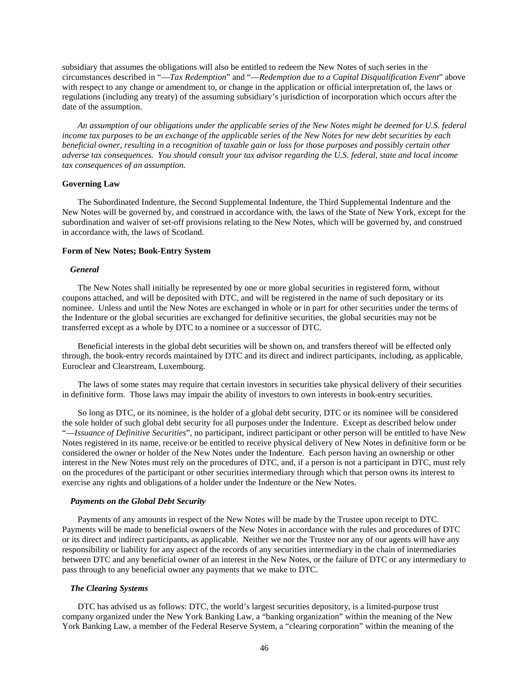subsidiary that assumes the obligations will also be entitled to redeem the New Notes of such series in the circumstances described in "—*Tax Redemption*" and "—*Redemption due to a Capital Disqualification Event*" above with respect to any change or amendment to, or change in the application or official interpretation of, the laws or regulations (including any treaty) of the assuming subsidiary's jurisdiction of incorporation which occurs after the date of the assumption.

*An assumption of our obligations under the applicable series of the New Notes might be deemed for U.S. federal income tax purposes to be an exchange of the applicable series of the New Notes for new debt securities by each beneficial owner, resulting in a recognition of taxable gain or loss for those purposes and possibly certain other adverse tax consequences. You should consult your tax advisor regarding the U.S. federal, state and local income tax consequences of an assumption.*

### **Governing Law**

The Subordinated Indenture, the Second Supplemental Indenture, the Third Supplemental Indenture and the New Notes will be governed by, and construed in accordance with, the laws of the State of New York, except for the subordination and waiver of set-off provisions relating to the New Notes, which will be governed by, and construed in accordance with, the laws of Scotland.

### **Form of New Notes; Book-Entry System**

### *General*

The New Notes shall initially be represented by one or more global securities in registered form, without coupons attached, and will be deposited with DTC, and will be registered in the name of such depositary or its nominee. Unless and until the New Notes are exchanged in whole or in part for other securities under the terms of the Indenture or the global securities are exchanged for definitive securities, the global securities may not be transferred except as a whole by DTC to a nominee or a successor of DTC.

Beneficial interests in the global debt securities will be shown on, and transfers thereof will be effected only through, the book-entry records maintained by DTC and its direct and indirect participants, including, as applicable, Euroclear and Clearstream, Luxembourg.

The laws of some states may require that certain investors in securities take physical delivery of their securities in definitive form. Those laws may impair the ability of investors to own interests in book-entry securities.

So long as DTC, or its nominee, is the holder of a global debt security, DTC or its nominee will be considered the sole holder of such global debt security for all purposes under the Indenture. Except as described below under "—*Issuance of Definitive Securities*", no participant, indirect participant or other person will be entitled to have New Notes registered in its name, receive or be entitled to receive physical delivery of New Notes in definitive form or be considered the owner or holder of the New Notes under the Indenture. Each person having an ownership or other interest in the New Notes must rely on the procedures of DTC, and, if a person is not a participant in DTC, must rely on the procedures of the participant or other securities intermediary through which that person owns its interest to exercise any rights and obligations of a holder under the Indenture or the New Notes.

### *Payments on the Global Debt Security*

Payments of any amounts in respect of the New Notes will be made by the Trustee upon receipt to DTC. Payments will be made to beneficial owners of the New Notes in accordance with the rules and procedures of DTC or its direct and indirect participants, as applicable. Neither we nor the Trustee nor any of our agents will have any responsibility or liability for any aspect of the records of any securities intermediary in the chain of intermediaries between DTC and any beneficial owner of an interest in the New Notes, or the failure of DTC or any intermediary to pass through to any beneficial owner any payments that we make to DTC.

#### *The Clearing Systems*

DTC has advised us as follows: DTC, the world's largest securities depository, is a limited-purpose trust company organized under the New York Banking Law, a "banking organization" within the meaning of the New York Banking Law, a member of the Federal Reserve System, a "clearing corporation" within the meaning of the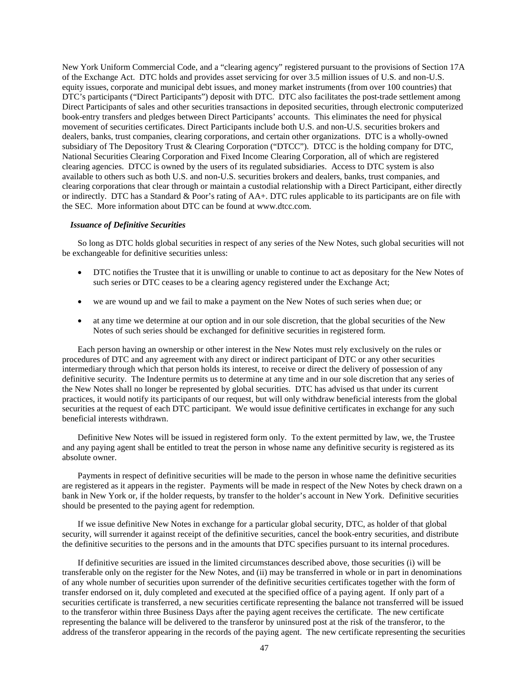New York Uniform Commercial Code, and a "clearing agency" registered pursuant to the provisions of Section 17A of the Exchange Act. DTC holds and provides asset servicing for over 3.5 million issues of U.S. and non-U.S. equity issues, corporate and municipal debt issues, and money market instruments (from over 100 countries) that DTC's participants ("Direct Participants") deposit with DTC. DTC also facilitates the post-trade settlement among Direct Participants of sales and other securities transactions in deposited securities, through electronic computerized book-entry transfers and pledges between Direct Participants' accounts. This eliminates the need for physical movement of securities certificates. Direct Participants include both U.S. and non-U.S. securities brokers and dealers, banks, trust companies, clearing corporations, and certain other organizations. DTC is a wholly-owned subsidiary of The Depository Trust & Clearing Corporation ("DTCC"). DTCC is the holding company for DTC, National Securities Clearing Corporation and Fixed Income Clearing Corporation, all of which are registered clearing agencies. DTCC is owned by the users of its regulated subsidiaries. Access to DTC system is also available to others such as both U.S. and non-U.S. securities brokers and dealers, banks, trust companies, and clearing corporations that clear through or maintain a custodial relationship with a Direct Participant, either directly or indirectly. DTC has a Standard & Poor's rating of AA+. DTC rules applicable to its participants are on file with the SEC. More information about DTC can be found at www.dtcc.com.

### *Issuance of Definitive Securities*

So long as DTC holds global securities in respect of any series of the New Notes, such global securities will not be exchangeable for definitive securities unless:

- DTC notifies the Trustee that it is unwilling or unable to continue to act as depositary for the New Notes of such series or DTC ceases to be a clearing agency registered under the Exchange Act;
- we are wound up and we fail to make a payment on the New Notes of such series when due; or
- at any time we determine at our option and in our sole discretion, that the global securities of the New Notes of such series should be exchanged for definitive securities in registered form.

Each person having an ownership or other interest in the New Notes must rely exclusively on the rules or procedures of DTC and any agreement with any direct or indirect participant of DTC or any other securities intermediary through which that person holds its interest, to receive or direct the delivery of possession of any definitive security. The Indenture permits us to determine at any time and in our sole discretion that any series of the New Notes shall no longer be represented by global securities. DTC has advised us that under its current practices, it would notify its participants of our request, but will only withdraw beneficial interests from the global securities at the request of each DTC participant. We would issue definitive certificates in exchange for any such beneficial interests withdrawn.

Definitive New Notes will be issued in registered form only. To the extent permitted by law, we, the Trustee and any paying agent shall be entitled to treat the person in whose name any definitive security is registered as its absolute owner.

Payments in respect of definitive securities will be made to the person in whose name the definitive securities are registered as it appears in the register. Payments will be made in respect of the New Notes by check drawn on a bank in New York or, if the holder requests, by transfer to the holder's account in New York. Definitive securities should be presented to the paying agent for redemption.

If we issue definitive New Notes in exchange for a particular global security, DTC, as holder of that global security, will surrender it against receipt of the definitive securities, cancel the book-entry securities, and distribute the definitive securities to the persons and in the amounts that DTC specifies pursuant to its internal procedures.

If definitive securities are issued in the limited circumstances described above, those securities (i) will be transferable only on the register for the New Notes, and (ii) may be transferred in whole or in part in denominations of any whole number of securities upon surrender of the definitive securities certificates together with the form of transfer endorsed on it, duly completed and executed at the specified office of a paying agent. If only part of a securities certificate is transferred, a new securities certificate representing the balance not transferred will be issued to the transferor within three Business Days after the paying agent receives the certificate. The new certificate representing the balance will be delivered to the transferor by uninsured post at the risk of the transferor, to the address of the transferor appearing in the records of the paying agent. The new certificate representing the securities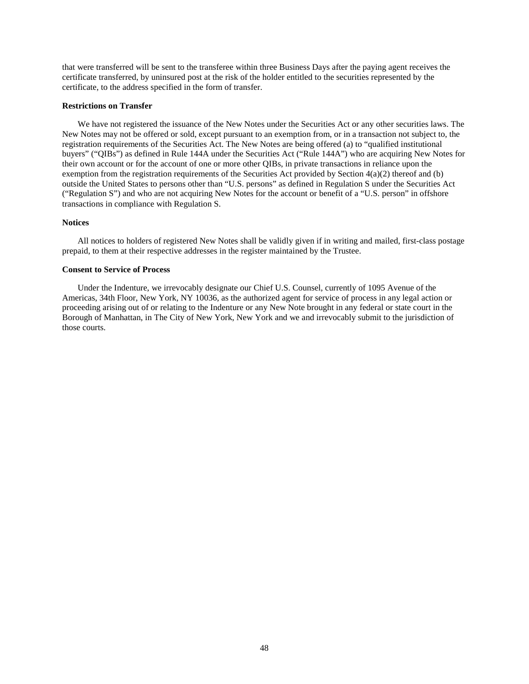that were transferred will be sent to the transferee within three Business Days after the paying agent receives the certificate transferred, by uninsured post at the risk of the holder entitled to the securities represented by the certificate, to the address specified in the form of transfer.

### **Restrictions on Transfer**

We have not registered the issuance of the New Notes under the Securities Act or any other securities laws. The New Notes may not be offered or sold, except pursuant to an exemption from, or in a transaction not subject to, the registration requirements of the Securities Act. The New Notes are being offered (a) to "qualified institutional buyers" ("QIBs") as defined in Rule 144A under the Securities Act ("Rule 144A") who are acquiring New Notes for their own account or for the account of one or more other QIBs, in private transactions in reliance upon the exemption from the registration requirements of the Securities Act provided by Section  $4(a)(2)$  thereof and (b) outside the United States to persons other than "U.S. persons" as defined in Regulation S under the Securities Act ("Regulation S") and who are not acquiring New Notes for the account or benefit of a "U.S. person" in offshore transactions in compliance with Regulation S.

### **Notices**

All notices to holders of registered New Notes shall be validly given if in writing and mailed, first-class postage prepaid, to them at their respective addresses in the register maintained by the Trustee.

# **Consent to Service of Process**

Under the Indenture, we irrevocably designate our Chief U.S. Counsel, currently of 1095 Avenue of the Americas, 34th Floor, New York, NY 10036, as the authorized agent for service of process in any legal action or proceeding arising out of or relating to the Indenture or any New Note brought in any federal or state court in the Borough of Manhattan, in The City of New York, New York and we and irrevocably submit to the jurisdiction of those courts.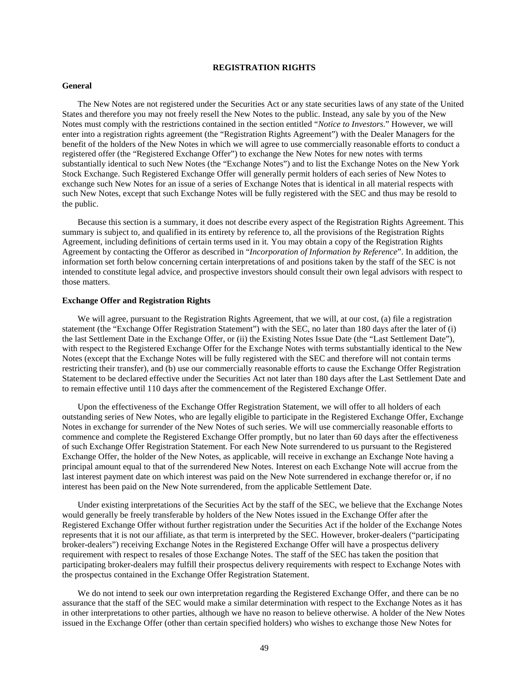# **REGISTRATION RIGHTS**

### **General**

The New Notes are not registered under the Securities Act or any state securities laws of any state of the United States and therefore you may not freely resell the New Notes to the public. Instead, any sale by you of the New Notes must comply with the restrictions contained in the section entitled "*Notice to Investors*." However, we will enter into a registration rights agreement (the "Registration Rights Agreement") with the Dealer Managers for the benefit of the holders of the New Notes in which we will agree to use commercially reasonable efforts to conduct a registered offer (the "Registered Exchange Offer") to exchange the New Notes for new notes with terms substantially identical to such New Notes (the "Exchange Notes") and to list the Exchange Notes on the New York Stock Exchange. Such Registered Exchange Offer will generally permit holders of each series of New Notes to exchange such New Notes for an issue of a series of Exchange Notes that is identical in all material respects with such New Notes, except that such Exchange Notes will be fully registered with the SEC and thus may be resold to the public.

Because this section is a summary, it does not describe every aspect of the Registration Rights Agreement. This summary is subject to, and qualified in its entirety by reference to, all the provisions of the Registration Rights Agreement, including definitions of certain terms used in it. You may obtain a copy of the Registration Rights Agreement by contacting the Offeror as described in "*Incorporation of Information by Reference*". In addition, the information set forth below concerning certain interpretations of and positions taken by the staff of the SEC is not intended to constitute legal advice, and prospective investors should consult their own legal advisors with respect to those matters.

### **Exchange Offer and Registration Rights**

We will agree, pursuant to the Registration Rights Agreement, that we will, at our cost, (a) file a registration statement (the "Exchange Offer Registration Statement") with the SEC, no later than 180 days after the later of (i) the last Settlement Date in the Exchange Offer, or (ii) the Existing Notes Issue Date (the "Last Settlement Date"), with respect to the Registered Exchange Offer for the Exchange Notes with terms substantially identical to the New Notes (except that the Exchange Notes will be fully registered with the SEC and therefore will not contain terms restricting their transfer), and (b) use our commercially reasonable efforts to cause the Exchange Offer Registration Statement to be declared effective under the Securities Act not later than 180 days after the Last Settlement Date and to remain effective until 110 days after the commencement of the Registered Exchange Offer.

Upon the effectiveness of the Exchange Offer Registration Statement, we will offer to all holders of each outstanding series of New Notes, who are legally eligible to participate in the Registered Exchange Offer, Exchange Notes in exchange for surrender of the New Notes of such series. We will use commercially reasonable efforts to commence and complete the Registered Exchange Offer promptly, but no later than 60 days after the effectiveness of such Exchange Offer Registration Statement. For each New Note surrendered to us pursuant to the Registered Exchange Offer, the holder of the New Notes, as applicable, will receive in exchange an Exchange Note having a principal amount equal to that of the surrendered New Notes. Interest on each Exchange Note will accrue from the last interest payment date on which interest was paid on the New Note surrendered in exchange therefor or, if no interest has been paid on the New Note surrendered, from the applicable Settlement Date.

Under existing interpretations of the Securities Act by the staff of the SEC, we believe that the Exchange Notes would generally be freely transferable by holders of the New Notes issued in the Exchange Offer after the Registered Exchange Offer without further registration under the Securities Act if the holder of the Exchange Notes represents that it is not our affiliate, as that term is interpreted by the SEC. However, broker-dealers ("participating broker-dealers") receiving Exchange Notes in the Registered Exchange Offer will have a prospectus delivery requirement with respect to resales of those Exchange Notes. The staff of the SEC has taken the position that participating broker-dealers may fulfill their prospectus delivery requirements with respect to Exchange Notes with the prospectus contained in the Exchange Offer Registration Statement.

We do not intend to seek our own interpretation regarding the Registered Exchange Offer, and there can be no assurance that the staff of the SEC would make a similar determination with respect to the Exchange Notes as it has in other interpretations to other parties, although we have no reason to believe otherwise. A holder of the New Notes issued in the Exchange Offer (other than certain specified holders) who wishes to exchange those New Notes for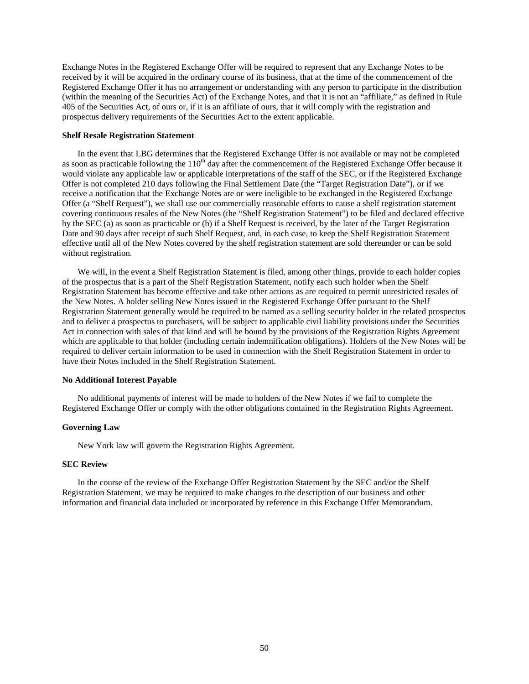Exchange Notes in the Registered Exchange Offer will be required to represent that any Exchange Notes to be received by it will be acquired in the ordinary course of its business, that at the time of the commencement of the Registered Exchange Offer it has no arrangement or understanding with any person to participate in the distribution (within the meaning of the Securities Act) of the Exchange Notes, and that it is not an "affiliate," as defined in Rule 405 of the Securities Act, of ours or, if it is an affiliate of ours, that it will comply with the registration and prospectus delivery requirements of the Securities Act to the extent applicable.

### **Shelf Resale Registration Statement**

In the event that LBG determines that the Registered Exchange Offer is not available or may not be completed as soon as practicable following the  $110<sup>th</sup>$  day after the commencement of the Registered Exchange Offer because it would violate any applicable law or applicable interpretations of the staff of the SEC, or if the Registered Exchange Offer is not completed 210 days following the Final Settlement Date (the "Target Registration Date"), or if we receive a notification that the Exchange Notes are or were ineligible to be exchanged in the Registered Exchange Offer (a "Shelf Request"), we shall use our commercially reasonable efforts to cause a shelf registration statement covering continuous resales of the New Notes (the "Shelf Registration Statement") to be filed and declared effective by the SEC (a) as soon as practicable or (b) if a Shelf Request is received, by the later of the Target Registration Date and 90 days after receipt of such Shelf Request, and, in each case, to keep the Shelf Registration Statement effective until all of the New Notes covered by the shelf registration statement are sold thereunder or can be sold without registration.

We will, in the event a Shelf Registration Statement is filed, among other things, provide to each holder copies of the prospectus that is a part of the Shelf Registration Statement, notify each such holder when the Shelf Registration Statement has become effective and take other actions as are required to permit unrestricted resales of the New Notes. A holder selling New Notes issued in the Registered Exchange Offer pursuant to the Shelf Registration Statement generally would be required to be named as a selling security holder in the related prospectus and to deliver a prospectus to purchasers, will be subject to applicable civil liability provisions under the Securities Act in connection with sales of that kind and will be bound by the provisions of the Registration Rights Agreement which are applicable to that holder (including certain indemnification obligations). Holders of the New Notes will be required to deliver certain information to be used in connection with the Shelf Registration Statement in order to have their Notes included in the Shelf Registration Statement.

### **No Additional Interest Payable**

No additional payments of interest will be made to holders of the New Notes if we fail to complete the Registered Exchange Offer or comply with the other obligations contained in the Registration Rights Agreement.

# **Governing Law**

New York law will govern the Registration Rights Agreement.

### **SEC Review**

In the course of the review of the Exchange Offer Registration Statement by the SEC and/or the Shelf Registration Statement, we may be required to make changes to the description of our business and other information and financial data included or incorporated by reference in this Exchange Offer Memorandum.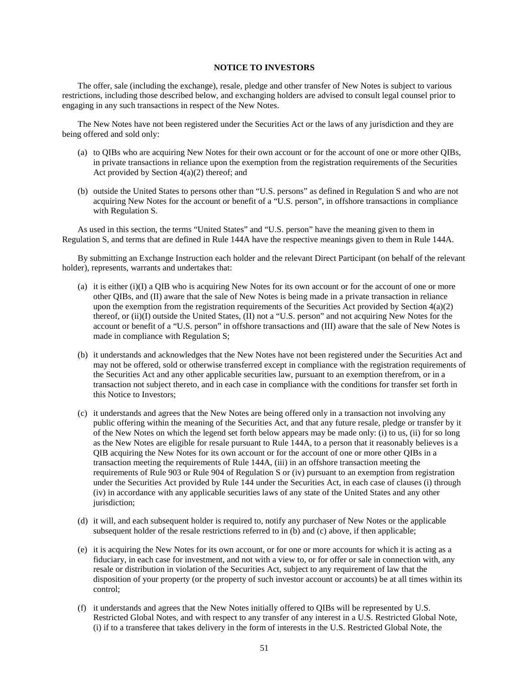# **NOTICE TO INVESTORS**

The offer, sale (including the exchange), resale, pledge and other transfer of New Notes is subject to various restrictions, including those described below, and exchanging holders are advised to consult legal counsel prior to engaging in any such transactions in respect of the New Notes.

The New Notes have not been registered under the Securities Act or the laws of any jurisdiction and they are being offered and sold only:

- (a) to QIBs who are acquiring New Notes for their own account or for the account of one or more other QIBs, in private transactions in reliance upon the exemption from the registration requirements of the Securities Act provided by Section  $4(a)(2)$  thereof; and
- (b) outside the United States to persons other than "U.S. persons" as defined in Regulation S and who are not acquiring New Notes for the account or benefit of a "U.S. person", in offshore transactions in compliance with Regulation S.

As used in this section, the terms "United States" and "U.S. person" have the meaning given to them in Regulation S, and terms that are defined in Rule 144A have the respective meanings given to them in Rule 144A.

By submitting an Exchange Instruction each holder and the relevant Direct Participant (on behalf of the relevant holder), represents, warrants and undertakes that:

- (a) it is either (i)(I) a QIB who is acquiring New Notes for its own account or for the account of one or more other QIBs, and (II) aware that the sale of New Notes is being made in a private transaction in reliance upon the exemption from the registration requirements of the Securities Act provided by Section  $4(a)(2)$ thereof, or (ii)(I) outside the United States, (II) not a "U.S. person" and not acquiring New Notes for the account or benefit of a "U.S. person" in offshore transactions and (III) aware that the sale of New Notes is made in compliance with Regulation S;
- (b) it understands and acknowledges that the New Notes have not been registered under the Securities Act and may not be offered, sold or otherwise transferred except in compliance with the registration requirements of the Securities Act and any other applicable securities law, pursuant to an exemption therefrom, or in a transaction not subject thereto, and in each case in compliance with the conditions for transfer set forth in this Notice to Investors;
- (c) it understands and agrees that the New Notes are being offered only in a transaction not involving any public offering within the meaning of the Securities Act, and that any future resale, pledge or transfer by it of the New Notes on which the legend set forth below appears may be made only: (i) to us, (ii) for so long as the New Notes are eligible for resale pursuant to Rule 144A, to a person that it reasonably believes is a QIB acquiring the New Notes for its own account or for the account of one or more other QIBs in a transaction meeting the requirements of Rule 144A, (iii) in an offshore transaction meeting the requirements of Rule 903 or Rule 904 of Regulation S or (iv) pursuant to an exemption from registration under the Securities Act provided by Rule 144 under the Securities Act, in each case of clauses (i) through (iv) in accordance with any applicable securities laws of any state of the United States and any other jurisdiction;
- (d) it will, and each subsequent holder is required to, notify any purchaser of New Notes or the applicable subsequent holder of the resale restrictions referred to in (b) and (c) above, if then applicable;
- (e) it is acquiring the New Notes for its own account, or for one or more accounts for which it is acting as a fiduciary, in each case for investment, and not with a view to, or for offer or sale in connection with, any resale or distribution in violation of the Securities Act, subject to any requirement of law that the disposition of your property (or the property of such investor account or accounts) be at all times within its control;
- (f) it understands and agrees that the New Notes initially offered to QIBs will be represented by U.S. Restricted Global Notes, and with respect to any transfer of any interest in a U.S. Restricted Global Note, (i) if to a transferee that takes delivery in the form of interests in the U.S. Restricted Global Note, the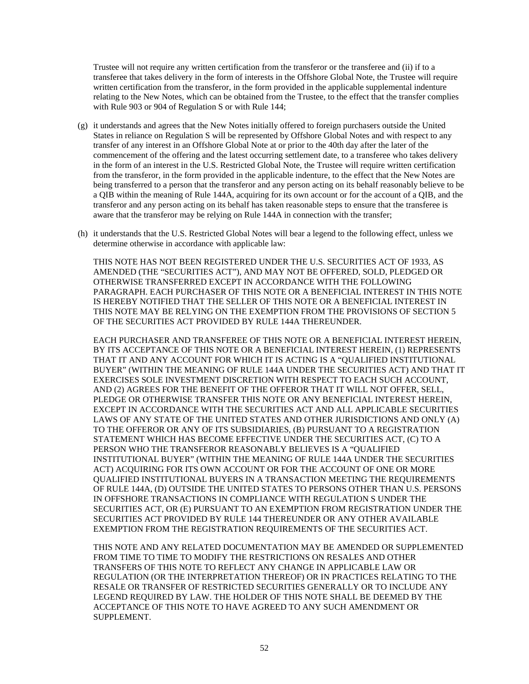Trustee will not require any written certification from the transferor or the transferee and (ii) if to a transferee that takes delivery in the form of interests in the Offshore Global Note, the Trustee will require written certification from the transferor, in the form provided in the applicable supplemental indenture relating to the New Notes, which can be obtained from the Trustee, to the effect that the transfer complies with Rule 903 or 904 of Regulation S or with Rule 144;

- (g) it understands and agrees that the New Notes initially offered to foreign purchasers outside the United States in reliance on Regulation S will be represented by Offshore Global Notes and with respect to any transfer of any interest in an Offshore Global Note at or prior to the 40th day after the later of the commencement of the offering and the latest occurring settlement date, to a transferee who takes delivery in the form of an interest in the U.S. Restricted Global Note, the Trustee will require written certification from the transferor, in the form provided in the applicable indenture, to the effect that the New Notes are being transferred to a person that the transferor and any person acting on its behalf reasonably believe to be a QIB within the meaning of Rule 144A, acquiring for its own account or for the account of a QIB, and the transferor and any person acting on its behalf has taken reasonable steps to ensure that the transferee is aware that the transferor may be relying on Rule 144A in connection with the transfer;
- (h) it understands that the U.S. Restricted Global Notes will bear a legend to the following effect, unless we determine otherwise in accordance with applicable law:

THIS NOTE HAS NOT BEEN REGISTERED UNDER THE U.S. SECURITIES ACT OF 1933, AS AMENDED (THE "SECURITIES ACT"), AND MAY NOT BE OFFERED, SOLD, PLEDGED OR OTHERWISE TRANSFERRED EXCEPT IN ACCORDANCE WITH THE FOLLOWING PARAGRAPH. EACH PURCHASER OF THIS NOTE OR A BENEFICIAL INTEREST IN THIS NOTE IS HEREBY NOTIFIED THAT THE SELLER OF THIS NOTE OR A BENEFICIAL INTEREST IN THIS NOTE MAY BE RELYING ON THE EXEMPTION FROM THE PROVISIONS OF SECTION 5 OF THE SECURITIES ACT PROVIDED BY RULE 144A THEREUNDER.

EACH PURCHASER AND TRANSFEREE OF THIS NOTE OR A BENEFICIAL INTEREST HEREIN, BY ITS ACCEPTANCE OF THIS NOTE OR A BENEFICIAL INTEREST HEREIN, (1) REPRESENTS THAT IT AND ANY ACCOUNT FOR WHICH IT IS ACTING IS A "QUALIFIED INSTITUTIONAL BUYER" (WITHIN THE MEANING OF RULE 144A UNDER THE SECURITIES ACT) AND THAT IT EXERCISES SOLE INVESTMENT DISCRETION WITH RESPECT TO EACH SUCH ACCOUNT, AND (2) AGREES FOR THE BENEFIT OF THE OFFEROR THAT IT WILL NOT OFFER, SELL, PLEDGE OR OTHERWISE TRANSFER THIS NOTE OR ANY BENEFICIAL INTEREST HEREIN, EXCEPT IN ACCORDANCE WITH THE SECURITIES ACT AND ALL APPLICABLE SECURITIES LAWS OF ANY STATE OF THE UNITED STATES AND OTHER JURISDICTIONS AND ONLY (A) TO THE OFFEROR OR ANY OF ITS SUBSIDIARIES, (B) PURSUANT TO A REGISTRATION STATEMENT WHICH HAS BECOME EFFECTIVE UNDER THE SECURITIES ACT, (C) TO A PERSON WHO THE TRANSFEROR REASONABLY BELIEVES IS A "QUALIFIED INSTITUTIONAL BUYER" (WITHIN THE MEANING OF RULE 144A UNDER THE SECURITIES ACT) ACQUIRING FOR ITS OWN ACCOUNT OR FOR THE ACCOUNT OF ONE OR MORE QUALIFIED INSTITUTIONAL BUYERS IN A TRANSACTION MEETING THE REQUIREMENTS OF RULE 144A, (D) OUTSIDE THE UNITED STATES TO PERSONS OTHER THAN U.S. PERSONS IN OFFSHORE TRANSACTIONS IN COMPLIANCE WITH REGULATION S UNDER THE SECURITIES ACT, OR (E) PURSUANT TO AN EXEMPTION FROM REGISTRATION UNDER THE SECURITIES ACT PROVIDED BY RULE 144 THEREUNDER OR ANY OTHER AVAILABLE EXEMPTION FROM THE REGISTRATION REQUIREMENTS OF THE SECURITIES ACT.

THIS NOTE AND ANY RELATED DOCUMENTATION MAY BE AMENDED OR SUPPLEMENTED FROM TIME TO TIME TO MODIFY THE RESTRICTIONS ON RESALES AND OTHER TRANSFERS OF THIS NOTE TO REFLECT ANY CHANGE IN APPLICABLE LAW OR REGULATION (OR THE INTERPRETATION THEREOF) OR IN PRACTICES RELATING TO THE RESALE OR TRANSFER OF RESTRICTED SECURITIES GENERALLY OR TO INCLUDE ANY LEGEND REQUIRED BY LAW. THE HOLDER OF THIS NOTE SHALL BE DEEMED BY THE ACCEPTANCE OF THIS NOTE TO HAVE AGREED TO ANY SUCH AMENDMENT OR SUPPLEMENT.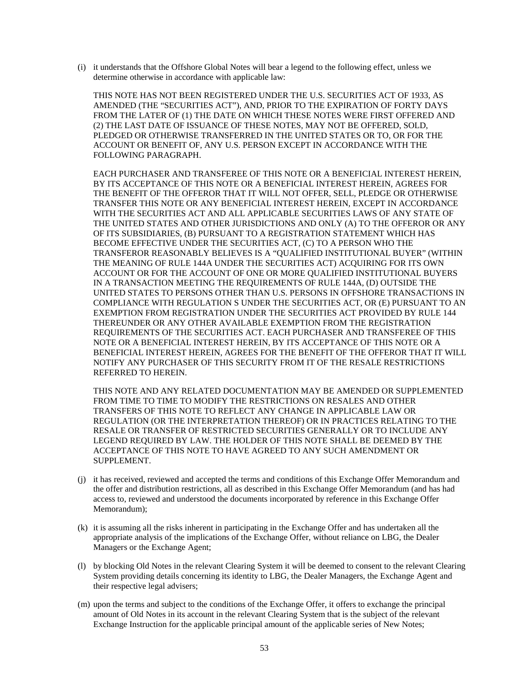(i) it understands that the Offshore Global Notes will bear a legend to the following effect, unless we determine otherwise in accordance with applicable law:

THIS NOTE HAS NOT BEEN REGISTERED UNDER THE U.S. SECURITIES ACT OF 1933, AS AMENDED (THE "SECURITIES ACT"), AND, PRIOR TO THE EXPIRATION OF FORTY DAYS FROM THE LATER OF (1) THE DATE ON WHICH THESE NOTES WERE FIRST OFFERED AND (2) THE LAST DATE OF ISSUANCE OF THESE NOTES, MAY NOT BE OFFERED, SOLD, PLEDGED OR OTHERWISE TRANSFERRED IN THE UNITED STATES OR TO, OR FOR THE ACCOUNT OR BENEFIT OF, ANY U.S. PERSON EXCEPT IN ACCORDANCE WITH THE FOLLOWING PARAGRAPH.

EACH PURCHASER AND TRANSFEREE OF THIS NOTE OR A BENEFICIAL INTEREST HEREIN, BY ITS ACCEPTANCE OF THIS NOTE OR A BENEFICIAL INTEREST HEREIN, AGREES FOR THE BENEFIT OF THE OFFEROR THAT IT WILL NOT OFFER, SELL, PLEDGE OR OTHERWISE TRANSFER THIS NOTE OR ANY BENEFICIAL INTEREST HEREIN, EXCEPT IN ACCORDANCE WITH THE SECURITIES ACT AND ALL APPLICABLE SECURITIES LAWS OF ANY STATE OF THE UNITED STATES AND OTHER JURISDICTIONS AND ONLY (A) TO THE OFFEROR OR ANY OF ITS SUBSIDIARIES, (B) PURSUANT TO A REGISTRATION STATEMENT WHICH HAS BECOME EFFECTIVE UNDER THE SECURITIES ACT, (C) TO A PERSON WHO THE TRANSFEROR REASONABLY BELIEVES IS A "QUALIFIED INSTITUTIONAL BUYER" (WITHIN THE MEANING OF RULE 144A UNDER THE SECURITIES ACT) ACQUIRING FOR ITS OWN ACCOUNT OR FOR THE ACCOUNT OF ONE OR MORE QUALIFIED INSTITUTIONAL BUYERS IN A TRANSACTION MEETING THE REQUIREMENTS OF RULE 144A, (D) OUTSIDE THE UNITED STATES TO PERSONS OTHER THAN U.S. PERSONS IN OFFSHORE TRANSACTIONS IN COMPLIANCE WITH REGULATION S UNDER THE SECURITIES ACT, OR (E) PURSUANT TO AN EXEMPTION FROM REGISTRATION UNDER THE SECURITIES ACT PROVIDED BY RULE 144 THEREUNDER OR ANY OTHER AVAILABLE EXEMPTION FROM THE REGISTRATION REQUIREMENTS OF THE SECURITIES ACT. EACH PURCHASER AND TRANSFEREE OF THIS NOTE OR A BENEFICIAL INTEREST HEREIN, BY ITS ACCEPTANCE OF THIS NOTE OR A BENEFICIAL INTEREST HEREIN, AGREES FOR THE BENEFIT OF THE OFFEROR THAT IT WILL NOTIFY ANY PURCHASER OF THIS SECURITY FROM IT OF THE RESALE RESTRICTIONS REFERRED TO HEREIN.

THIS NOTE AND ANY RELATED DOCUMENTATION MAY BE AMENDED OR SUPPLEMENTED FROM TIME TO TIME TO MODIFY THE RESTRICTIONS ON RESALES AND OTHER TRANSFERS OF THIS NOTE TO REFLECT ANY CHANGE IN APPLICABLE LAW OR REGULATION (OR THE INTERPRETATION THEREOF) OR IN PRACTICES RELATING TO THE RESALE OR TRANSFER OF RESTRICTED SECURITIES GENERALLY OR TO INCLUDE ANY LEGEND REQUIRED BY LAW. THE HOLDER OF THIS NOTE SHALL BE DEEMED BY THE ACCEPTANCE OF THIS NOTE TO HAVE AGREED TO ANY SUCH AMENDMENT OR SUPPLEMENT.

- (j) it has received, reviewed and accepted the terms and conditions of this Exchange Offer Memorandum and the offer and distribution restrictions, all as described in this Exchange Offer Memorandum (and has had access to, reviewed and understood the documents incorporated by reference in this Exchange Offer Memorandum);
- (k) it is assuming all the risks inherent in participating in the Exchange Offer and has undertaken all the appropriate analysis of the implications of the Exchange Offer, without reliance on LBG, the Dealer Managers or the Exchange Agent;
- (l) by blocking Old Notes in the relevant Clearing System it will be deemed to consent to the relevant Clearing System providing details concerning its identity to LBG, the Dealer Managers, the Exchange Agent and their respective legal advisers;
- (m) upon the terms and subject to the conditions of the Exchange Offer, it offers to exchange the principal amount of Old Notes in its account in the relevant Clearing System that is the subject of the relevant Exchange Instruction for the applicable principal amount of the applicable series of New Notes;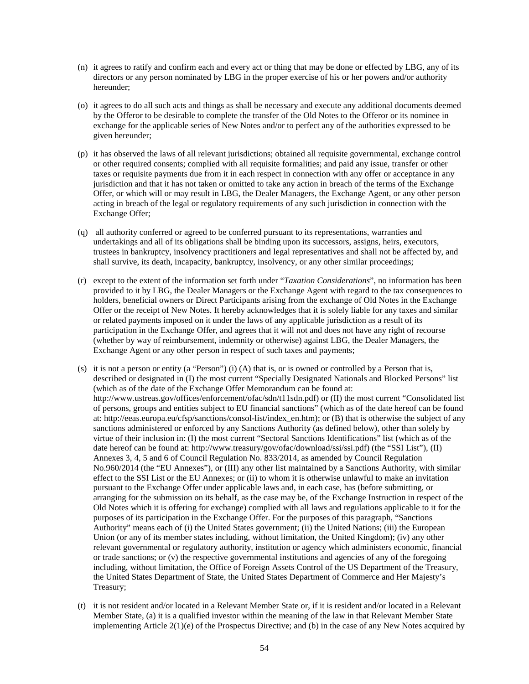- (n) it agrees to ratify and confirm each and every act or thing that may be done or effected by LBG, any of its directors or any person nominated by LBG in the proper exercise of his or her powers and/or authority hereunder;
- (o) it agrees to do all such acts and things as shall be necessary and execute any additional documents deemed by the Offeror to be desirable to complete the transfer of the Old Notes to the Offeror or its nominee in exchange for the applicable series of New Notes and/or to perfect any of the authorities expressed to be given hereunder;
- (p) it has observed the laws of all relevant jurisdictions; obtained all requisite governmental, exchange control or other required consents; complied with all requisite formalities; and paid any issue, transfer or other taxes or requisite payments due from it in each respect in connection with any offer or acceptance in any jurisdiction and that it has not taken or omitted to take any action in breach of the terms of the Exchange Offer, or which will or may result in LBG, the Dealer Managers, the Exchange Agent, or any other person acting in breach of the legal or regulatory requirements of any such jurisdiction in connection with the Exchange Offer;
- (q) all authority conferred or agreed to be conferred pursuant to its representations, warranties and undertakings and all of its obligations shall be binding upon its successors, assigns, heirs, executors, trustees in bankruptcy, insolvency practitioners and legal representatives and shall not be affected by, and shall survive, its death, incapacity, bankruptcy, insolvency, or any other similar proceedings;
- (r) except to the extent of the information set forth under "*Taxation Considerations*", no information has been provided to it by LBG, the Dealer Managers or the Exchange Agent with regard to the tax consequences to holders, beneficial owners or Direct Participants arising from the exchange of Old Notes in the Exchange Offer or the receipt of New Notes. It hereby acknowledges that it is solely liable for any taxes and similar or related payments imposed on it under the laws of any applicable jurisdiction as a result of its participation in the Exchange Offer, and agrees that it will not and does not have any right of recourse (whether by way of reimbursement, indemnity or otherwise) against LBG, the Dealer Managers, the Exchange Agent or any other person in respect of such taxes and payments;
- (s) it is not a person or entity (a "Person") (i) (A) that is, or is owned or controlled by a Person that is, described or designated in (I) the most current "Specially Designated Nationals and Blocked Persons" list (which as of the date of the Exchange Offer Memorandum can be found at: http://www.ustreas.gov/offices/enforcement/ofac/sdn/t11sdn.pdf) or (II) the most current "Consolidated list of persons, groups and entities subject to EU financial sanctions" (which as of the date hereof can be found at: http://eeas.europa.eu/cfsp/sanctions/consol-list/index\_en.htm); or (B) that is otherwise the subject of any sanctions administered or enforced by any Sanctions Authority (as defined below), other than solely by virtue of their inclusion in: (I) the most current "Sectoral Sanctions Identifications" list (which as of the date hereof can be found at: http://www.treasury/gov/ofac/download/ssi/ssi.pdf) (the "SSI List"), (II) Annexes 3, 4, 5 and 6 of Council Regulation No. 833/2014, as amended by Council Regulation No.960/2014 (the "EU Annexes"), or (III) any other list maintained by a Sanctions Authority, with similar effect to the SSI List or the EU Annexes; or (ii) to whom it is otherwise unlawful to make an invitation pursuant to the Exchange Offer under applicable laws and, in each case, has (before submitting, or arranging for the submission on its behalf, as the case may be, of the Exchange Instruction in respect of the Old Notes which it is offering for exchange) complied with all laws and regulations applicable to it for the purposes of its participation in the Exchange Offer. For the purposes of this paragraph, "Sanctions Authority" means each of (i) the United States government; (ii) the United Nations; (iii) the European Union (or any of its member states including, without limitation, the United Kingdom); (iv) any other relevant governmental or regulatory authority, institution or agency which administers economic, financial or trade sanctions; or  $(v)$  the respective governmental institutions and agencies of any of the foregoing including, without limitation, the Office of Foreign Assets Control of the US Department of the Treasury, the United States Department of State, the United States Department of Commerce and Her Majesty's Treasury;
- (t) it is not resident and/or located in a Relevant Member State or, if it is resident and/or located in a Relevant Member State, (a) it is a qualified investor within the meaning of the law in that Relevant Member State implementing Article 2(1)(e) of the Prospectus Directive; and (b) in the case of any New Notes acquired by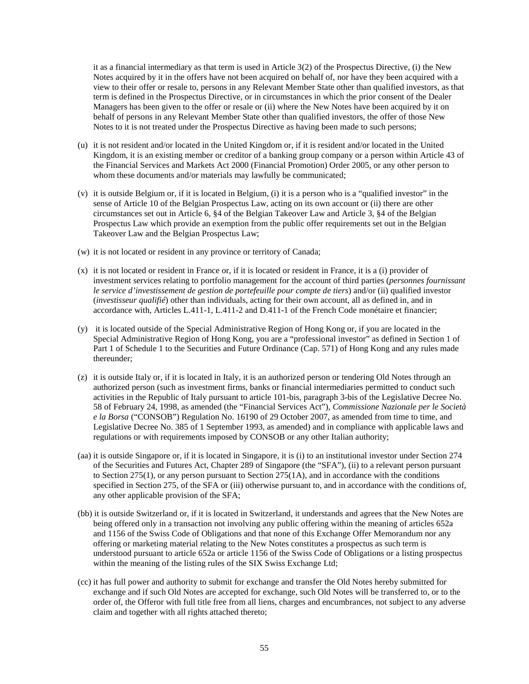it as a financial intermediary as that term is used in Article 3(2) of the Prospectus Directive, (i) the New Notes acquired by it in the offers have not been acquired on behalf of, nor have they been acquired with a view to their offer or resale to, persons in any Relevant Member State other than qualified investors, as that term is defined in the Prospectus Directive, or in circumstances in which the prior consent of the Dealer Managers has been given to the offer or resale or (ii) where the New Notes have been acquired by it on behalf of persons in any Relevant Member State other than qualified investors, the offer of those New Notes to it is not treated under the Prospectus Directive as having been made to such persons;

- (u) it is not resident and/or located in the United Kingdom or, if it is resident and/or located in the United Kingdom, it is an existing member or creditor of a banking group company or a person within Article 43 of the Financial Services and Markets Act 2000 (Financial Promotion) Order 2005, or any other person to whom these documents and/or materials may lawfully be communicated;
- (v) it is outside Belgium or, if it is located in Belgium, (i) it is a person who is a "qualified investor" in the sense of Article 10 of the Belgian Prospectus Law, acting on its own account or (ii) there are other circumstances set out in Article 6, §4 of the Belgian Takeover Law and Article 3, §4 of the Belgian Prospectus Law which provide an exemption from the public offer requirements set out in the Belgian Takeover Law and the Belgian Prospectus Law;
- (w) it is not located or resident in any province or territory of Canada;
- (x) it is not located or resident in France or, if it is located or resident in France, it is a (i) provider of investment services relating to portfolio management for the account of third parties (*personnes fournissant le service d'investissement de gestion de portefeuille pour compte de tiers*) and/or (ii) qualified investor (*investisseur qualifié*) other than individuals, acting for their own account, all as defined in, and in accordance with, Articles L.411-1, L.411-2 and D.411-1 of the French Code monétaire et financier;
- (y) it is located outside of the Special Administrative Region of Hong Kong or, if you are located in the Special Administrative Region of Hong Kong, you are a "professional investor" as defined in Section 1 of Part 1 of Schedule 1 to the Securities and Future Ordinance (Cap. 571) of Hong Kong and any rules made thereunder;
- (z) it is outside Italy or, if it is located in Italy, it is an authorized person or tendering Old Notes through an authorized person (such as investment firms, banks or financial intermediaries permitted to conduct such activities in the Republic of Italy pursuant to article 101-bis, paragraph 3-bis of the Legislative Decree No. 58 of February 24, 1998, as amended (the "Financial Services Act"), *Commissione Nazionale per le Società e la Borsa* ("CONSOB") Regulation No. 16190 of 29 October 2007, as amended from time to time, and Legislative Decree No. 385 of 1 September 1993, as amended) and in compliance with applicable laws and regulations or with requirements imposed by CONSOB or any other Italian authority;
- (aa) it is outside Singapore or, if it is located in Singapore, it is (i) to an institutional investor under Section 274 of the Securities and Futures Act, Chapter 289 of Singapore (the "SFA"), (ii) to a relevant person pursuant to Section 275(1), or any person pursuant to Section 275(1A), and in accordance with the conditions specified in Section 275, of the SFA or (iii) otherwise pursuant to, and in accordance with the conditions of, any other applicable provision of the SFA;
- (bb) it is outside Switzerland or, if it is located in Switzerland, it understands and agrees that the New Notes are being offered only in a transaction not involving any public offering within the meaning of articles 652a and 1156 of the Swiss Code of Obligations and that none of this Exchange Offer Memorandum nor any offering or marketing material relating to the New Notes constitutes a prospectus as such term is understood pursuant to article 652a or article 1156 of the Swiss Code of Obligations or a listing prospectus within the meaning of the listing rules of the SIX Swiss Exchange Ltd;
- (cc) it has full power and authority to submit for exchange and transfer the Old Notes hereby submitted for exchange and if such Old Notes are accepted for exchange, such Old Notes will be transferred to, or to the order of, the Offeror with full title free from all liens, charges and encumbrances, not subject to any adverse claim and together with all rights attached thereto;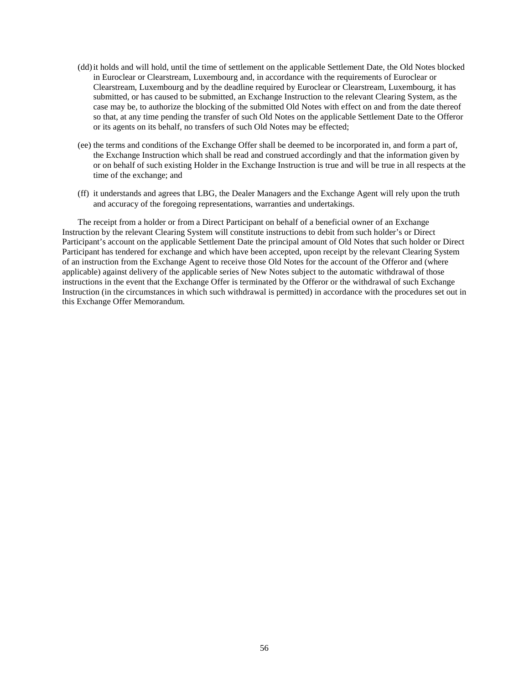- (dd)it holds and will hold, until the time of settlement on the applicable Settlement Date, the Old Notes blocked in Euroclear or Clearstream, Luxembourg and, in accordance with the requirements of Euroclear or Clearstream, Luxembourg and by the deadline required by Euroclear or Clearstream, Luxembourg, it has submitted, or has caused to be submitted, an Exchange Instruction to the relevant Clearing System, as the case may be, to authorize the blocking of the submitted Old Notes with effect on and from the date thereof so that, at any time pending the transfer of such Old Notes on the applicable Settlement Date to the Offeror or its agents on its behalf, no transfers of such Old Notes may be effected;
- (ee) the terms and conditions of the Exchange Offer shall be deemed to be incorporated in, and form a part of, the Exchange Instruction which shall be read and construed accordingly and that the information given by or on behalf of such existing Holder in the Exchange Instruction is true and will be true in all respects at the time of the exchange; and
- (ff) it understands and agrees that LBG, the Dealer Managers and the Exchange Agent will rely upon the truth and accuracy of the foregoing representations, warranties and undertakings.

The receipt from a holder or from a Direct Participant on behalf of a beneficial owner of an Exchange Instruction by the relevant Clearing System will constitute instructions to debit from such holder's or Direct Participant's account on the applicable Settlement Date the principal amount of Old Notes that such holder or Direct Participant has tendered for exchange and which have been accepted, upon receipt by the relevant Clearing System of an instruction from the Exchange Agent to receive those Old Notes for the account of the Offeror and (where applicable) against delivery of the applicable series of New Notes subject to the automatic withdrawal of those instructions in the event that the Exchange Offer is terminated by the Offeror or the withdrawal of such Exchange Instruction (in the circumstances in which such withdrawal is permitted) in accordance with the procedures set out in this Exchange Offer Memorandum.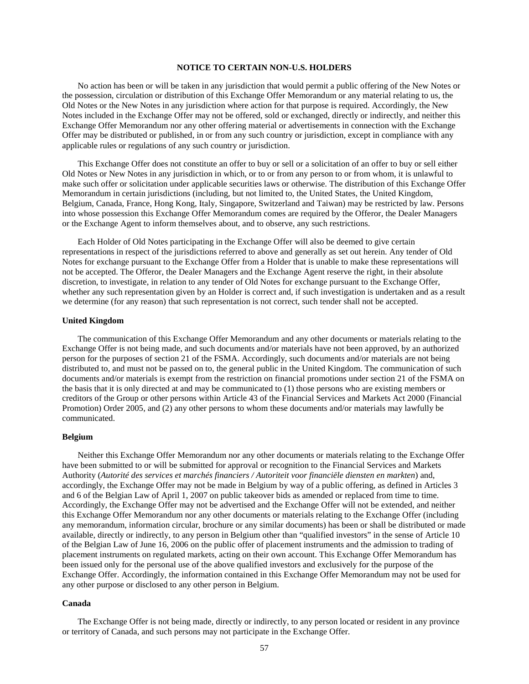# **NOTICE TO CERTAIN NON-U.S. HOLDERS**

No action has been or will be taken in any jurisdiction that would permit a public offering of the New Notes or the possession, circulation or distribution of this Exchange Offer Memorandum or any material relating to us, the Old Notes or the New Notes in any jurisdiction where action for that purpose is required. Accordingly, the New Notes included in the Exchange Offer may not be offered, sold or exchanged, directly or indirectly, and neither this Exchange Offer Memorandum nor any other offering material or advertisements in connection with the Exchange Offer may be distributed or published, in or from any such country or jurisdiction, except in compliance with any applicable rules or regulations of any such country or jurisdiction.

This Exchange Offer does not constitute an offer to buy or sell or a solicitation of an offer to buy or sell either Old Notes or New Notes in any jurisdiction in which, or to or from any person to or from whom, it is unlawful to make such offer or solicitation under applicable securities laws or otherwise. The distribution of this Exchange Offer Memorandum in certain jurisdictions (including, but not limited to, the United States, the United Kingdom, Belgium, Canada, France, Hong Kong, Italy, Singapore, Switzerland and Taiwan) may be restricted by law. Persons into whose possession this Exchange Offer Memorandum comes are required by the Offeror, the Dealer Managers or the Exchange Agent to inform themselves about, and to observe, any such restrictions.

Each Holder of Old Notes participating in the Exchange Offer will also be deemed to give certain representations in respect of the jurisdictions referred to above and generally as set out herein. Any tender of Old Notes for exchange pursuant to the Exchange Offer from a Holder that is unable to make these representations will not be accepted. The Offeror, the Dealer Managers and the Exchange Agent reserve the right, in their absolute discretion, to investigate, in relation to any tender of Old Notes for exchange pursuant to the Exchange Offer, whether any such representation given by an Holder is correct and, if such investigation is undertaken and as a result we determine (for any reason) that such representation is not correct, such tender shall not be accepted.

### **United Kingdom**

The communication of this Exchange Offer Memorandum and any other documents or materials relating to the Exchange Offer is not being made, and such documents and/or materials have not been approved, by an authorized person for the purposes of section 21 of the FSMA. Accordingly, such documents and/or materials are not being distributed to, and must not be passed on to, the general public in the United Kingdom. The communication of such documents and/or materials is exempt from the restriction on financial promotions under section 21 of the FSMA on the basis that it is only directed at and may be communicated to (1) those persons who are existing members or creditors of the Group or other persons within Article 43 of the Financial Services and Markets Act 2000 (Financial Promotion) Order 2005, and (2) any other persons to whom these documents and/or materials may lawfully be communicated.

#### **Belgium**

Neither this Exchange Offer Memorandum nor any other documents or materials relating to the Exchange Offer have been submitted to or will be submitted for approval or recognition to the Financial Services and Markets Authority (*Autorité des services et marchés financiers / Autoriteit voor financiële diensten en markten*) and, accordingly, the Exchange Offer may not be made in Belgium by way of a public offering, as defined in Articles 3 and 6 of the Belgian Law of April 1, 2007 on public takeover bids as amended or replaced from time to time. Accordingly, the Exchange Offer may not be advertised and the Exchange Offer will not be extended, and neither this Exchange Offer Memorandum nor any other documents or materials relating to the Exchange Offer (including any memorandum, information circular, brochure or any similar documents) has been or shall be distributed or made available, directly or indirectly, to any person in Belgium other than "qualified investors" in the sense of Article 10 of the Belgian Law of June 16, 2006 on the public offer of placement instruments and the admission to trading of placement instruments on regulated markets, acting on their own account. This Exchange Offer Memorandum has been issued only for the personal use of the above qualified investors and exclusively for the purpose of the Exchange Offer. Accordingly, the information contained in this Exchange Offer Memorandum may not be used for any other purpose or disclosed to any other person in Belgium.

### **Canada**

The Exchange Offer is not being made, directly or indirectly, to any person located or resident in any province or territory of Canada, and such persons may not participate in the Exchange Offer.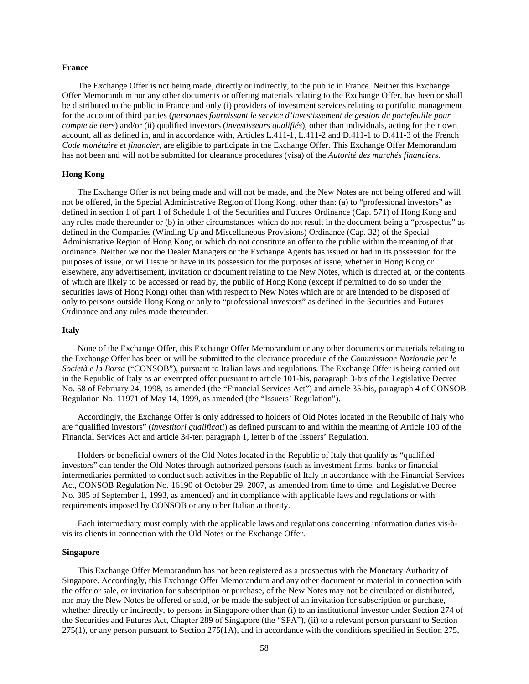#### **France**

The Exchange Offer is not being made, directly or indirectly, to the public in France. Neither this Exchange Offer Memorandum nor any other documents or offering materials relating to the Exchange Offer, has been or shall be distributed to the public in France and only (i) providers of investment services relating to portfolio management for the account of third parties (*personnes fournissant le service d'investissement de gestion de portefeuille pour compte de tiers*) and/or (ii) qualified investors (*investisseurs qualifiés*), other than individuals, acting for their own account, all as defined in, and in accordance with, Articles L.411-1, L.411-2 and D.411-1 to D.411-3 of the French *Code monétaire et financier*, are eligible to participate in the Exchange Offer. This Exchange Offer Memorandum has not been and will not be submitted for clearance procedures (visa) of the *Autorité des marchés financiers*.

# **Hong Kong**

The Exchange Offer is not being made and will not be made, and the New Notes are not being offered and will not be offered, in the Special Administrative Region of Hong Kong, other than: (a) to "professional investors" as defined in section 1 of part 1 of Schedule 1 of the Securities and Futures Ordinance (Cap. 571) of Hong Kong and any rules made thereunder or (b) in other circumstances which do not result in the document being a "prospectus" as defined in the Companies (Winding Up and Miscellaneous Provisions) Ordinance (Cap. 32) of the Special Administrative Region of Hong Kong or which do not constitute an offer to the public within the meaning of that ordinance. Neither we nor the Dealer Managers or the Exchange Agents has issued or had in its possession for the purposes of issue, or will issue or have in its possession for the purposes of issue, whether in Hong Kong or elsewhere, any advertisement, invitation or document relating to the New Notes, which is directed at, or the contents of which are likely to be accessed or read by, the public of Hong Kong (except if permitted to do so under the securities laws of Hong Kong) other than with respect to New Notes which are or are intended to be disposed of only to persons outside Hong Kong or only to "professional investors" as defined in the Securities and Futures Ordinance and any rules made thereunder.

#### **Italy**

None of the Exchange Offer, this Exchange Offer Memorandum or any other documents or materials relating to the Exchange Offer has been or will be submitted to the clearance procedure of the *Commissione Nazionale per le Società e la Borsa* ("CONSOB"), pursuant to Italian laws and regulations. The Exchange Offer is being carried out in the Republic of Italy as an exempted offer pursuant to article 101-bis, paragraph 3-bis of the Legislative Decree No. 58 of February 24, 1998, as amended (the "Financial Services Act") and article 35-bis, paragraph 4 of CONSOB Regulation No. 11971 of May 14, 1999, as amended (the "Issuers' Regulation").

Accordingly, the Exchange Offer is only addressed to holders of Old Notes located in the Republic of Italy who are "qualified investors" (*investitori qualificati*) as defined pursuant to and within the meaning of Article 100 of the Financial Services Act and article 34-ter, paragraph 1, letter b of the Issuers' Regulation.

Holders or beneficial owners of the Old Notes located in the Republic of Italy that qualify as "qualified investors" can tender the Old Notes through authorized persons (such as investment firms, banks or financial intermediaries permitted to conduct such activities in the Republic of Italy in accordance with the Financial Services Act, CONSOB Regulation No. 16190 of October 29, 2007, as amended from time to time, and Legislative Decree No. 385 of September 1, 1993, as amended) and in compliance with applicable laws and regulations or with requirements imposed by CONSOB or any other Italian authority.

Each intermediary must comply with the applicable laws and regulations concerning information duties vis-àvis its clients in connection with the Old Notes or the Exchange Offer.

### **Singapore**

This Exchange Offer Memorandum has not been registered as a prospectus with the Monetary Authority of Singapore. Accordingly, this Exchange Offer Memorandum and any other document or material in connection with the offer or sale, or invitation for subscription or purchase, of the New Notes may not be circulated or distributed, nor may the New Notes be offered or sold, or be made the subject of an invitation for subscription or purchase, whether directly or indirectly, to persons in Singapore other than (i) to an institutional investor under Section 274 of the Securities and Futures Act, Chapter 289 of Singapore (the "SFA"), (ii) to a relevant person pursuant to Section 275(1), or any person pursuant to Section 275(1A), and in accordance with the conditions specified in Section 275,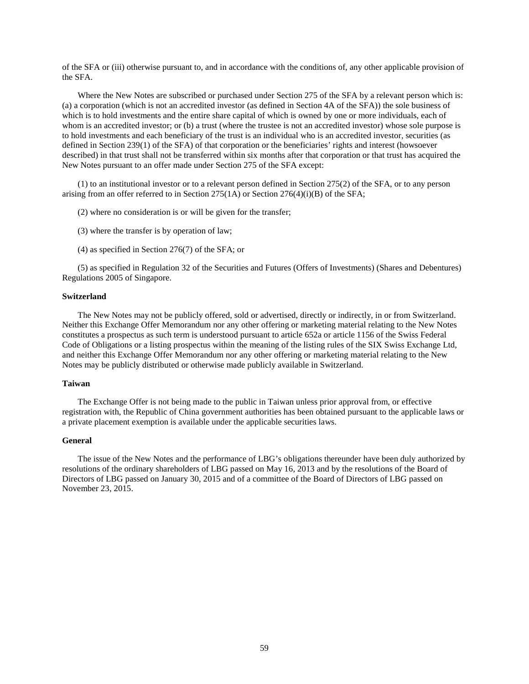of the SFA or (iii) otherwise pursuant to, and in accordance with the conditions of, any other applicable provision of the SFA.

Where the New Notes are subscribed or purchased under Section 275 of the SFA by a relevant person which is: (a) a corporation (which is not an accredited investor (as defined in Section 4A of the SFA)) the sole business of which is to hold investments and the entire share capital of which is owned by one or more individuals, each of whom is an accredited investor; or (b) a trust (where the trustee is not an accredited investor) whose sole purpose is to hold investments and each beneficiary of the trust is an individual who is an accredited investor, securities (as defined in Section 239(1) of the SFA) of that corporation or the beneficiaries' rights and interest (howsoever described) in that trust shall not be transferred within six months after that corporation or that trust has acquired the New Notes pursuant to an offer made under Section 275 of the SFA except:

(1) to an institutional investor or to a relevant person defined in Section 275(2) of the SFA, or to any person arising from an offer referred to in Section 275(1A) or Section 276(4)(i)(B) of the SFA;

(2) where no consideration is or will be given for the transfer;

(3) where the transfer is by operation of law;

(4) as specified in Section 276(7) of the SFA; or

(5) as specified in Regulation 32 of the Securities and Futures (Offers of Investments) (Shares and Debentures) Regulations 2005 of Singapore.

### **Switzerland**

The New Notes may not be publicly offered, sold or advertised, directly or indirectly, in or from Switzerland. Neither this Exchange Offer Memorandum nor any other offering or marketing material relating to the New Notes constitutes a prospectus as such term is understood pursuant to article 652a or article 1156 of the Swiss Federal Code of Obligations or a listing prospectus within the meaning of the listing rules of the SIX Swiss Exchange Ltd, and neither this Exchange Offer Memorandum nor any other offering or marketing material relating to the New Notes may be publicly distributed or otherwise made publicly available in Switzerland.

# **Taiwan**

The Exchange Offer is not being made to the public in Taiwan unless prior approval from, or effective registration with, the Republic of China government authorities has been obtained pursuant to the applicable laws or a private placement exemption is available under the applicable securities laws.

# **General**

The issue of the New Notes and the performance of LBG's obligations thereunder have been duly authorized by resolutions of the ordinary shareholders of LBG passed on May 16, 2013 and by the resolutions of the Board of Directors of LBG passed on January 30, 2015 and of a committee of the Board of Directors of LBG passed on November 23, 2015.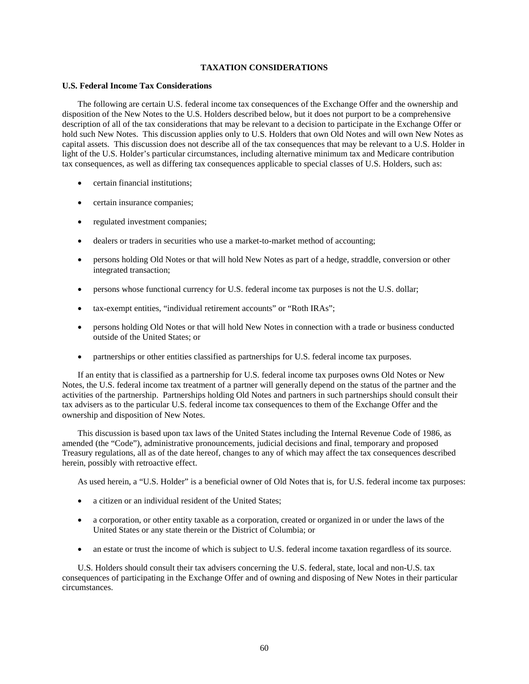# **TAXATION CONSIDERATIONS**

## **U.S. Federal Income Tax Considerations**

The following are certain U.S. federal income tax consequences of the Exchange Offer and the ownership and disposition of the New Notes to the U.S. Holders described below, but it does not purport to be a comprehensive description of all of the tax considerations that may be relevant to a decision to participate in the Exchange Offer or hold such New Notes. This discussion applies only to U.S. Holders that own Old Notes and will own New Notes as capital assets. This discussion does not describe all of the tax consequences that may be relevant to a U.S. Holder in light of the U.S. Holder's particular circumstances, including alternative minimum tax and Medicare contribution tax consequences, as well as differing tax consequences applicable to special classes of U.S. Holders, such as:

- certain financial institutions;
- certain insurance companies;
- regulated investment companies;
- dealers or traders in securities who use a market-to-market method of accounting;
- persons holding Old Notes or that will hold New Notes as part of a hedge, straddle, conversion or other integrated transaction;
- persons whose functional currency for U.S. federal income tax purposes is not the U.S. dollar;
- tax-exempt entities, "individual retirement accounts" or "Roth IRAs";
- persons holding Old Notes or that will hold New Notes in connection with a trade or business conducted outside of the United States; or
- partnerships or other entities classified as partnerships for U.S. federal income tax purposes.

If an entity that is classified as a partnership for U.S. federal income tax purposes owns Old Notes or New Notes, the U.S. federal income tax treatment of a partner will generally depend on the status of the partner and the activities of the partnership. Partnerships holding Old Notes and partners in such partnerships should consult their tax advisers as to the particular U.S. federal income tax consequences to them of the Exchange Offer and the ownership and disposition of New Notes.

This discussion is based upon tax laws of the United States including the Internal Revenue Code of 1986, as amended (the "Code"), administrative pronouncements, judicial decisions and final, temporary and proposed Treasury regulations, all as of the date hereof, changes to any of which may affect the tax consequences described herein, possibly with retroactive effect.

As used herein, a "U.S. Holder" is a beneficial owner of Old Notes that is, for U.S. federal income tax purposes:

- a citizen or an individual resident of the United States:
- a corporation, or other entity taxable as a corporation, created or organized in or under the laws of the United States or any state therein or the District of Columbia; or
- an estate or trust the income of which is subject to U.S. federal income taxation regardless of its source.

U.S. Holders should consult their tax advisers concerning the U.S. federal, state, local and non-U.S. tax consequences of participating in the Exchange Offer and of owning and disposing of New Notes in their particular circumstances.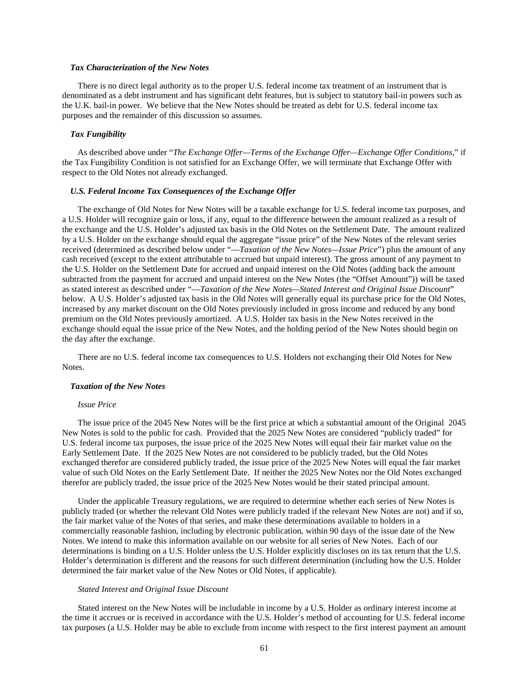### *Tax Characterization of the New Notes*

There is no direct legal authority as to the proper U.S. federal income tax treatment of an instrument that is denominated as a debt instrument and has significant debt features, but is subject to statutory bail-in powers such as the U.K. bail-in power. We believe that the New Notes should be treated as debt for U.S. federal income tax purposes and the remainder of this discussion so assumes.

### *Tax Fungibility*

As described above under "*The Exchange Offer—Terms of the Exchange Offer—Exchange Offer Conditions*," if the Tax Fungibility Condition is not satisfied for an Exchange Offer, we will terminate that Exchange Offer with respect to the Old Notes not already exchanged.

### *U.S. Federal Income Tax Consequences of the Exchange Offer*

The exchange of Old Notes for New Notes will be a taxable exchange for U.S. federal income tax purposes, and a U.S. Holder will recognize gain or loss, if any, equal to the difference between the amount realized as a result of the exchange and the U.S. Holder's adjusted tax basis in the Old Notes on the Settlement Date. The amount realized by a U.S. Holder on the exchange should equal the aggregate "issue price" of the New Notes of the relevant series received (determined as described below under "—*Taxation of the New Notes—Issue Price*") plus the amount of any cash received (except to the extent attributable to accrued but unpaid interest). The gross amount of any payment to the U.S. Holder on the Settlement Date for accrued and unpaid interest on the Old Notes (adding back the amount subtracted from the payment for accrued and unpaid interest on the New Notes (the "Offset Amount")) will be taxed as stated interest as described under "—*Taxation of the New Notes—Stated Interest and Original Issue Discount*" below. A U.S. Holder's adjusted tax basis in the Old Notes will generally equal its purchase price for the Old Notes, increased by any market discount on the Old Notes previously included in gross income and reduced by any bond premium on the Old Notes previously amortized. A U.S. Holder tax basis in the New Notes received in the exchange should equal the issue price of the New Notes, and the holding period of the New Notes should begin on the day after the exchange.

There are no U.S. federal income tax consequences to U.S. Holders not exchanging their Old Notes for New Notes.

#### *Taxation of the New Notes*

### *Issue Price*

The issue price of the 2045 New Notes will be the first price at which a substantial amount of the Original 2045 New Notes is sold to the public for cash. Provided that the 2025 New Notes are considered "publicly traded" for U.S. federal income tax purposes, the issue price of the 2025 New Notes will equal their fair market value on the Early Settlement Date. If the 2025 New Notes are not considered to be publicly traded, but the Old Notes exchanged therefor are considered publicly traded, the issue price of the 2025 New Notes will equal the fair market value of such Old Notes on the Early Settlement Date. If neither the 2025 New Notes nor the Old Notes exchanged therefor are publicly traded, the issue price of the 2025 New Notes would be their stated principal amount.

Under the applicable Treasury regulations, we are required to determine whether each series of New Notes is publicly traded (or whether the relevant Old Notes were publicly traded if the relevant New Notes are not) and if so, the fair market value of the Notes of that series, and make these determinations available to holders in a commercially reasonable fashion, including by electronic publication, within 90 days of the issue date of the New Notes. We intend to make this information available on our website for all series of New Notes. Each of our determinations is binding on a U.S. Holder unless the U.S. Holder explicitly discloses on its tax return that the U.S. Holder's determination is different and the reasons for such different determination (including how the U.S. Holder determined the fair market value of the New Notes or Old Notes, if applicable).

### *Stated Interest and Original Issue Discount*

Stated interest on the New Notes will be includable in income by a U.S. Holder as ordinary interest income at the time it accrues or is received in accordance with the U.S. Holder's method of accounting for U.S. federal income tax purposes (a U.S. Holder may be able to exclude from income with respect to the first interest payment an amount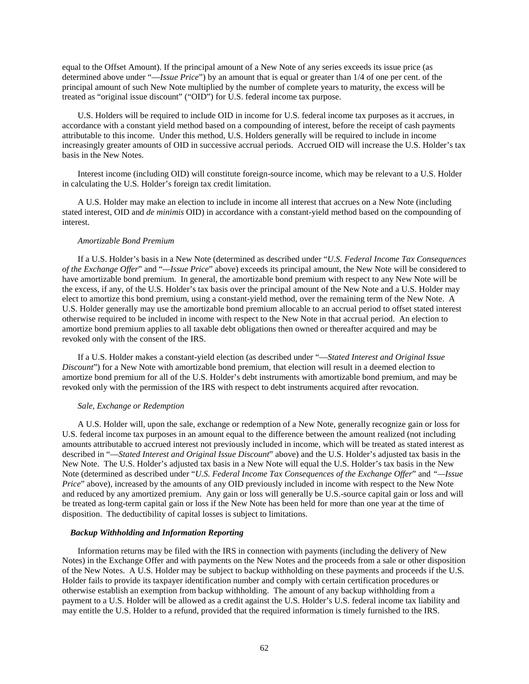equal to the Offset Amount). If the principal amount of a New Note of any series exceeds its issue price (as determined above under "—*Issue Price*") by an amount that is equal or greater than 1/4 of one per cent. of the principal amount of such New Note multiplied by the number of complete years to maturity, the excess will be treated as "original issue discount" ("OID") for U.S. federal income tax purpose.

U.S. Holders will be required to include OID in income for U.S. federal income tax purposes as it accrues, in accordance with a constant yield method based on a compounding of interest, before the receipt of cash payments attributable to this income. Under this method, U.S. Holders generally will be required to include in income increasingly greater amounts of OID in successive accrual periods. Accrued OID will increase the U.S. Holder's tax basis in the New Notes.

Interest income (including OID) will constitute foreign-source income, which may be relevant to a U.S. Holder in calculating the U.S. Holder's foreign tax credit limitation.

A U.S. Holder may make an election to include in income all interest that accrues on a New Note (including stated interest, OID and *de minimis* OID) in accordance with a constant-yield method based on the compounding of interest.

### *Amortizable Bond Premium*

If a U.S. Holder's basis in a New Note (determined as described under "*U.S. Federal Income Tax Consequences of the Exchange Offer*" and "*—Issue Price*" above) exceeds its principal amount, the New Note will be considered to have amortizable bond premium. In general, the amortizable bond premium with respect to any New Note will be the excess, if any, of the U.S. Holder's tax basis over the principal amount of the New Note and a U.S. Holder may elect to amortize this bond premium, using a constant-yield method, over the remaining term of the New Note. A U.S. Holder generally may use the amortizable bond premium allocable to an accrual period to offset stated interest otherwise required to be included in income with respect to the New Note in that accrual period. An election to amortize bond premium applies to all taxable debt obligations then owned or thereafter acquired and may be revoked only with the consent of the IRS.

If a U.S. Holder makes a constant-yield election (as described under "—*Stated Interest and Original Issue Discount*") for a New Note with amortizable bond premium, that election will result in a deemed election to amortize bond premium for all of the U.S. Holder's debt instruments with amortizable bond premium, and may be revoked only with the permission of the IRS with respect to debt instruments acquired after revocation.

#### *Sale, Exchange or Redemption*

A U.S. Holder will, upon the sale, exchange or redemption of a New Note, generally recognize gain or loss for U.S. federal income tax purposes in an amount equal to the difference between the amount realized (not including amounts attributable to accrued interest not previously included in income, which will be treated as stated interest as described in "—*Stated Interest and Original Issue Discount*" above) and the U.S. Holder's adjusted tax basis in the New Note. The U.S. Holder's adjusted tax basis in a New Note will equal the U.S. Holder's tax basis in the New Note (determined as described under "*U.S. Federal Income Tax Consequences of the Exchange Offer*" and *"—Issue Price*" above), increased by the amounts of any OID previously included in income with respect to the New Note and reduced by any amortized premium. Any gain or loss will generally be U.S.-source capital gain or loss and will be treated as long-term capital gain or loss if the New Note has been held for more than one year at the time of disposition. The deductibility of capital losses is subject to limitations.

#### *Backup Withholding and Information Reporting*

Information returns may be filed with the IRS in connection with payments (including the delivery of New Notes) in the Exchange Offer and with payments on the New Notes and the proceeds from a sale or other disposition of the New Notes. A U.S. Holder may be subject to backup withholding on these payments and proceeds if the U.S. Holder fails to provide its taxpayer identification number and comply with certain certification procedures or otherwise establish an exemption from backup withholding. The amount of any backup withholding from a payment to a U.S. Holder will be allowed as a credit against the U.S. Holder's U.S. federal income tax liability and may entitle the U.S. Holder to a refund, provided that the required information is timely furnished to the IRS.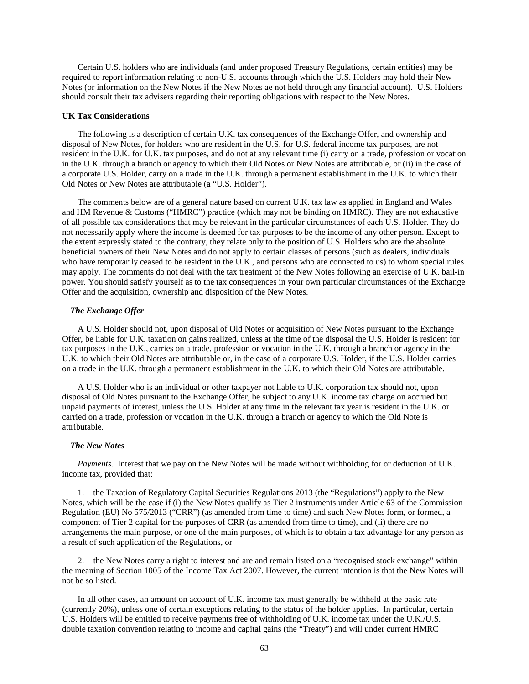Certain U.S. holders who are individuals (and under proposed Treasury Regulations, certain entities) may be required to report information relating to non-U.S. accounts through which the U.S. Holders may hold their New Notes (or information on the New Notes if the New Notes ae not held through any financial account). U.S. Holders should consult their tax advisers regarding their reporting obligations with respect to the New Notes.

### **UK Tax Considerations**

The following is a description of certain U.K. tax consequences of the Exchange Offer, and ownership and disposal of New Notes, for holders who are resident in the U.S. for U.S. federal income tax purposes, are not resident in the U.K. for U.K. tax purposes, and do not at any relevant time (i) carry on a trade, profession or vocation in the U.K. through a branch or agency to which their Old Notes or New Notes are attributable, or (ii) in the case of a corporate U.S. Holder, carry on a trade in the U.K. through a permanent establishment in the U.K. to which their Old Notes or New Notes are attributable (a "U.S. Holder").

The comments below are of a general nature based on current U.K. tax law as applied in England and Wales and HM Revenue & Customs ("HMRC") practice (which may not be binding on HMRC). They are not exhaustive of all possible tax considerations that may be relevant in the particular circumstances of each U.S. Holder. They do not necessarily apply where the income is deemed for tax purposes to be the income of any other person. Except to the extent expressly stated to the contrary, they relate only to the position of U.S. Holders who are the absolute beneficial owners of their New Notes and do not apply to certain classes of persons (such as dealers, individuals who have temporarily ceased to be resident in the  $\overline{U}$ .K., and persons who are connected to us) to whom special rules may apply. The comments do not deal with the tax treatment of the New Notes following an exercise of U.K. bail-in power. You should satisfy yourself as to the tax consequences in your own particular circumstances of the Exchange Offer and the acquisition, ownership and disposition of the New Notes.

### *The Exchange Offer*

A U.S. Holder should not, upon disposal of Old Notes or acquisition of New Notes pursuant to the Exchange Offer, be liable for U.K. taxation on gains realized, unless at the time of the disposal the U.S. Holder is resident for tax purposes in the U.K., carries on a trade, profession or vocation in the U.K. through a branch or agency in the U.K. to which their Old Notes are attributable or, in the case of a corporate U.S. Holder, if the U.S. Holder carries on a trade in the U.K. through a permanent establishment in the U.K. to which their Old Notes are attributable.

A U.S. Holder who is an individual or other taxpayer not liable to U.K. corporation tax should not, upon disposal of Old Notes pursuant to the Exchange Offer, be subject to any U.K. income tax charge on accrued but unpaid payments of interest, unless the U.S. Holder at any time in the relevant tax year is resident in the U.K. or carried on a trade, profession or vocation in the U.K. through a branch or agency to which the Old Note is attributable.

### *The New Notes*

*Payments.* Interest that we pay on the New Notes will be made without withholding for or deduction of U.K. income tax, provided that:

1. the Taxation of Regulatory Capital Securities Regulations 2013 (the "Regulations") apply to the New Notes, which will be the case if (i) the New Notes qualify as Tier 2 instruments under Article 63 of the Commission Regulation (EU) No 575/2013 ("CRR") (as amended from time to time) and such New Notes form, or formed, a component of Tier 2 capital for the purposes of CRR (as amended from time to time), and (ii) there are no arrangements the main purpose, or one of the main purposes, of which is to obtain a tax advantage for any person as a result of such application of the Regulations, or

2. the New Notes carry a right to interest and are and remain listed on a "recognised stock exchange" within the meaning of Section 1005 of the Income Tax Act 2007. However, the current intention is that the New Notes will not be so listed.

In all other cases, an amount on account of U.K. income tax must generally be withheld at the basic rate (currently 20%), unless one of certain exceptions relating to the status of the holder applies. In particular, certain U.S. Holders will be entitled to receive payments free of withholding of U.K. income tax under the U.K./U.S. double taxation convention relating to income and capital gains (the "Treaty") and will under current HMRC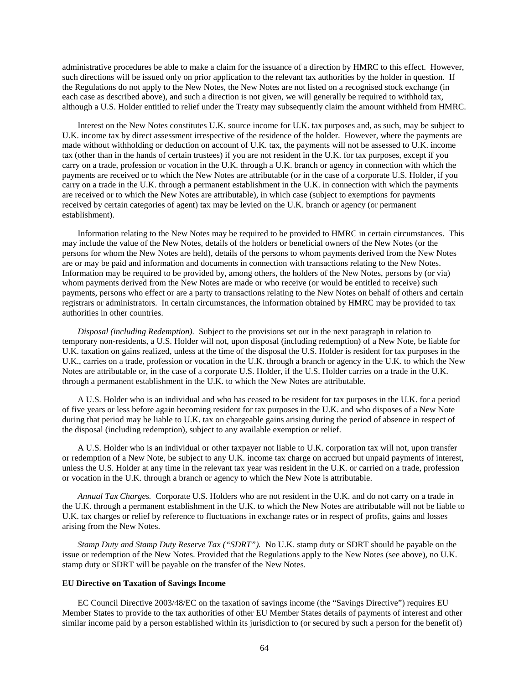administrative procedures be able to make a claim for the issuance of a direction by HMRC to this effect. However, such directions will be issued only on prior application to the relevant tax authorities by the holder in question. If the Regulations do not apply to the New Notes, the New Notes are not listed on a recognised stock exchange (in each case as described above), and such a direction is not given, we will generally be required to withhold tax, although a U.S. Holder entitled to relief under the Treaty may subsequently claim the amount withheld from HMRC.

Interest on the New Notes constitutes U.K. source income for U.K. tax purposes and, as such, may be subject to U.K. income tax by direct assessment irrespective of the residence of the holder. However, where the payments are made without withholding or deduction on account of U.K. tax, the payments will not be assessed to U.K. income tax (other than in the hands of certain trustees) if you are not resident in the U.K. for tax purposes, except if you carry on a trade, profession or vocation in the U.K. through a U.K. branch or agency in connection with which the payments are received or to which the New Notes are attributable (or in the case of a corporate U.S. Holder, if you carry on a trade in the U.K. through a permanent establishment in the U.K. in connection with which the payments are received or to which the New Notes are attributable), in which case (subject to exemptions for payments received by certain categories of agent) tax may be levied on the U.K. branch or agency (or permanent establishment).

Information relating to the New Notes may be required to be provided to HMRC in certain circumstances. This may include the value of the New Notes, details of the holders or beneficial owners of the New Notes (or the persons for whom the New Notes are held), details of the persons to whom payments derived from the New Notes are or may be paid and information and documents in connection with transactions relating to the New Notes. Information may be required to be provided by, among others, the holders of the New Notes, persons by (or via) whom payments derived from the New Notes are made or who receive (or would be entitled to receive) such payments, persons who effect or are a party to transactions relating to the New Notes on behalf of others and certain registrars or administrators. In certain circumstances, the information obtained by HMRC may be provided to tax authorities in other countries.

*Disposal (including Redemption).* Subject to the provisions set out in the next paragraph in relation to temporary non-residents, a U.S. Holder will not, upon disposal (including redemption) of a New Note, be liable for U.K. taxation on gains realized, unless at the time of the disposal the U.S. Holder is resident for tax purposes in the U.K., carries on a trade, profession or vocation in the U.K. through a branch or agency in the U.K. to which the New Notes are attributable or, in the case of a corporate U.S. Holder, if the U.S. Holder carries on a trade in the U.K. through a permanent establishment in the U.K. to which the New Notes are attributable.

A U.S. Holder who is an individual and who has ceased to be resident for tax purposes in the U.K. for a period of five years or less before again becoming resident for tax purposes in the U.K. and who disposes of a New Note during that period may be liable to U.K. tax on chargeable gains arising during the period of absence in respect of the disposal (including redemption), subject to any available exemption or relief.

A U.S. Holder who is an individual or other taxpayer not liable to U.K. corporation tax will not, upon transfer or redemption of a New Note, be subject to any U.K. income tax charge on accrued but unpaid payments of interest, unless the U.S. Holder at any time in the relevant tax year was resident in the U.K. or carried on a trade, profession or vocation in the U.K. through a branch or agency to which the New Note is attributable.

*Annual Tax Charges.* Corporate U.S. Holders who are not resident in the U.K. and do not carry on a trade in the U.K. through a permanent establishment in the U.K. to which the New Notes are attributable will not be liable to U.K. tax charges or relief by reference to fluctuations in exchange rates or in respect of profits, gains and losses arising from the New Notes.

*Stamp Duty and Stamp Duty Reserve Tax ("SDRT").* No U.K. stamp duty or SDRT should be payable on the issue or redemption of the New Notes. Provided that the Regulations apply to the New Notes (see above), no U.K. stamp duty or SDRT will be payable on the transfer of the New Notes.

## **EU Directive on Taxation of Savings Income**

EC Council Directive 2003/48/EC on the taxation of savings income (the "Savings Directive") requires EU Member States to provide to the tax authorities of other EU Member States details of payments of interest and other similar income paid by a person established within its jurisdiction to (or secured by such a person for the benefit of)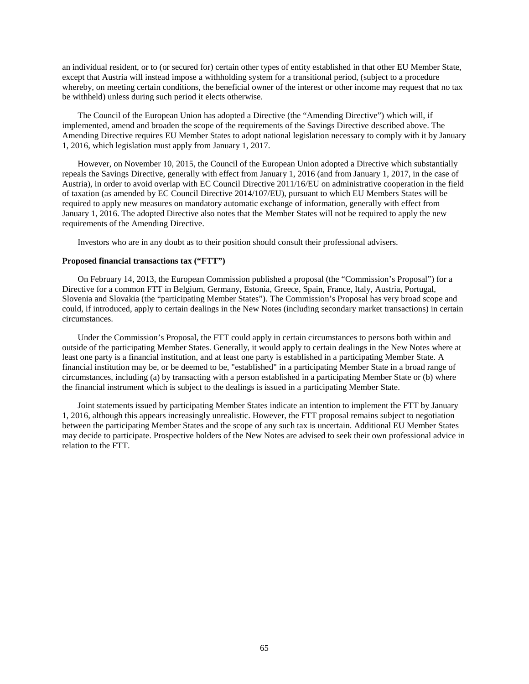an individual resident, or to (or secured for) certain other types of entity established in that other EU Member State, except that Austria will instead impose a withholding system for a transitional period, (subject to a procedure whereby, on meeting certain conditions, the beneficial owner of the interest or other income may request that no tax be withheld) unless during such period it elects otherwise.

The Council of the European Union has adopted a Directive (the "Amending Directive") which will, if implemented, amend and broaden the scope of the requirements of the Savings Directive described above. The Amending Directive requires EU Member States to adopt national legislation necessary to comply with it by January 1, 2016, which legislation must apply from January 1, 2017.

However, on November 10, 2015, the Council of the European Union adopted a Directive which substantially repeals the Savings Directive, generally with effect from January 1, 2016 (and from January 1, 2017, in the case of Austria), in order to avoid overlap with EC Council Directive 2011/16/EU on administrative cooperation in the field of taxation (as amended by EC Council Directive 2014/107/EU), pursuant to which EU Members States will be required to apply new measures on mandatory automatic exchange of information, generally with effect from January 1, 2016. The adopted Directive also notes that the Member States will not be required to apply the new requirements of the Amending Directive.

Investors who are in any doubt as to their position should consult their professional advisers.

## **Proposed financial transactions tax ("FTT")**

On February 14, 2013, the European Commission published a proposal (the "Commission's Proposal") for a Directive for a common FTT in Belgium, Germany, Estonia, Greece, Spain, France, Italy, Austria, Portugal, Slovenia and Slovakia (the "participating Member States"). The Commission's Proposal has very broad scope and could, if introduced, apply to certain dealings in the New Notes (including secondary market transactions) in certain circumstances.

Under the Commission's Proposal, the FTT could apply in certain circumstances to persons both within and outside of the participating Member States. Generally, it would apply to certain dealings in the New Notes where at least one party is a financial institution, and at least one party is established in a participating Member State. A financial institution may be, or be deemed to be, "established" in a participating Member State in a broad range of circumstances, including (a) by transacting with a person established in a participating Member State or (b) where the financial instrument which is subject to the dealings is issued in a participating Member State.

Joint statements issued by participating Member States indicate an intention to implement the FTT by January 1, 2016, although this appears increasingly unrealistic. However, the FTT proposal remains subject to negotiation between the participating Member States and the scope of any such tax is uncertain. Additional EU Member States may decide to participate. Prospective holders of the New Notes are advised to seek their own professional advice in relation to the FTT.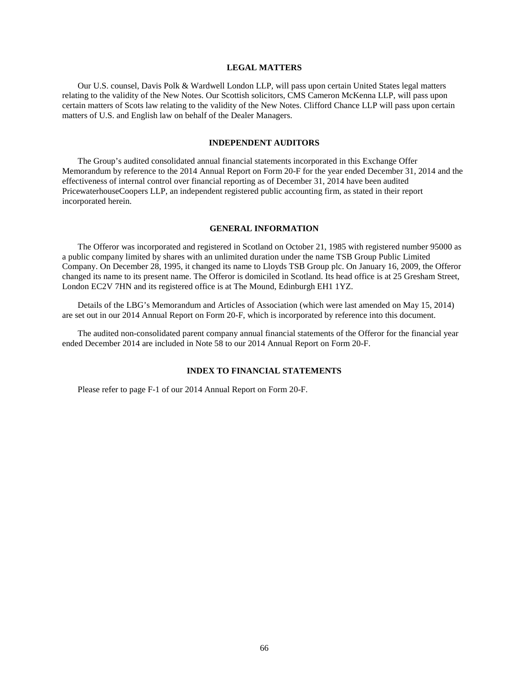## **LEGAL MATTERS**

Our U.S. counsel, Davis Polk & Wardwell London LLP, will pass upon certain United States legal matters relating to the validity of the New Notes. Our Scottish solicitors, CMS Cameron McKenna LLP, will pass upon certain matters of Scots law relating to the validity of the New Notes. Clifford Chance LLP will pass upon certain matters of U.S. and English law on behalf of the Dealer Managers.

## **INDEPENDENT AUDITORS**

The Group's audited consolidated annual financial statements incorporated in this Exchange Offer Memorandum by reference to the 2014 Annual Report on Form 20-F for the year ended December 31, 2014 and the effectiveness of internal control over financial reporting as of December 31, 2014 have been audited PricewaterhouseCoopers LLP, an independent registered public accounting firm, as stated in their report incorporated herein.

## **GENERAL INFORMATION**

The Offeror was incorporated and registered in Scotland on October 21, 1985 with registered number 95000 as a public company limited by shares with an unlimited duration under the name TSB Group Public Limited Company. On December 28, 1995, it changed its name to Lloyds TSB Group plc. On January 16, 2009, the Offeror changed its name to its present name. The Offeror is domiciled in Scotland. Its head office is at 25 Gresham Street, London EC2V 7HN and its registered office is at The Mound, Edinburgh EH1 1YZ.

Details of the LBG's Memorandum and Articles of Association (which were last amended on May 15, 2014) are set out in our 2014 Annual Report on Form 20-F, which is incorporated by reference into this document.

The audited non-consolidated parent company annual financial statements of the Offeror for the financial year ended December 2014 are included in Note 58 to our 2014 Annual Report on Form 20-F.

## **INDEX TO FINANCIAL STATEMENTS**

Please refer to page F-1 of our 2014 Annual Report on Form 20-F.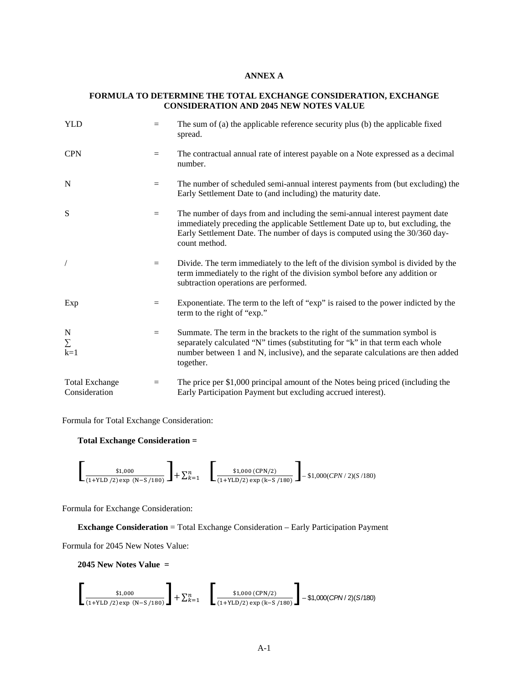## **ANNEX A**

# **FORMULA TO DETERMINE THE TOTAL EXCHANGE CONSIDERATION, EXCHANGE CONSIDERATION AND 2045 NEW NOTES VALUE**

| <b>YLD</b>                             | $=$ | The sum of (a) the applicable reference security plus (b) the applicable fixed<br>spread.                                                                                                                                                                     |  |
|----------------------------------------|-----|---------------------------------------------------------------------------------------------------------------------------------------------------------------------------------------------------------------------------------------------------------------|--|
| <b>CPN</b>                             | $=$ | The contractual annual rate of interest payable on a Note expressed as a decimal<br>number.                                                                                                                                                                   |  |
| N                                      | $=$ | The number of scheduled semi-annual interest payments from (but excluding) the<br>Early Settlement Date to (and including) the maturity date.                                                                                                                 |  |
| S                                      | $=$ | The number of days from and including the semi-annual interest payment date<br>immediately preceding the applicable Settlement Date up to, but excluding, the<br>Early Settlement Date. The number of days is computed using the 30/360 day-<br>count method. |  |
|                                        | $=$ | Divide. The term immediately to the left of the division symbol is divided by the<br>term immediately to the right of the division symbol before any addition or<br>subtraction operations are performed.                                                     |  |
| Exp                                    | $=$ | Exponentiate. The term to the left of "exp" is raised to the power indicted by the<br>term to the right of "exp."                                                                                                                                             |  |
| N<br>Σ<br>$k=1$                        | $=$ | Summate. The term in the brackets to the right of the summation symbol is<br>separately calculated "N" times (substituting for "k" in that term each whole<br>number between 1 and N, inclusive), and the separate calculations are then added<br>together.   |  |
| <b>Total Exchange</b><br>Consideration | $=$ | The price per \$1,000 principal amount of the Notes being priced (including the<br>Early Participation Payment but excluding accrued interest).                                                                                                               |  |

Formula for Total Exchange Consideration:

## **Total Exchange Consideration =**

$$
\left[\begin{array}{cc} \text{\$1,000} \\ \text{\$1+YLD / 2) exp (N-S / 180)} \end{array}\right] + \sum_{k=1}^{n} \left[\begin{array}{cc} \text{\$1,000 (CPN/2)} \\ \text{\$1,000 (CPN/2) exp (k-S / 180)} \end{array}\right] - \$1,000 (CPN / 2)(S / 180)
$$

Formula for Exchange Consideration:

**Exchange Consideration** = Total Exchange Consideration – Early Participation Payment

Formula for 2045 New Notes Value:

**2045 New Notes Value =**

$$
\left[\frac{\$1,000}{(1+\text{YLD}/2)\exp(N-S/180)}\right] + \sum_{k=1}^{n} \left[\frac{\$1,000\ (\text{CPN}/2)}{(1+\text{YLD}/2)\exp(k-S/180)}\right] - \$1,000(\text{CPN}/2)(S/180)
$$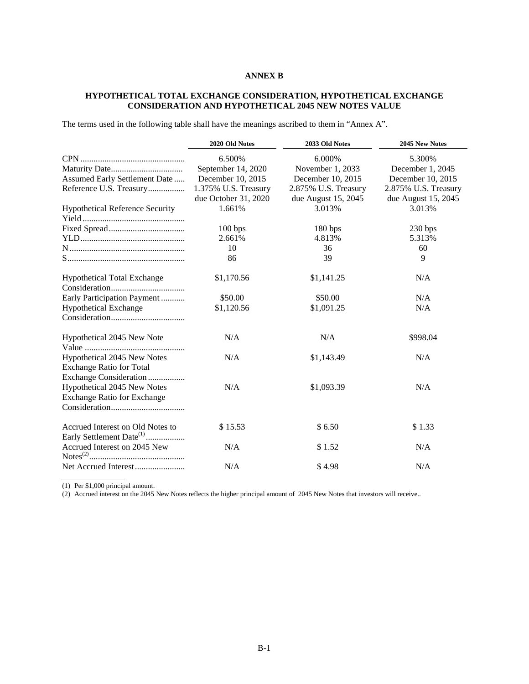# **ANNEX B**

# **HYPOTHETICAL TOTAL EXCHANGE CONSIDERATION, HYPOTHETICAL EXCHANGE CONSIDERATION AND HYPOTHETICAL 2045 NEW NOTES VALUE**

The terms used in the following table shall have the meanings ascribed to them in "Annex A".

|                                                                          | 2020 Old Notes       | 2033 Old Notes       | 2045 New Notes       |
|--------------------------------------------------------------------------|----------------------|----------------------|----------------------|
|                                                                          | 6.500%               | 6.000%               | 5.300%               |
|                                                                          | September 14, 2020   | November 1, 2033     | December 1, 2045     |
| Assumed Early Settlement Date                                            | December 10, 2015    | December 10, 2015    | December 10, 2015    |
| Reference U.S. Treasury                                                  | 1.375% U.S. Treasury | 2.875% U.S. Treasury | 2.875% U.S. Treasury |
|                                                                          | due October 31, 2020 | due August 15, 2045  | due August 15, 2045  |
| <b>Hypothetical Reference Security</b>                                   | 1.661%               | 3.013%               | 3.013%               |
|                                                                          |                      |                      |                      |
|                                                                          | 100 bps              | 180 bps              | 230 bps              |
|                                                                          | 2.661%               | 4.813%               | 5.313%               |
|                                                                          | 10                   | 36                   | 60                   |
|                                                                          | 86                   | 39                   | 9                    |
| <b>Hypothetical Total Exchange</b>                                       | \$1,170.56           | \$1,141.25           | N/A                  |
|                                                                          |                      |                      |                      |
| Early Participation Payment                                              | \$50.00              | \$50.00              | N/A                  |
| <b>Hypothetical Exchange</b>                                             | \$1,120.56           | \$1,091.25           | N/A                  |
|                                                                          |                      |                      |                      |
| Hypothetical 2045 New Note                                               | N/A                  | N/A                  | \$998.04             |
| Hypothetical 2045 New Notes                                              | N/A                  | \$1,143.49           | N/A                  |
| <b>Exchange Ratio for Total</b>                                          |                      |                      |                      |
| Exchange Consideration                                                   |                      |                      |                      |
| Hypothetical 2045 New Notes                                              | N/A                  | \$1,093.39           | N/A                  |
| <b>Exchange Ratio for Exchange</b>                                       |                      |                      |                      |
|                                                                          |                      |                      |                      |
| Accrued Interest on Old Notes to<br>Early Settlement Date <sup>(1)</sup> | \$15.53              | \$6.50               | \$1.33               |
| Accrued Interest on 2045 New                                             | N/A                  | \$1.52               | N/A                  |
|                                                                          | N/A                  | \$4.98               | N/A                  |
|                                                                          |                      |                      |                      |

(1) Per \$1,000 principal amount.

(2) Accrued interest on the 2045 New Notes reflects the higher principal amount of 2045 New Notes that investors will receive..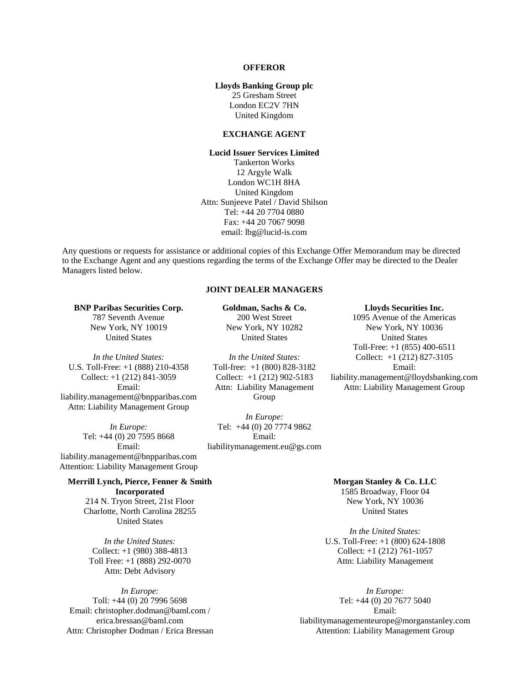## **OFFEROR**

## **Lloyds Banking Group plc**

25 Gresham Street London EC2V 7HN United Kingdom

## **EXCHANGE AGENT**

**Lucid Issuer Services Limited** Tankerton Works 12 Argyle Walk London WC1H 8HA United Kingdom Attn: Sunjeeve Patel / David Shilson Tel: +44 20 7704 0880 Fax: +44 20 7067 9098 email: lbg@lucid-is.com

Any questions or requests for assistance or additional copies of this Exchange Offer Memorandum may be directed to the Exchange Agent and any questions regarding the terms of the Exchange Offer may be directed to the Dealer Managers listed below.

# **JOINT DEALER MANAGERS**

### **BNP Paribas Securities Corp.** 787 Seventh Avenue New York, NY 10019 United States

*In the United States:* U.S. Toll-Free: +1 (888) 210-4358 Collect: +1 (212) 841-3059 Email: liability.management@bnpparibas.com Attn: Liability Management Group

*In Europe:* Tel: +44 (0) 20 7595 8668 Email: liability.management@bnpparibas.com Attention: Liability Management Group

## **Merrill Lynch, Pierce, Fenner & Smith**

**Incorporated** 214 N. Tryon Street, 21st Floor Charlotte, North Carolina 28255 United States

*In the United States:* Collect: +1 (980) 388-4813 Toll Free: +1 (888) 292-0070 Attn: Debt Advisory

*In Europe:* Toll: +44 (0) 20 7996 5698 Email: christopher.dodman@baml.com / erica.bressan@baml.com Attn: Christopher Dodman / Erica Bressan **Goldman, Sachs & Co.** 200 West Street New York, NY 10282 United States

*In the United States:* Toll-free: +1 (800) 828-3182 Collect: +1 (212) 902-5183 Attn: Liability Management Group

*In Europe:* Tel: +44 (0) 20 7774 9862 Email:

### **Lloyds Securities Inc.** 1095 Avenue of the Americas

New York, NY 10036 United States Toll-Free: +1 (855) 400-6511 Collect: +1 (212) 827-3105 Email: liability.management@lloydsbanking.com Attn: Liability Management Group

liabilitymanagement.eu@gs.com

# **Morgan Stanley & Co. LLC**

1585 Broadway, Floor 04 New York, NY 10036 United States

*In the United States:* U.S. Toll-Free: +1 (800) 624-1808 Collect: +1 (212) 761-1057 Attn: Liability Management

*In Europe:* Tel: +44 (0) 20 7677 5040 Email: liabilitymanagementeurope@morganstanley.com Attention: Liability Management Group